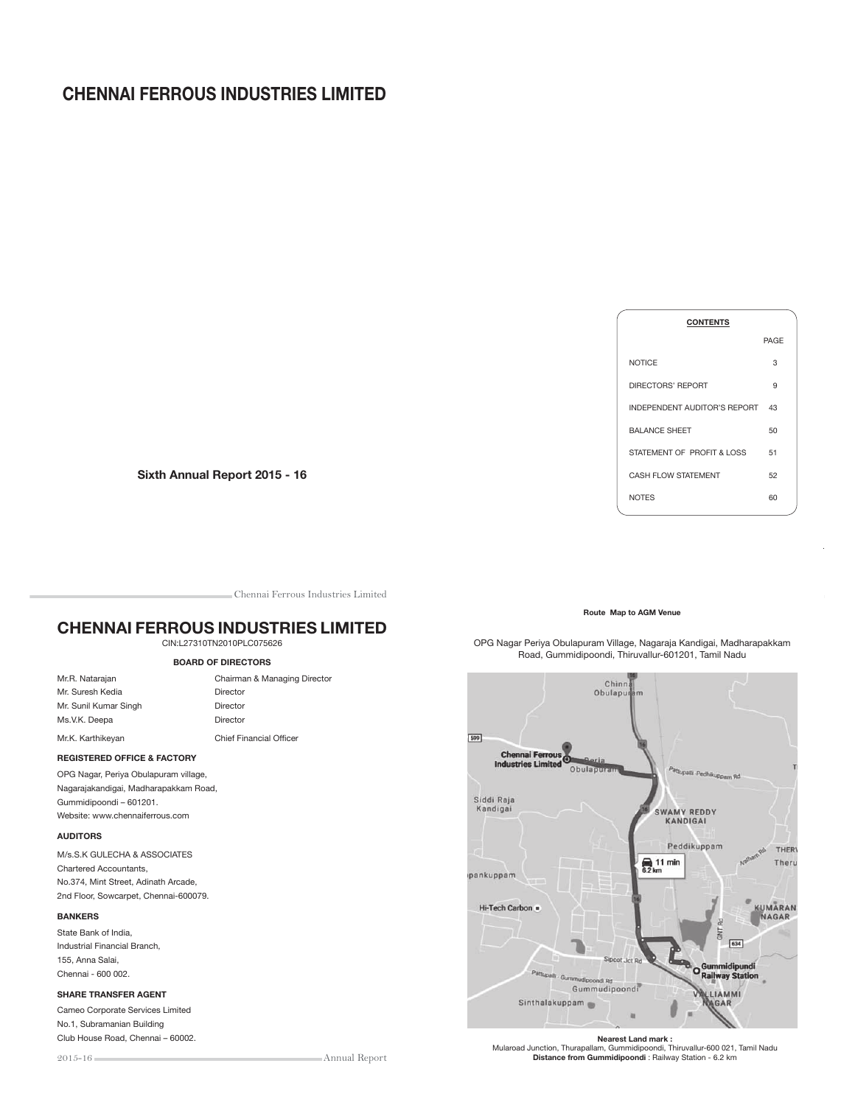# CHENNAI FERROUS INDUSTRIES LIMITED



Sixth Annual Report 2015 - 16

Chennai Ferrous Industries Limited

# CHENNAI FERROUS INDUSTRIES LIMITED

# CIN:L27310TN2010PLC075626

# BOARD OF DIRECTORS

| Mr.R. Natarajan       | Chairman & Managing            |
|-----------------------|--------------------------------|
| Mr. Suresh Kedia      | Director                       |
| Mr. Sunil Kumar Singh | Director                       |
| Ms.V.K. Deepa         | Director                       |
| Mr.K. Karthikevan     | <b>Chief Financial Officer</b> |

Chairman & Managing Director Director Director Director

# REGISTERED OFFICE & FACTORY

OPG Nagar, Periya Obulapuram village, Nagarajakandigai, Madharapakkam Road, Gummidipoondi – 601201. Website: www.chennaiferrous.com

### AUDITORS

M/s.S.K GULECHA & ASSOCIATES Chartered Accountants, No.374, Mint Street, Adinath Arcade, 2nd Floor, Sowcarpet, Chennai-600079.

### BANKERS

State Bank of India, Industrial Financial Branch, 155, Anna Salai, Chennai - 600 002.

#### SHARE TRANSFER AGENT

Cameo Corporate Services Limited No.1, Subramanian Building Club House Road, Chennai – 60002.

Annual Report



### OPG Nagar Periya Obulapuram Village, Nagaraja Kandigai, Madharapakkam Road, Gummidipoondi, Thiruvallur-601201, Tamil Nadu



**Nearest Land mark :**<br>Mularoad Junction, Thurapallam, Gummidipoondi, Thiruvallur-600 021, Tamil Nadu Distance from Gummidipoondi : Railway Station - 6.2 km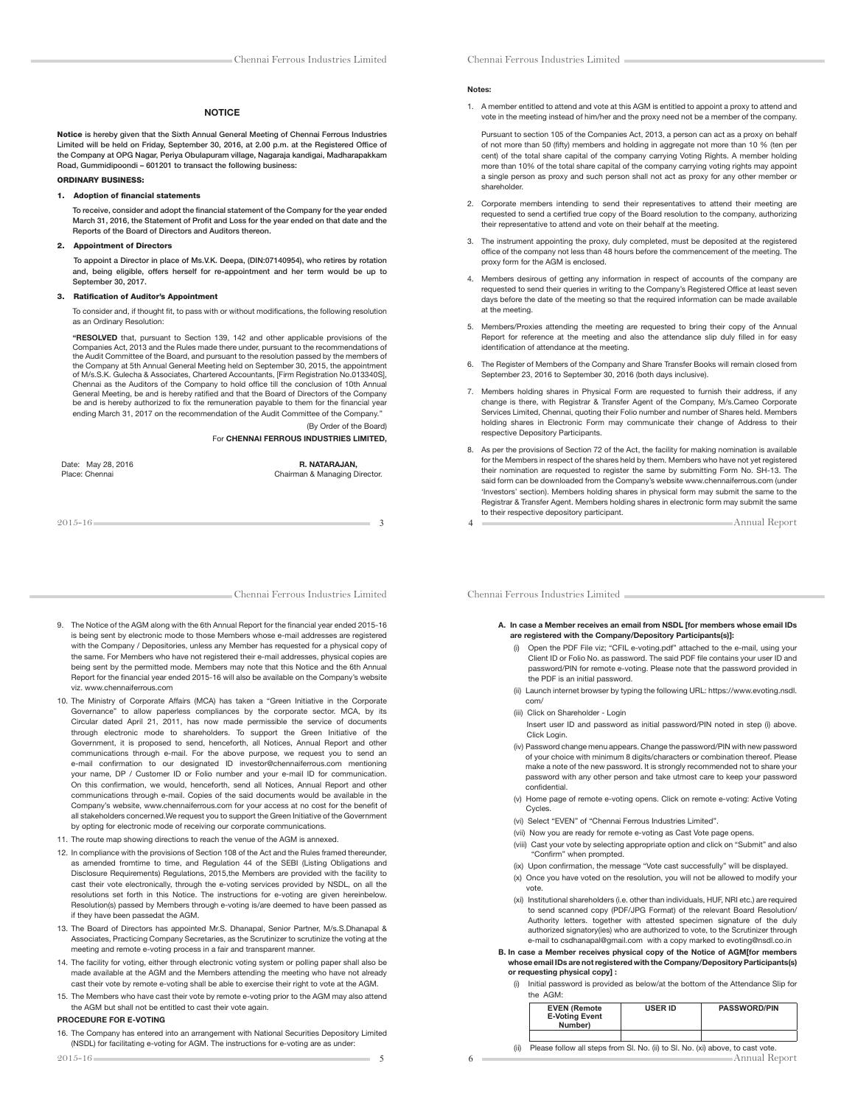### **NOTICE**

Notice is hereby given that the Sixth Annual General Meeting of Chennai Ferrous Industries Limited will be held on Friday, September 30, 2016, at 2.00 p.m. at the Registered Office of the Company at OPG Nagar, Periya Obulapuram village, Nagaraja kandigai, Madharapakkam Road, Gummidipoondi – 601201 to transact the following business:

#### ORDINARY BUSINESS:

#### 1. Adoption of financial statements

To receive, consider and adopt the financial statement of the Company for the year ended March 31, 2016, the Statement of Profit and Loss for the year ended on that date and the Reports of the Board of Directors and Auditors thereon.

#### 2. Appointment of Directors

 To appoint a Director in place of Ms.V.K. Deepa, (DIN:07140954), who retires by rotation and, being eligible, offers herself for re-appointment and her term would be up to September 30, 2017

#### 3. Ratification of Auditor's Appointment

To consider and, if thought fit, to pass with or without modifications, the following resolution as an Ordinary Resolution:

"RESOLVED that, pursuant to Section 139, 142 and other applicable provisions of the Companies Act, 2013 and the Rules made there under, pursuant to the recommendations of the Audit Committee of the Board, and pursuant to the resolution passed by the members of the Company at 5th Annual General Meeting held on September 30, 2015, the appointment of M/s.S.K. Gulecha & Associates, Chartered Accountants, [Firm Registration No.013340S], Chennai as the Auditors of the Company to hold office till the conclusion of 10th Annual General Meeting, be and is hereby ratified and that the Board of Directors of the Company be and is hereby authorized to fix the remuneration payable to them for the financial year ending March 31, 2017 on the recommendation of the Audit Committee of the Company."

(By Order of the Board) For CHENNAI FERROUS INDUSTRIES LIMITED,

Date: May 28, 2016 **R. NATARAJAN, R. NATARAJAN, R. NATARAJAN,** R. NATARAJAN, R. NATARAJAN, R. NATARAJAN, R. NATARAJAN, R. NATARAJAN, R. NATARAJAN, R. NATARAJAN, R. NATARAJAN, R. NATARAJAN, R. NATARAJAN, R. N. N. N. N. N. N

Chairman & Managing Director.

 $2015-16$  3

Chennai Ferrous Industries Limited

- 9. The Notice of the AGM along with the 6th Annual Report for the financial year ended 2015-16 is being sent by electronic mode to those Members whose e-mail addresses are registered with the Company / Depositories, unless any Member has requested for a physical copy of the same. For Members who have not registered their e-mail addresses, physical copies are being sent by the permitted mode. Members may note that this Notice and the 6th Annual Report for the financial year ended 2015-16 will also be available on the Company's website viz. www.chennaiferrous.com
- 10. The Ministry of Corporate Affairs (MCA) has taken a "Green Initiative in the Corporate Governance" to allow paperless compliances by the corporate sector. MCA, by its Circular dated April 21, 2011, has now made permissible the service of documents through electronic mode to shareholders. To support the Green Initiative of the Government, it is proposed to send, henceforth, all Notices, Annual Report and other communications through e-mail. For the above purpose, we request you to send an e-mail confirmation to our designated ID investor@chennaiferrous.com mentioning your name, DP / Customer ID or Folio number and your e-mail ID for communication. On this confirmation, we would, henceforth, send all Notices, Annual Report and other communications through e-mail. Copies of the said documents would be available in the Company's website, www.chennaiferrous.com for your access at no cost for the benefit of all stakeholders concerned.We request you to support the Green Initiative of the Government by opting for electronic mode of receiving our corporate communications.
- 11. The route map showing directions to reach the venue of the AGM is annexed.
- 12. In compliance with the provisions of Section 108 of the Act and the Rules framed thereunder, as amended fromtime to time, and Regulation 44 of the SEBI (Listing Obligations and Disclosure Requirements) Regulations, 2015,the Members are provided with the facility to cast their vote electronically, through the e-voting services provided by NSDL, on all the resolutions set forth in this Notice. The instructions for e-voting are given hereinbelow. Resolution(s) passed by Members through e-voting is/are deemed to have been passed as if they have been passedat the AGM.
- 13. The Board of Directors has appointed Mr.S. Dhanapal, Senior Partner, M/s.S.Dhanapal & Associates, Practicing Company Secretaries, as the Scrutinizer to scrutinize the voting at the meeting and remote e-voting process in a fair and transparent manner.
- 14. The facility for voting, either through electronic voting system or polling paper shall also be made available at the AGM and the Members attending the meeting who have not already cast their vote by remote e-voting shall be able to exercise their right to vote at the AGM.
- 15. The Members who have cast their vote by remote e-voting prior to the AGM may also attend the AGM but shall not be entitled to cast their vote again.

### PROCEDURE FOR E-VOTING

16. The Company has entered into an arrangement with National Securities Depository Limited (NSDL) for facilitating e-voting for AGM. The instructions for e-voting are as under:

#### Notes:

1. A member entitled to attend and vote at this AGM is entitled to appoint a proxy to attend and vote in the meeting instead of him/her and the proxy need not be a member of the company.

Pursuant to section 105 of the Companies Act, 2013, a person can act as a proxy on behalf of not more than 50 (fifty) members and holding in aggregate not more than 10 % (ten per cent) of the total share capital of the company carrying Voting Rights. A member holding more than 10% of the total share capital of the company carrying voting rights may appoint a single person as proxy and such person shall not act as proxy for any other member or shareholder.

- 2. Corporate members intending to send their representatives to attend their meeting are requested to send a certified true copy of the Board resolution to the company, authorizing their representative to attend and vote on their behalf at the meeting.
- 3. The instrument appointing the proxy, duly completed, must be deposited at the registered office of the company not less than 48 hours before the commencement of the meeting. The proxy form for the AGM is enclosed.
- 4. Members desirous of getting any information in respect of accounts of the company are requested to send their queries in writing to the Company's Registered Office at least seven days before the date of the meeting so that the required information can be made available at the meeting.
- 5. Members/Proxies attending the meeting are requested to bring their copy of the Annual Report for reference at the meeting and also the attendance slip duly filled in for easy identification of attendance at the meeting.
- 6. The Register of Members of the Company and Share Transfer Books will remain closed from September 23, 2016 to September 30, 2016 (both days inclusive).
- 7. Members holding shares in Physical Form are requested to furnish their address, if any change is there, with Registrar & Transfer Agent of the Company, M/s.Cameo Corporate Services Limited, Chennai, quoting their Folio number and number of Shares held. Members holding shares in Electronic Form may communicate their change of Address to their respective Depository Participants.
- 8. As per the provisions of Section 72 of the Act, the facility for making nomination is available for the Members in respect of the shares held by them. Members who have not yet registered their nomination are requested to register the same by submitting Form No. SH-13. The said form can be downloaded from the Company's website www.chennaiferrous.com (under 'Investors' section). Members holding shares in physical form may submit the same to the Registrar & Transfer Agent. Members holding shares in electronic form may submit the same to their respective depository participant.

4 Annual Report

Chennai Ferrous Industries Limited

- A. In case a Member receives an email from NSDL [for members whose email IDs are registered with the Company/Depository Participants(s)]:
	- (i) Open the PDF File viz; "CFIL e-voting.pdf" attached to the e-mail, using your Client ID or Folio No. as password. The said PDF file contains your user ID and password/PIN for remote e-voting. Please note that the password provided in the PDF is an initial password.
	- (ii) Launch internet browser by typing the following URL: https://www.evoting.nsdl. com/
	- (iii) Click on Shareholder Login Insert user ID and password as initial password/PIN noted in step (i) above. Click Login.
	- (iv) Password change menu appears. Change the password/PIN with new password of your choice with minimum 8 digits/characters or combination thereof. Please make a note of the new password. It is strongly recommended not to share your password with any other person and take utmost care to keep your password confidential.
	- (v) Home page of remote e-voting opens. Click on remote e-voting: Active Voting Cycles.
	- (vi) Select "EVEN" of "Chennai Ferrous Industries Limited".
	- (vii) Now you are ready for remote e-voting as Cast Vote page opens.
	- (viii) Cast your vote by selecting appropriate option and click on "Submit" and also "Confirm" when prompted.
	- (ix) Upon confirmation, the message "Vote cast successfully" will be displayed. (x) Once you have voted on the resolution, you will not be allowed to modify your vote.
	- (xi) Institutional shareholders (i.e. other than individuals, HUF, NRI etc.) are required to send scanned copy (PDF/JPG Format) of the relevant Board Resolution/ Authority letters. together with attested specimen signature of the duly authorized signatory(ies) who are authorized to vote, to the Scrutinizer through e-mail to csdhanapal@gmail.com with a copy marked to evoting@nsdl.co.in

 B. In case a Member receives physical copy of the Notice of AGM[for members whose email IDs are not registered with the Company/Depository Participants(s) or requesting physical copy] :

 (i) Initial password is provided as below/at the bottom of the Attendance Slip for the AGM:

| <b>EVEN (Remote</b><br><b>E-Voting Event</b><br>Number) | <b>USER ID</b> | <b>PASSWORD/PIN</b> |
|---------------------------------------------------------|----------------|---------------------|
|                                                         |                |                     |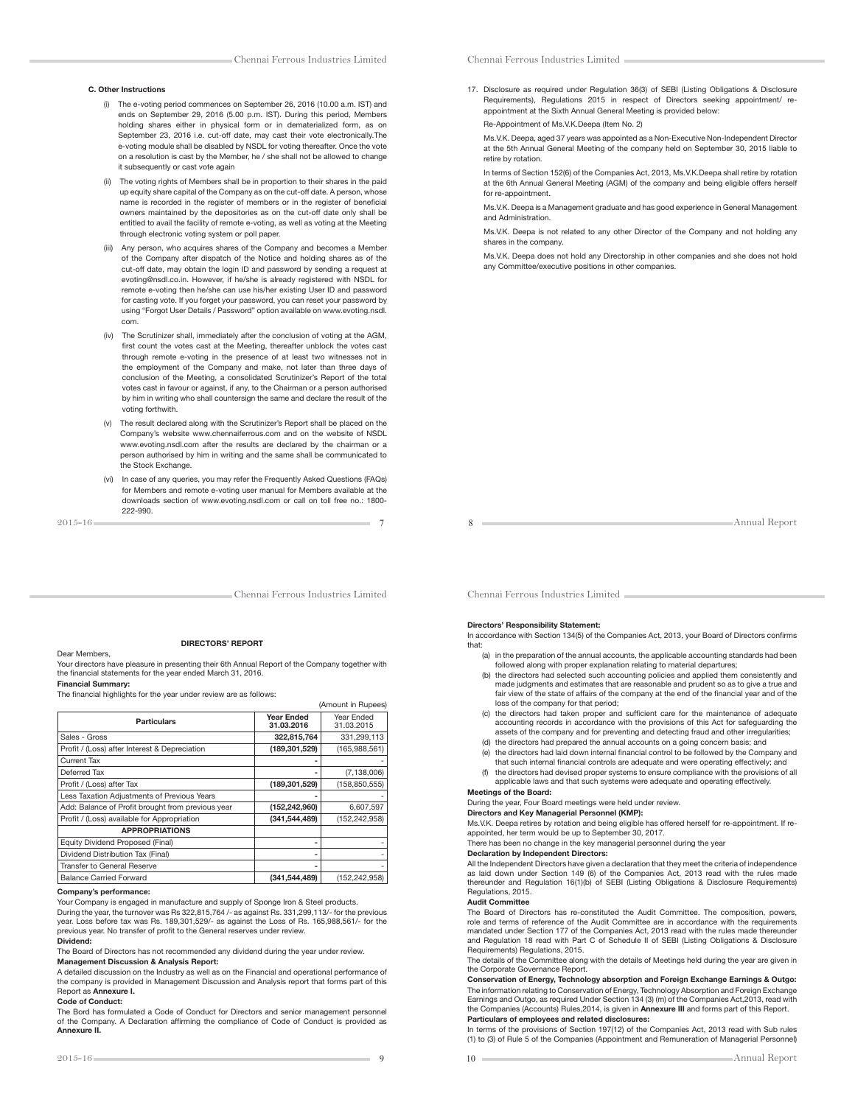#### C. Other Instructions

- (i) The e-voting period commences on September 26, 2016 (10.00 a.m. IST) and ends on September 29, 2016 (5.00 p.m. IST). During this period, Members holding shares either in physical form or in dematerialized form, as on September 23, 2016 i.e. cut-off date, may cast their vote electronically.The e-voting module shall be disabled by NSDL for voting thereafter. Once the vote on a resolution is cast by the Member, he / she shall not be allowed to change it subsequently or cast vote again
- (ii) The voting rights of Members shall be in proportion to their shares in the paid up equity share capital of the Company as on the cut-off date. A person, whose name is recorded in the register of members or in the register of beneficial owners maintained by the depositories as on the cut-off date only shall be entitled to avail the facility of remote e-voting, as well as voting at the Meeting through electronic voting system or poll paper.
- (iii) Any person, who acquires shares of the Company and becomes a Member of the Company after dispatch of the Notice and holding shares as of the cut-off date, may obtain the login ID and password by sending a request at evoting@nsdl.co.in. However, if he/she is already registered with NSDL for remote e-voting then he/she can use his/her existing User ID and password for casting vote. If you forget your password, you can reset your password by using "Forgot User Details / Password" option available on www.evoting.nsdl. com.
- (iv) The Scrutinizer shall, immediately after the conclusion of voting at the AGM, first count the votes cast at the Meeting, thereafter unblock the votes cast through remote e-voting in the presence of at least two witnesses not in the employment of the Company and make, not later than three days of conclusion of the Meeting, a consolidated Scrutinizer's Report of the total votes cast in favour or against, if any, to the Chairman or a person authorised by him in writing who shall countersign the same and declare the result of the voting forthwith.
- The result declared along with the Scrutinizer's Report shall be placed on the Company's website www.chennaiferrous.com and on the website of NSDL www.evoting.nsdl.com after the results are declared by the chairman or a person authorised by him in writing and the same shall be communicated to .<br>the Stock Exchange.
- (vi) In case of any queries, you may refer the Frequently Asked Questions (FAQs) for Members and remote e-voting user manual for Members available at the downloads section of www.evoting.nsdl.com or call on toll free no.: 1800- 222-990.

2015-16 7

Chennai Ferrous Industries Limited

17. Disclosure as required under Regulation 36(3) of SEBI (Listing Obligations & Disclosure Requirements), Regulations 2015 in respect of Directors seeking appointment/ reappointment at the Sixth Annual General Meeting is provided below:

Re-Appointment of Ms.V.K.Deepa (Item No. 2)

 Ms.V.K. Deepa, aged 37 years was appointed as a Non-Executive Non-Independent Director at the 5th Annual General Meeting of the company held on September 30, 2015 liable to retire by rotation.

 In terms of Section 152(6) of the Companies Act, 2013, Ms.V.K.Deepa shall retire by rotation at the 6th Annual General Meeting (AGM) of the company and being eligible offers herself for re-appointment.

 Ms.V.K. Deepa is a Management graduate and has good experience in General Management and Administration.

 Ms.V.K. Deepa is not related to any other Director of the Company and not holding any shares in the company.

 Ms.V.K. Deepa does not hold any Directorship in other companies and she does not hold any Committee/executive positions in other companies.

Annual Report

Chennai Ferrous Industries Limited

#### Dear Members,

#### DIRECTORS' REPORT

Your directors have pleasure in presenting their 6th Annual Report of the Company together with the "nancial statements for the year ended March 31, 2016. Financial Summary:

The financial highlights for the year under review are as follows:

|                                                   |                                 | (Amount in Rupees)       |
|---------------------------------------------------|---------------------------------|--------------------------|
| <b>Particulars</b>                                | <b>Year Ended</b><br>31.03.2016 | Year Ended<br>31.03.2015 |
| Sales - Gross                                     | 322,815,764                     | 331,299,113              |
| Profit / (Loss) after Interest & Depreciation     | (189, 301, 529)                 | (165,988,561)            |
| Current Tax                                       |                                 |                          |
| Deferred Tax                                      |                                 | (7, 138, 006)            |
| Profit / (Loss) after Tax                         | (189, 301, 529)                 | (158, 850, 555)          |
| Less Taxation Adjustments of Previous Years       |                                 |                          |
| Add: Balance of Profit brought from previous year | (152, 242, 960)                 | 6,607,597                |
| Profit / (Loss) available for Appropriation       | (341.544.489)                   | (152, 242, 958)          |
| <b>APPROPRIATIONS</b>                             |                                 |                          |
| Equity Dividend Proposed (Final)                  | ۰                               |                          |
| Dividend Distribution Tax (Final)                 | ۰                               |                          |
| Transfer to General Reserve                       |                                 |                          |
| <b>Balance Carried Forward</b>                    | (341.544.489)                   | (152.242.958)            |

#### Company's performance:

Your Company is engaged in manufacture and supply of Sponge Iron & Steel products.

During the year, the turnover was Rs 322,815,764 /- as against Rs. 331,299,113/- for the previous year. Loss before tax was Rs. 189,301,529/- as against the Loss of Rs. 165,988,561/- for the previous year. No transfer of profit to the General reserves under review.

#### Dividend:

The Board of Directors has not recommended any dividend during the year under review. Management Discussion & Analysis Report:

A detailed discussion on the Industry as well as on the Financial and operational performance of the company is provided in Management Discussion and Analysis report that forms part of this Report as Annexure I.

#### Code of Conduct:

The Bord has formulated a Code of Conduct for Directors and senior management personnel of the Company. A Declaration affirming the compliance of Code of Conduct is provided as Annexure II.

Chennai Ferrous Industries Limited

### Directors' Responsibility Statement:

In accordance with Section 134(5) of the Companies Act, 2013, your Board of Directors confirms that:

- (a) in the preparation of the annual accounts, the applicable accounting standards had been
- followed along with proper explanation relating to material departures; (b) the directors had selected such accounting policies and applied them consistently and made judgments and estimates that are reasonable and prudent so as to give a true and fair view of the state of affairs of the company at the end of the financial year and of the loss of the company for that period;
	- (c) the directors had taken proper and sufficient care for the maintenance of adequate accounting records in accordance with the provisions of this Act for safeguarding the assets of the company and for preventing and detecting fraud and other irregularities;
	- (d) the directors had prepared the annual accounts on a going concern basis; and (e) the directors had laid down internal financial control to be followed by the Company and
	- that such internal financial controls are adequate and were operating effectively; and (f) the directors had devised proper systems to ensure compliance with the provisions of all applicable laws and that such systems were adequate and operating effectively.

# Meetings of the Board:

## During the year, Four Board meetings were held under review.

Directors and Key Managerial Personnel (KMP):

Ms.V.K. Deepa retires by rotation and being eligible has offered herself for re-appointment. If re-appointed, her term would be up to September 30, 2017.

There has been no change in the key managerial personnel during the year

## Declaration by Independent Directors:

All the Independent Directors have given a declaration that they meet the criteria of independence as laid down under Section 149 (6) of the Companies Act, 2013 read with the rules made thereunder and Regulation 16(1)(b) of SEBI (Listing Obligations & Disclosure Requirements) Regulations, 2015.

#### Audit Committee

The Board of Directors has re-constituted the Audit Committee. The composition, powers, role and terms of reference of the Audit Committee are in accordance with the requirements mandated under Section 177 of the Companies Act, 2013 read with the rules made thereunder and Regulation 18 read with Part C of Schedule II of SEBI (Listing Obligations & Disclosure Requirements) Regulations, 2015.

The details of the Committee along with the details of Meetings held during the year are given in the Corporate Governance Report.

Conservation of Energy, Technology absorption and Foreign Exchange Earnings & Outgo: The information relating to Conservation of Energy, Technology Absorption and Foreign Exchange Earnings and Outgo, as required Under Section 134 (3) (m) of the Companies Act,2013, read with the Companies (Accounts) Rules,2014, is given in Annexure III and forms part of this Report. Particulars of employees and related disclosures:

In terms of the provisions of Section 197(12) of the Companies Act, 2013 read with Sub rules (1) to (3) of Rule 5 of the Companies (Appointment and Remuneration of Managerial Personnel)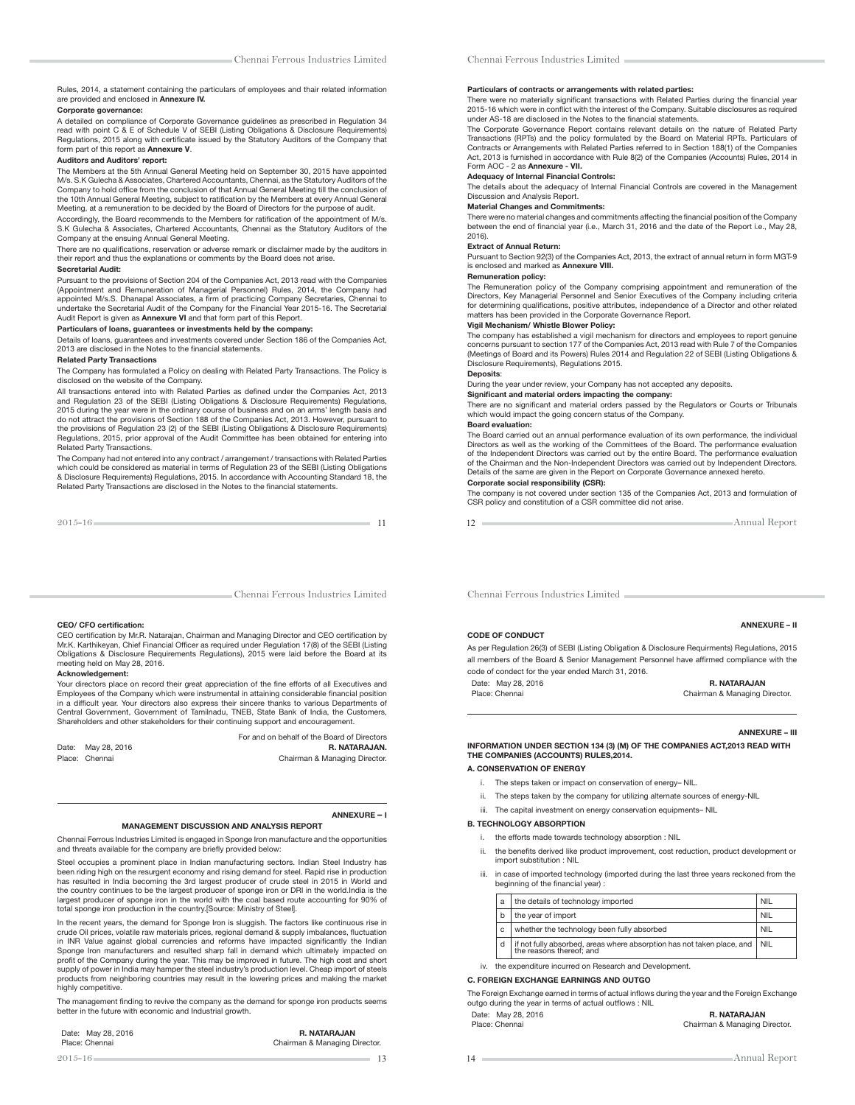# Rules, 2014, a statement containing the particulars of employees and thair related information<br>are provided and enclosed in **Annexure IV.**

### Corporate governance:

A detailed on compliance of Corporate Governance guidelines as prescribed in Regulation 34 read with point C & E of Schedule V of SEBI (Listing Obligations & Disclosure Requirements) Regulations, 2015 along with certificate issued by the Statutory Auditors of the Company that form part of this report as Annexure V.

#### Auditors and Auditors' report:

The Members at the 5th Annual General Meeting held on September 30, 2015 have appointed M/s. S.K Gulecha & Associates, Chartered Accountants, Chennai, as the Statutory Auditors of the Company to hold office from the conclusion of that Annual General Meeting till the conclusion of the 10th Annual General Meeting, subject to ratification by the Members at every Annual General Meeting, at a remuneration to be decided by the Board of Directors for the purpose of audit.

Accordingly, the Board recommends to the Members for ratification of the appointment of M/s. S.K Gulecha & Associates, Chartered Accountants, Chennai as the Statutory Auditors of the Company at the ensuing Annual General Meeting.

There are no qualifications, reservation or adverse remark or disclaimer made by the auditors in their report and thus the explanations or comments by the Board does not arise.

#### Secretarial Audit:

Pursuant to the provisions of Section 204 of the Companies Act, 2013 read with the Companies (Appointment and Remuneration of Managerial Personnel) Rules, 2014, the Company had<br>appointed M/s.S. Dhanapal Associates, a firm of practicing Company Secretaries, Chennai to<br>undertake the Secretarial Audit of the Company

### Particulars of loans, guarantees or investments held by the company:

Details of loans, guarantees and investments covered under Section 186 of the Companies Act, 2013 are disclosed in the Notes to the financial statements.

#### Related Party Transactions

The Company has formulated a Policy on dealing with Related Party Transactions. The Policy is disclosed on the website of the Company.

All transactions entered into with Related Parties as defined under the Companies Act, 2013 and Regulation 23 of the SEBI (Listing Obligations & Disclosure Requirements) Regulations, 2015 during the year were in the ordinary course of business and on an arms' length basis and do not attract the provisions of Section 188 of the Companies Act, 2013. However, pursuant to the provisions of Regulation 23 (2) of the SEBI (Listing Obligations & Disclosure Requirements) Regulations, 2015, prior approval of the Audit Committee has been obtained for entering into Related Party Transactions.

The Company had not entered into any contract / arrangement / transactions with Related Parties which could be considered as material in terms of Regulation 23 of the SEBI (Listing Obligations & Disclosure Requirements) Regulations, 2015. In accordance with Accounting Standard 18, the Related Party Transactions are disclosed in the Notes to the "nancial statements.

Chennai Ferrous Industries Limited

For and on behalf of the Board of Directors<br>R. NATARAJAN.

Chairman & Managing Director.

#### CEO/ CFO certification:

CEO certification by Mr.R. Natarajan, Chairman and Managing Director and CEO certification by<br>Mr.K. Karthikeyan, Chief Financial Officer as required under Regulation 17(8) of the SEBI (Listing Obligations & Disclosure Requirements Regulations), 2015 were laid before the Board at its meeting held on May 28, 2016.

### Acknowledgement:

Your directors place on record their great appreciation of the fine efforts of all Executives and Employees of the Company which were instrumental in attaining considerable financial position<br>in a difficult year. Your directors also express their sincere thanks to various Departments of<br>Central Government, Government o Shareholders and other stakeholders for their continuing support and encouragement.

Date: May 28, 2016<br>Place: Chennai

### ANNEXURE – I

#### MANAGEMENT DISCUSSION AND ANALYSIS REPORT

Chennai Ferrous Industries Limited is engaged in Sponge Iron manufacture and the opportunities and threats available for the company are briefly provided below:

Steel occupies a prominent place in Indian manufacturing sectors. Indian Steel Industry has been riding high on the resurgent economy and rising demand for steel. Rapid rise in production has resulted in India becoming the 3rd largest producer of crude steel in 2015 in World and the country continues to be the largest producer of sponge iron or DRI in the world.India is the largest producer of sponge iron in the world with the coal based route accounting for 90% of total sponge iron production in the country.[Source: Ministry of Steel].

In the recent years, the demand for Sponge Iron is sluggish. The factors like continuous rise in crude Oil prices, volatile raw materials prices, regional demand & supply imbalances, fluctuation<br>in INR Value against global currencies and reforms have impacted significantly the Indian<br>Sponge Iron manufactur profit of the Company during the year. This may be improved in future. The high cost and short<br>supply of power in India may hamper the steel industry's production level. Cheap import of steels products from neighboring countries may result in the lowering prices and making the market highly competitive

The management finding to revive the company as the demand for sponge iron products seems better in the future with economic and Industrial growth.

 $2015-16$  13

### Date: May 28, 2016 **R. NATARAJAN**

Place: Chennai **Chairman & Managing Director.** 

### Chennai Ferrous Industries Limited

#### Particulars of contracts or arrangements with related parties:

There were no materially significant transactions with Related Parties during the financial year 2015-16 which were in conflict with the interest of the Company. Suitable disclosures as required under AS-18 are disclosed in the Notes to the "nancial statements.

The Corporate Governance Report contains relevant details on the nature of Related Party Transactions (RPTs) and the policy formulated by the Board on Material RPTs. Particulars of Contracts or Arrangements with Related Parties referred to in Section 188(1) of the Companies Act, 2013 is furnished in accordance with Rule 8(2) of the Companies (Accounts) Rules, 2014 in Form AOC - 2 as Annexure - VII.

### Adequacy of Internal Financial Controls:

The details about the adequacy of Internal Financial Controls are covered in the Management Discussion and Analysis Report.

### Material Changes and Commitments:

There were no material changes and commitments affecting the financial position of the Company between the end of financial year (i.e., March 31, 2016 and the date of the Report i.e., May 28, 2016).

#### Extract of Annual Return:

Pursuant to Section 92(3) of the Companies Act, 2013, the extract of annual return in form MGT-9 is enclosed and marked as Annexure VIII.

### Remuneration policy:

The Remuneration policy of the Company comprising appointment and remuneration of the Directors, Key Managerial Personnel and Senior Executives of the Company including criteria for determining qualifications, positive attributes, independence of a Director and other related matters has been provided in the Corporate Governance Report.

### Vigil Mechanism/ Whistle Blower Policy:

The company has established a vigil mechanism for directors and employees to report genuine concerns pursuant to section 177 of the Companies Act, 2013 read with Rule 7 of the Companies (Meetings of Board and its Powers) Rules 2014 and Regulation 22 of SEBI (Listing Obligations & Disclosure Requirements), Regulations 2015.

### Deposits:

During the year under review, your Company has not accepted any deposits.

Significant and material orders impacting the company: There are no significant and material orders passed by the Regulators or Courts or Tribunals

which would impact the going concern status of the Company.

#### Board evaluation:

The Board carried out an annual performance evaluation of its own performance, the individual Directors as well as the working of the Committees of the Board. The performance evaluation of the Independent Directors was carried out by the entire Board. The performance evaluation of the Chairman and the Non-Independent Directors was carried out by Independent Directors. Details of the same are given in the Report on Corporate Governance annexed hereto.

## Corporate social responsibility (CSR):

The company is not covered under section 135 of the Companies Act, 2013 and formulation of CSR policy and constitution of a CSR committee did not arise.

12 **Annual Report** 

Chennai Ferrous Industries Limited

As per Regulation 26(3) of SEBI (Listing Obligation & Disclosure Requirments) Regulations, 2015 all members of the Board & Senior Management Personnel have affirmed compliance with the code of condect for the year ended March 31, 2016.

Date: May 28, 2016 **R. NATARAJAN**<br>Place: Chennai Report of the Chairman & Managing D

CODE OF CONDUCT

ANNEXURE – III

ANNEXURE – II

Chairman & Managing Director.

INFORMATION UNDER SECTION 134 (3) (M) OF THE COMPANIES ACT,2013 READ WITH THE COMPANIES (ACCOUNTS) RULES,2014.

#### A. CONSERVATION OF ENERGY

- i. The steps taken or impact on conservation of energy– NIL.
- ii. The steps taken by the company for utilizing alternate sources of energy-NIL
- iii. The capital investment on energy conservation equipments– NIL

#### B. TECHNOLOGY ABSORPTION

- i. the efforts made towards technology absorption : NIL
- the benefits derived like product improvement, cost reduction, product development or import substitution : NIL
- iii. in case of imported technology (imported during the last three years reckoned from the beginning of the financial year)

|   | the details of technology imported                                                                       |  |  |  |  |  |
|---|----------------------------------------------------------------------------------------------------------|--|--|--|--|--|
| h | the year of import                                                                                       |  |  |  |  |  |
| C | whether the technology been fully absorbed                                                               |  |  |  |  |  |
| d | if not fully absorbed, areas where absorption has not taken place, and   NIL<br>the reasons thereof; and |  |  |  |  |  |

#### iv. the expenditure incurred on Research and Development.

### C. FOREIGN EXCHANGE EARNINGS AND OUTGO

The Foreign Exchange earned in terms of actual inflows during the year and the Foreign Exchange outgo during the year in terms of actual outflows : NIL

| Date: May 28, 2016 | <b>R. NATARAJAN</b>           |
|--------------------|-------------------------------|
| Place: Chennai     | Chairman & Managing Director. |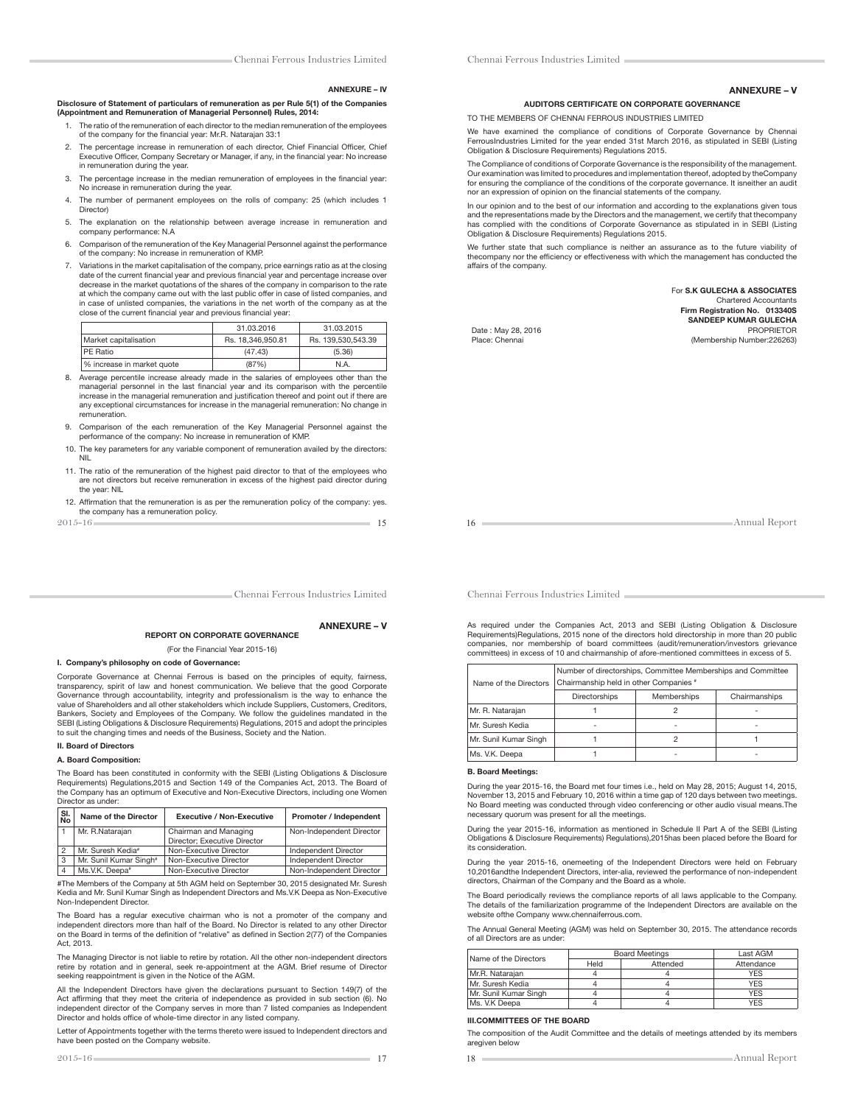ANNEXURE – IV

#### ANNEXURE – V

AUDITORS CERTIFICATE ON CORPORATE GOVERNANCE

TO THE MEMBERS OF CHENNAI FERROUS INDUSTRIES LIMITED

We have examined the compliance of conditions of Corporate Governance by Chennai FerrousIndustries Limited for the year ended 31st March 2016, as stipulated in SEBI (Listing Obligation & Disclosure Requirements) Regulations 2015.

The Compliance of conditions of Corporate Governance is the responsibility of the management. Our examination was limited to procedures and implementation thereof, adopted by theCompany for ensuring the compliance of the conditions of the corporate governance. It isneither an audit nor an expression of opinion on the financial statements of the company.

In our opinion and to the best of our information and according to the explanations given tous and the representations made by the Directors and the management, we certify that thecompany has complied with the conditions of Corporate Governance as stipulated in in SEBI (Listing Obligation & Disclosure Requirements) Regulations 2015.

We further state that such compliance is neither an assurance as to the future viability of thecompany nor the efficiency or effectiveness with which the management has conducted the affairs of the company.

> For S.K GULECHA & ASSOCIATES Chartered Accountants Firm Registration No. 013340S

Date: May 28, 2016

SANDEEP KUMAR GULECHA Place: Chennai (Membership Number:226263)

16 **Annual Report** 

Chennai Ferrous Industries Limited

31.03.2016 31.03.2015

#### ANNEXURE – V

REPORT ON CORPORATE GOVERNANCE

(For the Financial Year 2015-16)

2015-16 15

9. Comparison of the each remuneration of the Key Managerial Personnel against the

10. The key parameters for any variable component of remuneration availed by the directors:

11. The ratio of the remuneration of the highest paid director to that of the employees who are not directors but receive remuneration in excess of the highest paid director during

12. Affirmation that the remuneration is as per the remuneration policy of the company: yes.

performance of the company: No increase in remuneration of KMP.

Disclosure of Statement of particulars of remuneration as per Rule 5(1) of the Companies

1. The ratio of the remuneration of each director to the median remuneration of the employees

2. The percentage increase in remuneration of each director, Chief Financial Officer, Chief Executive Officer, Company Secretary or Manager, if any, in the financial year: No increase

3. The percentage increase in the median remuneration of employees in the financial year:

4. The number of permanent employees on the rolls of company: 25 (which includes 1

5. The explanation on the relationship between average increase in remuneration and

6. Comparison of the remuneration of the Key Managerial Personnel against the performance

7. Variations in the market capitalisation of the company, price earnings ratio as at the closing date of the current financial year and previous financial year and percentage increase over decrease in the market quotations of the shares of the company in comparison to the rate at which the company came out with the last public offer in case of listed companies, and in case of unlisted companies, the variations in the net worth of the company as at the

Market capitalisation Rs. 18,346,950.81 Rs. 139,530,543.39 PE Ratio (47.43) (5.36) % increase in market quote (87%) N.A. 8. Average percentile increase already made in the salaries of employees other than the managerial personnel in the last financial year and its comparison with the percentile increase in the managerial remuneration and justification thereof and point out if there are any exceptional circumstances for increase in the managerial remuneration: No change in

(Appointment and Remuneration of Managerial Personnel) Rules, 2014:

of the company for the financial year: Mr.R. Natarajan 33:1

in remuneration during the year.

company performance: N.A

Director)

remuneration.

the year: NIL

the company has a remuneration policy.<br>  $2015 - 16$ 

NIL

No increase in remuneration during the year.

of the company: No increase in remuneration of KMP.

close of the current financial year and previous financial year:

#### I. Company's philosophy on code of Governance:

Corporate Governance at Chennai Ferrous is based on the principles of equity, fairness, transparency, spirit of law and honest communication. We believe that the good Corporate Governance through accountability, integrity and professionalism is the way to enhance the value of Shareholders and all other stakeholders which include Suppliers, Customers, Creditors, Bankers, Society and Employees of the Company. We follow the guidelines mandated in the SEBI (Listing Obligations & Disclosure Requirements) Regulations, 2015 and adopt the principles to suit the changing times and needs of the Business, Society and the Nation.

### II. Board of Directors

#### A. Board Composition:

The Board has been constituted in conformity with the SEBI (Listing Obligations & Disclosure Requirements) Regulations,2015 and Section 149 of the Companies Act, 2013. The Board of the Company has an optimum of Executive and Non-Executive Directors, including one Women Director as under:

|                 | SI.<br>No<br>Name of the Director |                               | <b>Executive / Non-Executive</b> |                          |
|-----------------|-----------------------------------|-------------------------------|----------------------------------|--------------------------|
| Mr. R.Natarajan |                                   |                               | Chairman and Managing            | Non-Independent Director |
|                 |                                   |                               | Director: Executive Director     |                          |
|                 |                                   | Mr. Suresh Kedia <sup>®</sup> | Non-Executive Director           | Independent Director     |
|                 | 3                                 | Mr. Sunil Kumar Singh"        | Non-Executive Director           | Independent Director     |
|                 | $\overline{4}$                    | Ms.V.K. Deepa <sup>®</sup>    | Non-Executive Director           | Non-Independent Director |

#The Members of the Company at 5th AGM held on September 30, 2015 designated Mr. Suresh Kedia and Mr. Sunil Kumar Singh as Independent Directors and Ms.V.K Deepa as Non-Executive Non-Independent Director.

The Board has a regular executive chairman who is not a promoter of the company and independent directors more than half of the Board. No Director is related to any other Director on the Board in terms of the definition of "relative" as defined in Section 2(77) of the Companies Act, 2013.

The Managing Director is not liable to retire by rotation. All the other non-independent directors retire by rotation and in general, seek re-appointment at the AGM. Brief resume of Director seeking reappointment is given in the Notice of the AGM.

All the Independent Directors have given the declarations pursuant to Section 149(7) of the Act affirming that they meet the criteria of independence as provided in sub section (6). No independent director of the Company serves in more than 7 listed companies as Independent Director and holds office of whole-time director in any listed company.

Letter of Appointments together with the terms thereto were issued to Independent directors and have been posted on the Company website.

Chennai Ferrous Industries Limited

As required under the Companies Act, 2013 and SEBI (Listing Obligation & Disclosure Requirements)Regulations, 2015 none of the directors hold directorship in more than 20 public companies, nor membership of board committees (audit/remuneration/investors grievance committees) in excess of 10 and chairmanship of afore-mentioned committees in excess of 5.

| Name of the Directors | Number of directorships, Committee Memberships and Committee<br>Chairmanship held in other Companies # |             |               |  |  |  |
|-----------------------|--------------------------------------------------------------------------------------------------------|-------------|---------------|--|--|--|
|                       | <b>Directorships</b>                                                                                   | Memberships | Chairmanships |  |  |  |
| Mr. R. Natarajan      |                                                                                                        |             |               |  |  |  |
| Mr. Suresh Kedia      | ۰                                                                                                      | ۰           | ۰             |  |  |  |
| Mr. Sunil Kumar Singh |                                                                                                        |             |               |  |  |  |
| Ms. V.K. Deepa        |                                                                                                        |             |               |  |  |  |

#### B. Board Meetings:

During the year 2015-16, the Board met four times i.e., held on May 28, 2015; August 14, 2015, November 13, 2015 and February 10, 2016 within a time gap of 120 days between two meetings. No Board meeting was conducted through video conferencing or other audio visual means.The necessary quorum was present for all the meetings.

During the year 2015-16, information as mentioned in Schedule II Part A of the SEBI (Listing Obligations & Disclosure Requirements) Regulations),2015has been placed before the Board for its consideration.

During the year 2015-16, onemeeting of the Independent Directors were held on February 10,2016andthe Independent Directors, inter-alia, reviewed the performance of non-independent directors, Chairman of the Company and the Board as a whole.

The Board periodically reviews the compliance reports of all laws applicable to the Company. The details of the familiarization programme of the Independent Directors are available on the website ofthe Company www.chennaiferrous.com.

The Annual General Meeting (AGM) was held on September 30, 2015. The attendance records of all Directors are as under:

| Name of the Directors |      | <b>Board Meetings</b> | Last AGM   |  |  |
|-----------------------|------|-----------------------|------------|--|--|
|                       | Held | Attended              | Attendance |  |  |
| Mr.R. Natarajan       |      |                       | <b>YES</b> |  |  |
| Mr. Suresh Kedia      |      |                       | <b>YES</b> |  |  |
| Mr. Sunil Kumar Singh |      |                       | <b>YES</b> |  |  |
| Ms. V.K Deepa         |      |                       | YFS        |  |  |

### III.COMMITTEES OF THE BOARD

The composition of the Audit Committee and the details of meetings attended by its members aregiven below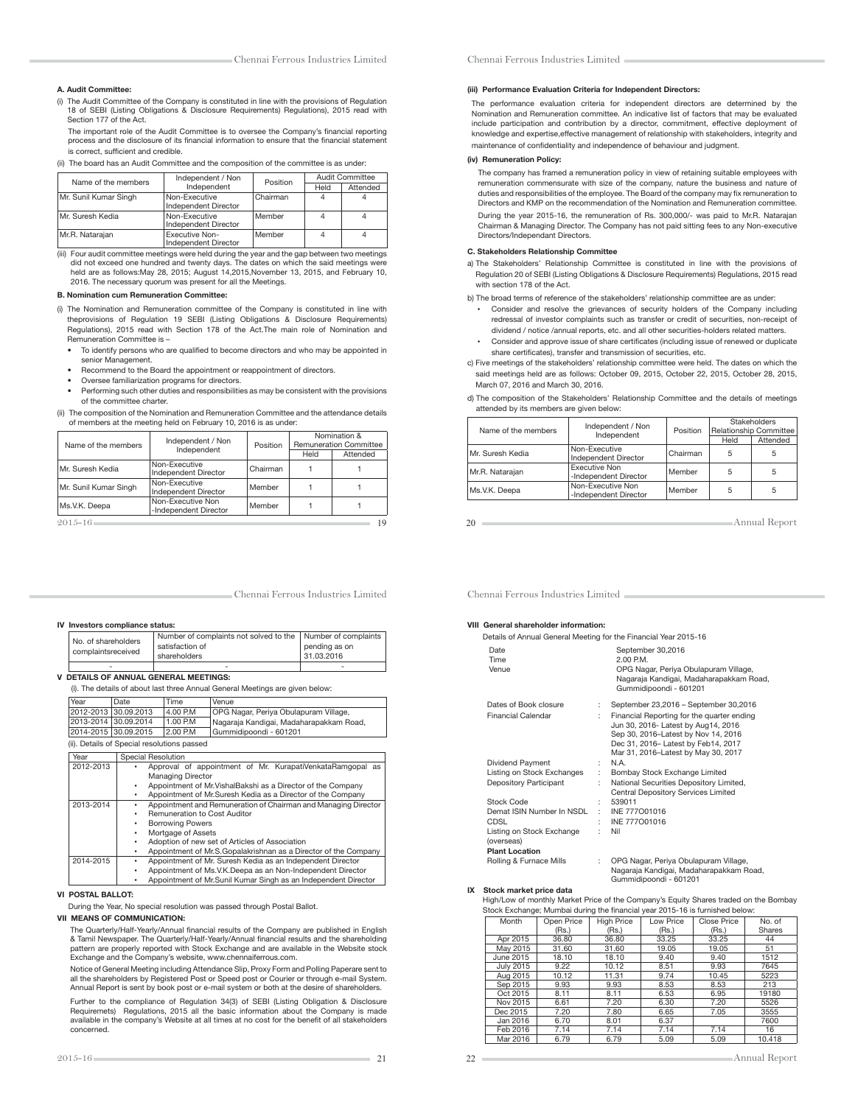#### A. Audit Committee:

(i) The Audit Committee of the Company is constituted in line with the provisions of Regulation 18 of SEBI (Listing Obligations & Disclosure Requirements) Regulations), 2015 read with Section 177 of the Act.

The important role of the Audit Committee is to oversee the Company's financial reporting process and the disclosure of its financial information to ensure that the financial statement is correct, sufficient and credible.

(ii) The board has an Audit Committee and the composition of the committee is as under:

| Name of the members   | Independent / Non                      | Position | Audit Committee |          |  |
|-----------------------|----------------------------------------|----------|-----------------|----------|--|
|                       | Independent                            |          | Held            | Attended |  |
| Mr. Sunil Kumar Singh | Non-Executive<br>Independent Director  | Chairman | 4               |          |  |
| Mr. Suresh Kedia      | Non-Executive<br>Independent Director  | Member   | 4               | 4        |  |
| Mr.R. Nataraian       | Executive Non-<br>Independent Director | Member   | 4               |          |  |

(iii) Four audit committee meetings were held during the year and the gap between two meetings did not exceed one hundred and twenty days. The dates on which the said meetings were held are as follows:May 28, 2015; August 14,2015,November 13, 2015, and February 10, 2016. The necessary quorum was present for all the Meetings.

### B. Nomination cum Remuneration Committee:

- (i) The Nomination and Remuneration committee of the Company is constituted in line with theprovisions of Regulation 19 SEBI (Listing Obligations & Disclosure Requirements) Regulations), 2015 read with Section 178 of the Act.The main role of Nomination and Remuneration Committee is –
	- To identify persons who are qualified to become directors and who may be appointed in senior Management.
	- Recommend to the Board the appointment or reappointment of directors.
	- Oversee familiarization programs for directors.
- Performing such other duties and responsibilities as may be consistent with the provisions of the committee charter.

(ii) The composition of the Nomination and Remuneration Committee and the attendance details of members at the meeting held on February 10, 2016 is as under:

| Name of the members   | Independent / Non                          | Position | Nomination &<br><b>Remuneration Committee</b> |          |  |  |
|-----------------------|--------------------------------------------|----------|-----------------------------------------------|----------|--|--|
|                       | Independent                                |          | Held                                          | Attended |  |  |
| Mr. Suresh Kedia      | Non-Executive<br>Independent Director      | Chairman |                                               |          |  |  |
| Mr. Sunil Kumar Singh | Non-Executive<br>Independent Director      | Member   |                                               |          |  |  |
| Ms.V.K. Deepa         | Non-Executive Non<br>-Independent Director | Member   |                                               |          |  |  |
| $2015 - 16$           |                                            |          |                                               | 19       |  |  |

Chennai Ferrous Industries Limited

#### (iii) Performance Evaluation Criteria for Independent Directors:

 The performance evaluation criteria for independent directors are determined by the Nomination and Remuneration committee. An indicative list of factors that may be evaluated include participation and contribution by a director, commitment, effective deployment of knowledge and expertise,effective management of relationship with stakeholders, integrity and maintenance of confidentiality and independence of behaviour and judgment.

### (iv) Remuneration Policy:

 The company has framed a remuneration policy in view of retaining suitable employees with remuneration commensurate with size of the company, nature the business and nature of duties and responsibilities of the employee. The Board of the company may fix remuneration to Directors and KMP on the recommendation of the Nomination and Remuneration committee. During the year 2015-16, the remuneration of Rs. 300,000/- was paid to Mr.R. Natarajan Chairman & Managing Director. The Company has not paid sitting fees to any Non-executive Directors/Independant Directors.

### C. Stakeholders Relationship Committee

- a) The Stakeholders' Relationship Committee is constituted in line with the provisions of Regulation 20 of SEBI (Listing Obligations & Disclosure Requirements) Regulations, 2015 read with section 178 of the Act.
- b) The broad terms of reference of the stakeholders' relationship committee are as under: Consider and resolve the grievances of security holders of the Company including redressal of investor complaints such as transfer or credit of securities, non-receipt of dividend / notice /annual reports, etc. and all other securities-holders related matters.
	- Consider and approve issue of share certificates (including issue of renewed or duplicate share certificates), transfer and transmission of securities, etc.
- c) Five meetings of the stakeholders' relationship committee were held. The dates on which the said meetings held are as follows: October 09, 2015, October 22, 2015, October 28, 2015, March 07, 2016 and March 30, 2016.

|  |  | d) The composition of the Stakeholders' Relationship Committee and the details of meetings |  |  |  |  |
|--|--|--------------------------------------------------------------------------------------------|--|--|--|--|
|  |  | attended by its members are given below:                                                   |  |  |  |  |

|                     | Independent / Non                             |          | Stakeholders           |          |  |  |
|---------------------|-----------------------------------------------|----------|------------------------|----------|--|--|
| Name of the members | Independent                                   | Position | Relationship Committee |          |  |  |
|                     |                                               |          | Held                   | Attended |  |  |
| Mr. Suresh Kedia    | Non-Executive<br>Independent Director         | Chairman | 5                      | 5        |  |  |
| Mr.R. Natarajan     | <b>Executive Non</b><br>-Independent Director | Member   | 5                      | 5        |  |  |
| Ms.V.K. Deepa       | Non-Executive Non<br>-Independent Director    | Member   | 5                      | 5        |  |  |

20 Annual Report

Chennai Ferrous Industries Limited

#### IV Investors compliance status:

|  | No. of shareholders<br>complaintsreceived | Number of complaints not solved to the   Number of complaints |               |  |  |  |
|--|-------------------------------------------|---------------------------------------------------------------|---------------|--|--|--|
|  |                                           | satisfaction of                                               | pending as on |  |  |  |
|  |                                           | shareholders                                                  | 31.03.2016    |  |  |  |
|  |                                           | ۰                                                             | ۰             |  |  |  |

### V DETAILS OF ANNUAL GENERAL MEETINGS:

| (i). The details of about last three Annual General Meetings are given below: |                                                                     |                                                                 |                                                              |  |  |  |
|-------------------------------------------------------------------------------|---------------------------------------------------------------------|-----------------------------------------------------------------|--------------------------------------------------------------|--|--|--|
| Year                                                                          | Date                                                                | Time                                                            | Venue                                                        |  |  |  |
| 2012-2013 30.09.2013                                                          |                                                                     | 4.00 P.M                                                        | OPG Nagar, Periya Obulapuram Village,                        |  |  |  |
| 2013-2014                                                                     | 30.09.2014                                                          | 1.00 P.M.                                                       | Nagaraja Kandigai, Madaharapakkam Road,                      |  |  |  |
| 2014-2015 30.09.2015                                                          |                                                                     | 2.00 P.M                                                        | Gummidipoondi - 601201                                       |  |  |  |
|                                                                               | (ii). Details of Special resolutions passed                         |                                                                 |                                                              |  |  |  |
| Year                                                                          | Special Resolution                                                  |                                                                 |                                                              |  |  |  |
| 2012-2013                                                                     |                                                                     |                                                                 | Approval of appointment of Mr. KurapatiVenkataRamgopal as    |  |  |  |
|                                                                               |                                                                     | <b>Managing Director</b>                                        |                                                              |  |  |  |
|                                                                               | ٠                                                                   |                                                                 | Appointment of Mr. VishalBakshi as a Director of the Company |  |  |  |
|                                                                               | Appointment of Mr.Suresh Kedia as a Director of the Company<br>٠    |                                                                 |                                                              |  |  |  |
| 2013-2014                                                                     | Appointment and Remuneration of Chairman and Managing Director<br>٠ |                                                                 |                                                              |  |  |  |
|                                                                               | ٠                                                                   | Remuneration to Cost Auditor                                    |                                                              |  |  |  |
|                                                                               | ٠                                                                   | <b>Borrowing Powers</b>                                         |                                                              |  |  |  |
|                                                                               | ٠                                                                   | Mortgage of Assets                                              |                                                              |  |  |  |
|                                                                               | ٠                                                                   |                                                                 | Adoption of new set of Articles of Association               |  |  |  |
|                                                                               | ٠                                                                   | Appointment of Mr.S.Gopalakrishnan as a Director of the Company |                                                              |  |  |  |
| 2014-2015                                                                     | ٠                                                                   | Appointment of Mr. Suresh Kedia as an Independent Director      |                                                              |  |  |  |
|                                                                               | ٠                                                                   | Appointment of Ms.V.K.Deepa as an Non-Independent Director      |                                                              |  |  |  |
|                                                                               |                                                                     | Appointment of Mr.Sunil Kumar Singh as an Independent Director  |                                                              |  |  |  |

### VI POSTAL BALLOT:

During the Year, No special resolution was passed through Postal Ballot.

#### VII MEANS OF COMMUNICATION:

The Quarterly/Half-Yearly/Annual financial results of the Company are published in English & Tamil Newspaper. The Quarterly/Half-Yearly/Annual "nancial results and the shareholding pattern are properly reported with Stock Exchange and are available in the Website stock Exchange and the Company's website, www.chennaiferrous.com.

 Notice of General Meeting including Attendance Slip, Proxy Form and Polling Paperare sent to all the shareholders by Registered Post or Speed post or Courier or through e-mail System. Annual Report is sent by book post or e-mail system or both at the desire of shareholders.

 Further to the compliance of Regulation 34(3) of SEBI (Listing Obligation & Disclosure Requiremets) Regulations, 2015 all the basic information about the Company is made<br>available in the company's Website at all times at no cost for the benefit of all stakeholders concerned.

Chennai Ferrous Industries Limited

#### VIII General shareholder information:

| Details of Annual General Meeting for the Financial Year 2015-16 |    |                                                                                                                                                                                                        |
|------------------------------------------------------------------|----|--------------------------------------------------------------------------------------------------------------------------------------------------------------------------------------------------------|
| Date<br>Time<br>Venue                                            |    | September 30,2016<br>2.00 P.M.<br>OPG Nagar, Periya Obulapuram Village,<br>Nagaraja Kandigai, Madaharapakkam Road,<br>Gummidipoondi - 601201                                                           |
| Dates of Book closure                                            | ÷  | September 23,2016 - September 30,2016                                                                                                                                                                  |
| <b>Financial Calendar</b>                                        | t. | Financial Reporting for the quarter ending<br>Jun 30, 2016- Latest by Aug14, 2016<br>Sep 30, 2016-Latest by Nov 14, 2016<br>Dec 31, 2016- Latest by Feb14, 2017<br>Mar 31, 2016-Latest by May 30, 2017 |
| Dividend Payment                                                 | ÷  | N.A.                                                                                                                                                                                                   |
| Listing on Stock Exchanges                                       | ÷  | Bombay Stock Exchange Limited                                                                                                                                                                          |
| Depository Participant                                           | t  | National Securities Depository Limited,<br>Central Depository Services Limited                                                                                                                         |
| Stock Code                                                       | t  | 539011                                                                                                                                                                                                 |
| Demat ISIN Number In NSDL                                        | ٠  | INE 777001016                                                                                                                                                                                          |
| CDSL                                                             | ٠  | INE 777001016                                                                                                                                                                                          |
| Listing on Stock Exchange<br>(overseas)<br><b>Plant Location</b> | t  | Nil                                                                                                                                                                                                    |
| Rolling & Furnace Mills                                          | ÷  | OPG Nagar, Periya Obulapuram Village,<br>Nagaraja Kandigai, Madaharapakkam Road,                                                                                                                       |

IX Stock market price data

High/Low of monthly Market Price of the Company's Equity Shares traded on the Bombay Stock Exchange; Mumbai during the financial year 2015-16 is furnished below:

Gummidipoondi - 601201

| Month            | Open Price | <b>High Price</b> | Low Price | Close Price | No. of |
|------------------|------------|-------------------|-----------|-------------|--------|
|                  | (Rs.)      | (Rs.)             | (Rs.)     | (Rs.)       | Shares |
| Apr 2015         | 36.80      | 36.80             | 33.25     | 33.25       | 44     |
| May 2015         | 31.60      | 31.60             | 19.05     | 19.05       | 51     |
| June 2015        | 18.10      | 18.10             | 9.40      | 9.40        | 1512   |
| <b>July 2015</b> | 9.22       | 10.12             | 8.51      | 9.93        | 7645   |
| Aug 2015         | 10.12      | 11.31             | 9.74      | 10.45       | 5223   |
| Sep 2015         | 9.93       | 9.93              | 8.53      | 8.53        | 213    |
| Oct 2015         | 8.11       | 8.11              | 6.53      | 6.95        | 19180  |
| Nov 2015         | 6.61       | 7.20              | 6.30      | 7.20        | 5526   |
| Dec 2015         | 7.20       | 7.80              | 6.65      | 7.05        | 3555   |
| Jan 2016         | 6.70       | 8.01              | 6.37      |             | 7600   |
| Feb 2016         | 7.14       | 7.14              | 7.14      | 7.14        | 16     |
| Mar 2016         | 6.79       | 6.79              | 5.09      | 5.09        | 10.418 |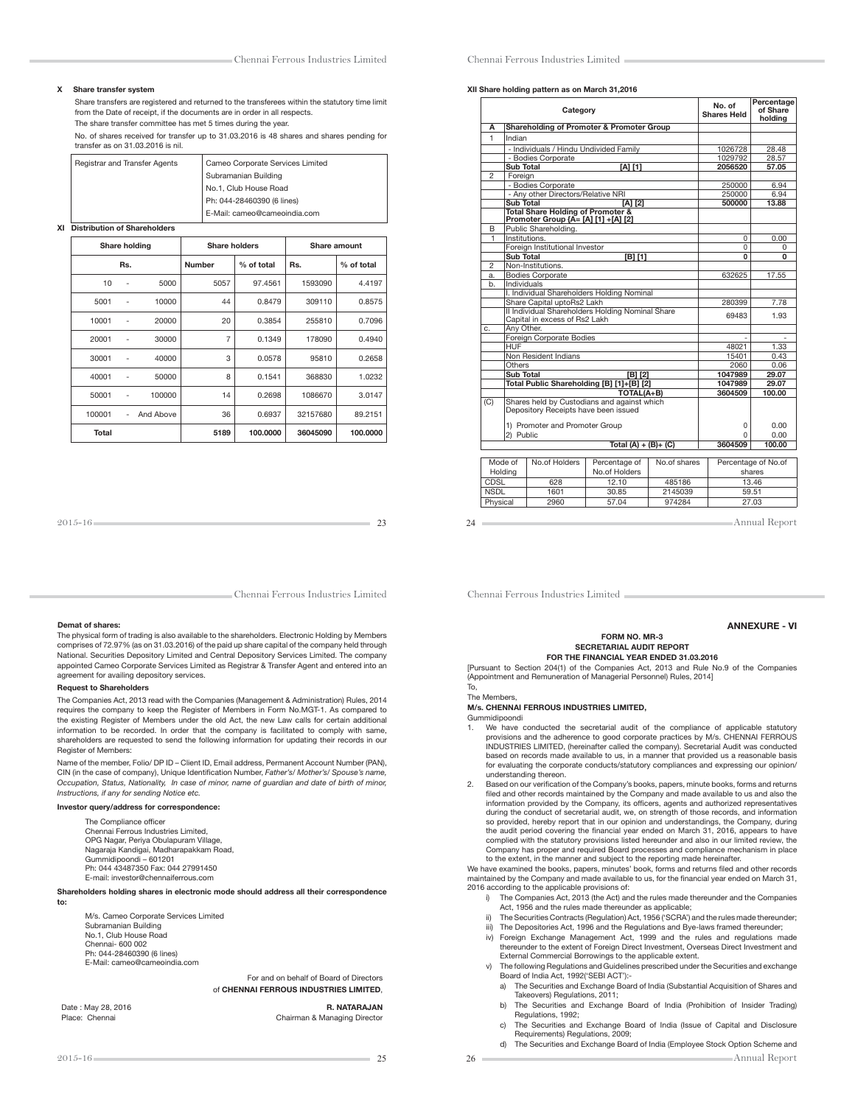#### X Share transfer system

Share transfers are registered and returned to the transferees within the statutory time limit from the Date of receipt, if the documents are in order in all respects. The share transfer committee has met 5 times during the year.

No. of shares received for transfer up to 31.03.2016 is 48 shares and shares pending for transfer as on 31.03.2016 is nil.

| Registrar and Transfer Agents | Cameo Corporate Services Limited |
|-------------------------------|----------------------------------|
|                               | Subramanian Building             |
|                               | No.1, Club House Road            |
|                               | Ph: 044-28460390 (6 lines)       |
|                               | E-Mail: cameo@cameoindia.com     |
|                               |                                  |

XI Distribution of Shareholders

| Share holding |     | <b>Share holders</b> |                | <b>Share amount</b> |          |            |
|---------------|-----|----------------------|----------------|---------------------|----------|------------|
|               | Rs. |                      | <b>Number</b>  | % of total          | Rs.      | % of total |
| 10            | ٠   | 5000                 | 5057           | 97.4561             | 1593090  | 4.4197     |
| 5001          | ٠   | 10000                | 44             | 0.8479              | 309110   | 0.8575     |
| 10001         | ٠   | 20000                | 20             | 0.3854              | 255810   | 0.7096     |
| 20001         |     | 30000                | $\overline{7}$ | 0.1349              | 178090   | 0.4940     |
| 30001         |     | 40000                | 3              | 0.0578              | 95810    | 0.2658     |
| 40001         | ٠   | 50000                | 8              | 0.1541              | 368830   | 1.0232     |
| 50001         | ٠   | 100000               | 14             | 0.2698              | 1086670  | 3.0147     |
| 100001        | ٠   | And Above            | 36             | 0.6937              | 32157680 | 89.2151    |
| Total         |     |                      | 5189           | 100.0000            | 36045090 | 100.0000   |

| 2015-16 | - - |
|---------|-----|
|         |     |

Chennai Ferrous Industries Limited

#### Demat of shares:

The physical form of trading is also available to the shareholders. Electronic Holding by Members comprises of 72.97% (as on 31.03.2016) of the paid up share capital of the company held through National. Securities Depository Limited and Central Depository Services Limited. The company appointed Cameo Corporate Services Limited as Registrar & Transfer Agent and entered into an agreement for availing depository services.

### Request to Shareholders

The Companies Act, 2013 read with the Companies (Management & Administration) Rules, 2014 requires the company to keep the Register of Members in Form No.MGT-1. As compared to the existing Register of Members under the old Act, the new Law calls for certain additional information to be recorded. In order that the company is facilitated to comply with same, shareholders are requested to send the following information for updating their records in our Register of Members:

Name of the member, Folio/ DP ID – Client ID, Email address, Permanent Account Number (PAN), CIN (in the case of company), Unique Identification Number, Father's/ Mother's/ Spouse's name Occupation, Status, Nationality, In case of minor, name of guardian and date of birth of minor, Instructions, if any for sending Notice etc.

### Investor query/address for correspondence:

The Compliance officer Chennai Ferrous Industries Limited, OPG Nagar, Periya Obulapuram Village, Nagaraja Kandigai, Madharapakkam Road, Gummidipoondi – 601201 Ph: 044 43487350 Fax: 044 27991450 E-mail: investor@chennaiferrous.com

#### Shareholders holding shares in electronic mode should address all their correspondence to:

M/s. Cameo Corporate Services Limited Subramanian Building No.1, Club House Road Chennai- 600 002 Ph: 044-28460390 (6 lines) E-Mail: cameo@cameoindia.com

> For and on behalf of Board of Directors of CHENNAI FERROUS INDUSTRIES LIMITED,

Date : May 28, 2016 **R. NATARAJAN**<br>Place: Chennai Research Chairman & Managing Director Chairman & Managing Director

#### XII Share holding pattern as on March 31,2016

|                                    | Category                                                                            |                         |              | No. of<br><b>Shares Held</b> | Percentage<br>of Share<br>holding |
|------------------------------------|-------------------------------------------------------------------------------------|-------------------------|--------------|------------------------------|-----------------------------------|
| А                                  | Shareholding of Promoter & Promoter Group                                           |                         |              |                              |                                   |
| 1                                  | Indian                                                                              |                         |              |                              |                                   |
|                                    | - Individuals / Hindu Undivided Family                                              |                         |              | 1026728                      | 28.48                             |
|                                    | - Bodies Corporate                                                                  |                         |              | 1029792                      | 28.57                             |
|                                    | Sub Total                                                                           | [A] [1]                 |              | 2056520                      | 57.05                             |
| $\mathfrak{p}$                     | Foreian                                                                             |                         |              |                              |                                   |
|                                    | - Bodies Corporate                                                                  |                         |              | 250000                       | 6.94                              |
|                                    | - Any other Directors/Relative NRI                                                  |                         |              | 250000                       | 6.94                              |
|                                    | <b>Sub Total</b>                                                                    | $[A]$ $[2]$             |              | 500000                       | 13.88                             |
|                                    | Total Share Holding of Promoter &<br>Promoter Group {A= [A] [1] +[A] [2]            |                         |              |                              |                                   |
| B                                  | Public Shareholding.                                                                |                         |              |                              |                                   |
| 1                                  | Institutions.                                                                       |                         |              | 0                            | 0.00                              |
|                                    | Foreign Institutional Investor                                                      |                         |              | $\Omega$                     | 0                                 |
|                                    | <b>Sub Total</b>                                                                    | [B] [1]                 |              | 0                            | 0                                 |
| $\overline{c}$                     | Non-Institutions.                                                                   |                         |              |                              |                                   |
| a.                                 | <b>Bodies Corporate</b>                                                             |                         |              | 632625                       | 17.55                             |
| b.                                 | Individuals                                                                         |                         |              |                              |                                   |
|                                    | I. Individual Shareholders Holding Nominal                                          |                         |              |                              |                                   |
|                                    | Share Capital uptoRs2 Lakh<br>II Individual Shareholders Holding Nominal Share      |                         |              | 280399                       | 7.78                              |
|                                    | Capital in excess of Rs2 Lakh                                                       |                         |              | 69483                        | 1.93                              |
| C.                                 | Anv Other.                                                                          |                         |              |                              |                                   |
|                                    | Foreign Corporate Bodies                                                            |                         |              |                              |                                   |
|                                    | <b>HUF</b>                                                                          |                         | 48021        | 1.33                         |                                   |
|                                    | Non Resident Indians                                                                | 15401                   | 0.43         |                              |                                   |
|                                    | Others                                                                              |                         |              | 2060                         | 0.06                              |
|                                    | <b>Sub Total</b>                                                                    | [B] [2]                 |              | 1047989                      | 29.07                             |
|                                    | Total Public Shareholding [B] [1]+[B] [2]                                           |                         |              | 1047989                      | 29.07                             |
|                                    |                                                                                     | TOTAL(A+B)              |              | 3604509                      | 100.00                            |
| (C)                                | Shares held by Custodians and against which<br>Depository Receipts have been issued |                         |              |                              |                                   |
|                                    | 1) Promoter and Promoter Group<br>2) Public                                         |                         |              | 0                            | 0.00                              |
|                                    |                                                                                     |                         |              | U                            | 0.00                              |
|                                    |                                                                                     | Total $(A) + (B) + (C)$ |              | 3604509                      | 100.00                            |
|                                    |                                                                                     |                         |              |                              |                                   |
|                                    | No.of Holders<br>Mode of                                                            | Percentage of           | No.of shares |                              | Percentage of No.of               |
| No.of Holders<br>Holding<br>shares |                                                                                     |                         |              |                              |                                   |
|                                    | $\overline{a}$<br>$\sim$ $\sim$ $\sim$ $\sim$<br>$-1 - 1 - 1$<br>---                |                         |              |                              | $\overline{a}$                    |

| ivioue oi<br>Holdina | <b>NO.OF HOIGHTS</b> | Percentage or<br>No.of Holders | <b>NO.OFSHATES</b> | Percentage or No.or<br>shares |
|----------------------|----------------------|--------------------------------|--------------------|-------------------------------|
| <b>CDSL</b>          | 628                  | 12.10                          | 485186             | 13.46                         |
| <b>NSDL</b>          | 1601                 | 30.85                          | 2145039            | 59.51                         |
| Physical             | 2960                 | 57.04                          | 974284             | 27.03                         |
|                      |                      |                                |                    |                               |

24 Annual Report

Chennai Ferrous Industries Limited

#### ANNEXURE - VI

#### FORM NO. MR-3 SECRETARIAL AUDIT REPORT FOR THE FINANCIAL YEAR ENDED 31.03.2016

[Pursuant to Section 204(1) of the Companies Act, 2013 and Rule No.9 of the Companies (Appointment and Remuneration of Managerial Personnel) Rules, 2014] To,

#### The Members,

M/s. CHENNAI FERROUS INDUSTRIES LIMITED,

- Gummidipoondi
- 1. We have conducted the secretarial audit of the compliance of applicable statutory provisions and the adherence to good corporate practices by M/s. CHENNAI FERROUS INDUSTRIES LIMITED, (hereinafter called the company). Secretarial Audit was conducted based on records made available to us, in a manner that provided us a reasonable basis for evaluating the corporate conducts/statutory compliances and expressing our opinion/ understanding thereon.
- 2. Based on our verification of the Company's books, papers, minute books, forms and returns filed and other records maintained by the Company and made available to us and also the<br>information provided by the Company, its officers, agents and authorized representatives during the conduct of secretarial audit, we, on strength of those records, and information so provided, hereby report that in our opinion and understandings, the Company, during the audit period covering the financial year ended on March 31, 2016, appears to have<br>complied with the statutory provisions listed hereunder and also in our limited review, the Company has proper and required Board processes and compliance mechanism in place to the extent, in the manner and subject to the reporting made hereinafter.

We have examined the books, papers, minutes' book, forms and returns filed and other records maintained by the Company and made available to us, for the financial year ended on March 31, 2016 according to the applicable provisions of:

- i) The Companies Act, 2013 (the Act) and the rules made thereunder and the Companies Act, 1956 and the rules made thereunder as applicable;
- ii) The Securities Contracts (Regulation) Act, 1956 ('SCRA') and the rules made thereunder;<br>iii) The Depositories Act, 1996 and the Regulations and Bye-laws framed thereunder;
- The Depositories Act, 1996 and the Regulations and Bye-laws framed thereunder;
- iv) Foreign Exchange Management Act, 1999 and the rules and regulations made thereunder to the extent of Foreign Direct Investment, Overseas Direct Investment and External Commercial Borrowings to the applicable extent.
	- v) The following Regulations and Guidelines prescribed under the Securities and exchange Board of India Act, 1992('SEBI ACT'):
		- a) The Securities and Exchange Board of India (Substantial Acquisition of Shares and Takeovers) Regulations, 2011;
- b) The Securities and Exchange Board of India (Prohibition of Insider Trading) Regulations, 1992;
	- c) The Securities and Exchange Board of India (Issue of Capital and Disclosure Requirements) Regulations, 2009;
	- d) The Securities and Exchange Board of India (Employee Stock Option Scheme and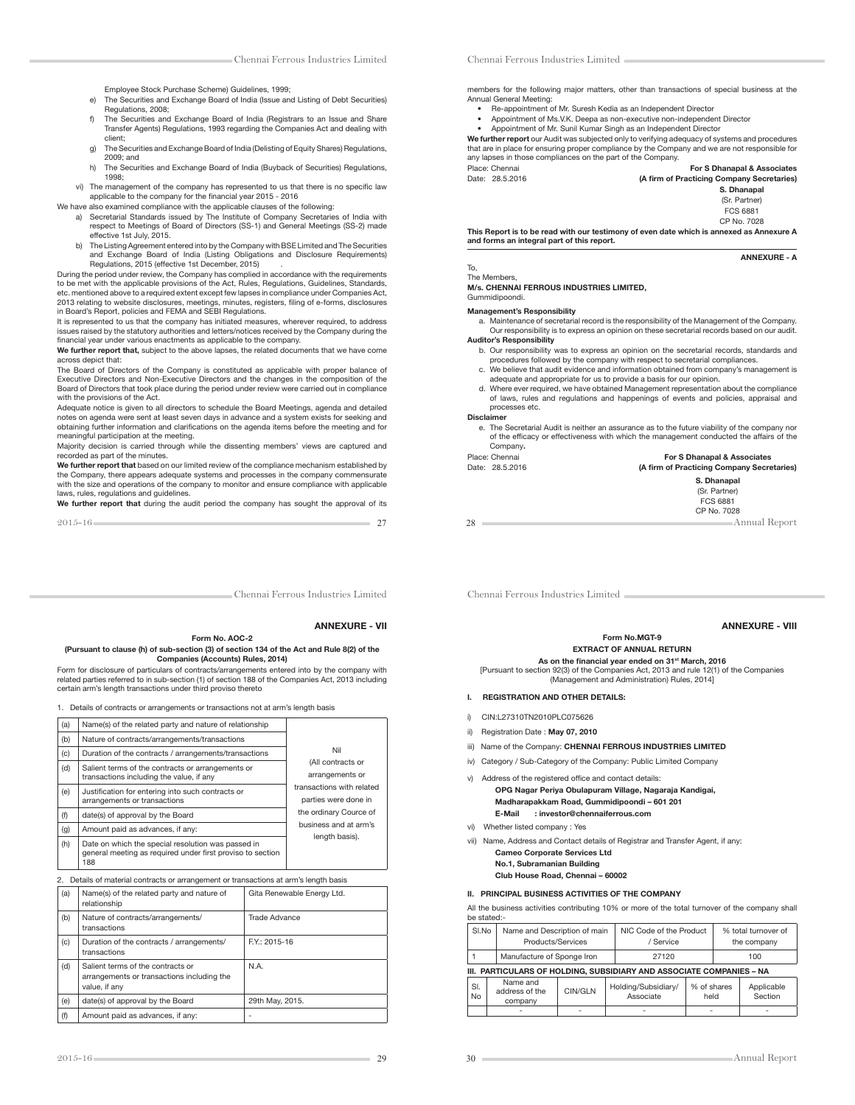- Employee Stock Purchase Scheme) Guidelines, 1999;
- e) The Securities and Exchange Board of India (Issue and Listing of Debt Securities) Regulations, 2008;
- f) The Securities and Exchange Board of India (Registrars to an Issue and Share Transfer Agents) Regulations, 1993 regarding the Companies Act and dealing with client;
- g) The Securities and Exchange Board of India (Delisting of Equity Shares) Regulations, 2009; and
- h) The Securities and Exchange Board of India (Buyback of Securities) Regulations, 1998;
- vi) The management of the company has represented to us that there is no specific law<br>applicable to the company for the financial year 2015 2016
- We have also examined compliance with the applicable clauses of the following:
	- a) Secretarial Standards issued by The Institute of Company Secretaries of India with respect to Meetings of Board of Directors (SS-1) and General Meetings (SS-2) made effective 1st July, 2015.
- b) The Listing Agreement entered into by the Company with BSE Limited and The Securities and Exchange Board of India (Listing Obligations and Disclosure Requirements) Regulations, 2015 (effective 1st December, 2015) .

During the period under review, the Company has complied in accordance with the requirements to be met with the applicable provisions of the Act, Rules, Regulations, Guidelines, Standards, etc. mentioned above to a required extent except few lapses in compliance under Companies Act,<br>2013 relating to website disclosures, meetings, minutes, registers, filing of e-forms, disclosures<br>in Board's Report, policies

It is represented to us that the company has initiated measures, wherever required, to address issues raised by the statutory authorities and letters/notices received by the Company during the financial year under various enactments as applicable to the company.

We further report that, subject to the above lapses, the related documents that we have come across depict that:

The Board of Directors of the Company is constituted as applicable with proper balance of Executive Directors and Non-Executive Directors and the changes in the composition of the Board of Directors that took place during the period under review were carried out in compliance with the provisions of the Act.

Adequate notice is given to all directors to schedule the Board Meetings, agenda and detailed notes on agenda were sent at least seven days in advance and a system exists for seeking and obtaining further information and clarifications on the agenda items before the meeting and for meaningful participation at the meeting.

Majority decision is carried through while the dissenting members' views are captured and recorded as part of the minutes.

We further report that based on our limited review of the compliance mechanism established by the Company, there appears adequate systems and processes in the company commensurate with the size and operations of the company to monitor and ensure compliance with applicable laws, rules, regulations and guidelines.

We further report that during the audit period the company has sought the approval of its

2015-16 27

Chennai Ferrous Industries Limited

#### ANNEXURE - VII

#### Form No. AOC-2 (Pursuant to clause (h) of sub-section (3) of section 134 of the Act and Rule 8(2) of the Companies (Accounts) Rules, 2014)

Form for disclosure of particulars of contracts/arrangements entered into by the company with related parties referred to in sub-section (1) of section 188 of the Companies Act, 2013 including certain arm's length transactions under third proviso thereto

1. Details of contracts or arrangements or transactions not at arm's length basis

| (a) | Name(s) of the related party and nature of relationship                                                                 |                                                   |
|-----|-------------------------------------------------------------------------------------------------------------------------|---------------------------------------------------|
| (b) | Nature of contracts/arrangements/transactions                                                                           |                                                   |
| (c) | Duration of the contracts / arrangements/transactions                                                                   | Nil                                               |
| (d) | Salient terms of the contracts or arrangements or<br>transactions including the value, if any                           | (All contracts or<br>arrangements or              |
| (e) | Justification for entering into such contracts or<br>arrangements or transactions                                       | transactions with related<br>parties were done in |
| (f) | date(s) of approval by the Board                                                                                        | the ordinary Cource of                            |
| (g) | Amount paid as advances, if any:                                                                                        | business and at arm's<br>length basis).           |
| (h) | Date on which the special resolution was passed in<br>general meeting as required under first proviso to section<br>188 |                                                   |

2. Details of material contracts or arrangement or transactions at arm's length basis

| (a)<br>Name(s) of the related party and nature of<br>relationship                                       |                                                           | Gita Renewable Energy Ltd. |  |
|---------------------------------------------------------------------------------------------------------|-----------------------------------------------------------|----------------------------|--|
| (b)                                                                                                     | Nature of contracts/arrangements/<br>transactions         | Trade Advance              |  |
| (c)                                                                                                     | Duration of the contracts / arrangements/<br>transactions | F.Y.: 2015-16              |  |
| (d)<br>Salient terms of the contracts or<br>arrangements or transactions including the<br>value, if any |                                                           | N.A.                       |  |
| (e)                                                                                                     | date(s) of approval by the Board                          | 29th May, 2015.            |  |
| (f)                                                                                                     | Amount paid as advances, if any:                          |                            |  |

### Chennai Ferrous Industries Limited

members for the following major matters, other than transactions of special business at the Annual General Meeting:

- Re-appointment of Mr. Suresh Kedia as an Independent Director
- r Appointment of Ms.V.K. Deepa as non-executive non-independent Director
- r Appointment of Mr. Sunil Kumar Singh as an Independent Director We further report our Audit was subjected only to verifying adequacy of systems and procedures

that are in place for ensuring proper compliance by the Company and we are not responsible for any lapses in those compliances on the part of the Company.

| Place: Chennai  | <b>For S Dhanapal &amp; Associates</b>     |
|-----------------|--------------------------------------------|
| Date: 28.5.2016 | (A firm of Practicing Company Secretaries) |
|                 | S. Dhanapal                                |
|                 | (Sr. Partner)                              |
|                 | FCS 6881                                   |
|                 | CP No. 7028                                |

This Report is to be read with our testimony of even date which is annexed as Annexure A and forms an integral part of this report.

To,

The Members,

M/s. CHENNAI FERROUS INDUSTRIES LIMITED, Gummidipoondi.

### Management's Responsibility

 a. Maintenance of secretarial record is the responsibility of the Management of the Company. Our responsibility is to express an opinion on these secretarial records based on our audit. Auditor's Responsibility

 b. Our responsibility was to express an opinion on the secretarial records, standards and procedures followed by the company with respect to secretarial compliances.

- c. We believe that audit evidence and information obtained from company's management is adequate and appropriate for us to provide a basis for our opinion.
- d. Where ever required, we have obtained Management representation about the compliance of laws, rules and regulations and happenings of events and policies, appraisal and processes etc.

#### Disclaimer

 e. The Secretarial Audit is neither an assurance as to the future viability of the company nor of the efficacy or effectiveness with which the management conducted the affairs of the Company.

| Place: Chennai  | For S Dhanapal & Associates         |
|-----------------|-------------------------------------|
| Date: 28.5.2016 | (A firm of Practicing Company Secre |

### of Practicing Company Secretaries) S. Dhanapal (Sr. Partner) FCS 6881 CP No. 7028

ANNEXURE - A

28 Annual Report

Chennai Ferrous Industries Limited

ANNEXURE - VIII Form No.MGT-9

#### EXTRACT OF ANNUAL RETURN

As on the financial year ended on 31<sup>st</sup> March, 2016<br>[Pursuant to section 92(3) of the Companies Act, 2013 and rule 12(1) of the Companies

(Management and Administration) Rules, 2014] I. REGISTRATION AND OTHER DETAILS:

- 
- i) CIN:L27310TN2010PLC075626
- ii) Registration Date: May 07, 2010
- iii) Name of the Company: CHENNAI FERROUS INDUSTRIES LIMITED
- iv) Category / Sub-Category of the Company: Public Limited Company

#### v) Address of the registered office and contact details: OPG Nagar Periya Obulapuram Village, Nagaraja Kandigai, Madharapakkam Road, Gummidipoondi – 601 201 E-Mail : investor@chennaiferrous.com

vi) Whether listed company : Yes

- vii) Name, Address and Contact details of Registrar and Transfer Agent, if any:
	- Cameo Corporate Services Ltd
	- No.1, Subramanian Building
	- Club House Road, Chennai 60002

### II. PRINCIPAL BUSINESS ACTIVITIES OF THE COMPANY

All the business activities contributing 10% or more of the total turnover of the company shall be stated:-

| SI.No            | Name and Description of main<br>Products/Services                    |         | / Service                        | NIC Code of the Product |     |                       |  |  |  |  |
|------------------|----------------------------------------------------------------------|---------|----------------------------------|-------------------------|-----|-----------------------|--|--|--|--|
|                  | Manufacture of Sponge Iron                                           |         | 27120                            |                         | 100 |                       |  |  |  |  |
|                  | III. PARTICULARS OF HOLDING, SUBSIDIARY AND ASSOCIATE COMPANIES – NA |         |                                  |                         |     |                       |  |  |  |  |
| SI.<br><b>No</b> | Name and<br>address of the<br>company                                | CIN/GLN | Holding/Subsidiary/<br>Associate | % of shares<br>held     |     | Applicable<br>Section |  |  |  |  |
|                  |                                                                      |         |                                  |                         |     | ۰                     |  |  |  |  |

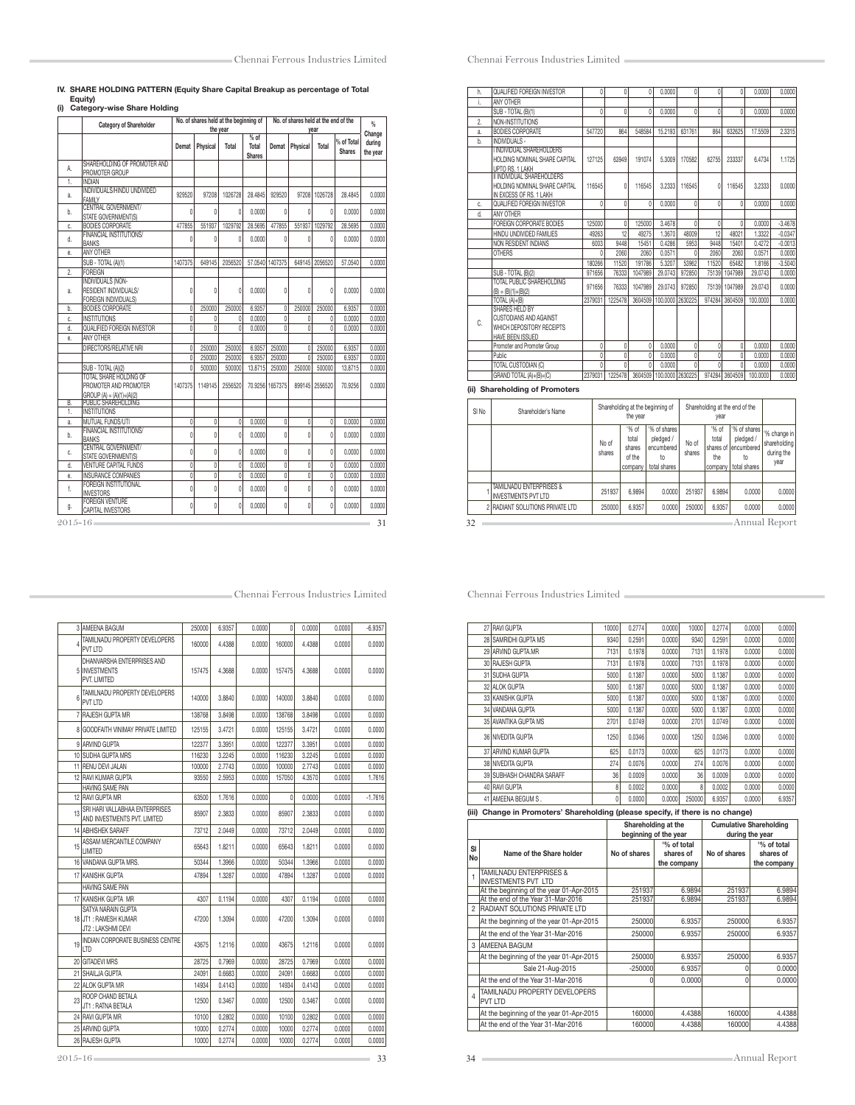## IV. SHARE HOLDING PATTERN (Equity Share Capital Breakup as percentage of Total Equity) (i) Category-wise Share Holding

|             | <b>Category of Shareholder</b>                                                | No. of shares held at the beginning of<br>No. of shares held at the end of the |                |              |                                |                 | $\frac{q}{n}$  |                |                             |                    |
|-------------|-------------------------------------------------------------------------------|--------------------------------------------------------------------------------|----------------|--------------|--------------------------------|-----------------|----------------|----------------|-----------------------------|--------------------|
|             |                                                                               |                                                                                |                | the year     |                                |                 |                | vear           |                             | Change             |
|             |                                                                               | Demat                                                                          | Physical       | Total        | % of<br>Total<br><b>Shares</b> | Demat           | Physical       | Total          | % of Total<br><b>Shares</b> | during<br>the year |
| А.          | SHAREHOLDING OF PROMOTER AND<br>PROMOTER GROUP                                |                                                                                |                |              |                                |                 |                |                |                             |                    |
| 1.          | <b>INDIAN</b>                                                                 |                                                                                |                |              |                                |                 |                |                |                             |                    |
| a.          | INDIVIDUALS/HINDU UNDIVIDED<br><b>FAMILY</b>                                  | 929520                                                                         | 97208          | 1026728      | 28.4845                        | 929520          | 97208          | 1026728        | 28.4845                     | 0.0000             |
| b.          | CENTRAL GOVERNMENT/<br>STATE GOVERNMENT(S)                                    | $\theta$                                                                       | Û              | $\theta$     | 0.0000                         | $\theta$        | $\theta$       | 0              | 0.0000                      | 0.0000             |
| C.          | <b>BODIES CORPORATE</b>                                                       | 477855                                                                         | 551937         | 1029792      | 28,5695                        | 477855          |                | 551937 1029792 | 28.5695                     | 0.0000             |
| d.          | FINANCIAL INSTITUTIONS/<br><b>BANKS</b>                                       | $\theta$                                                                       | 0              | $\theta$     | 0.0000                         | 0               | $\theta$       | 0              | 0.0000                      | 0.0000             |
| ė.          | ANY OTHER                                                                     |                                                                                |                |              |                                |                 |                |                |                             |                    |
|             | SUB - TOTAL (A)(1)                                                            | 1407375                                                                        | 649145         | 2056520      | 57.0540                        | 1407375         |                | 649145 2056520 | 57.0540                     | 0.0000             |
| 2.          | <b>FOREIGN</b>                                                                |                                                                                |                |              |                                |                 |                |                |                             |                    |
| a.          | <b>INDIVIDUALS (NON-</b><br>RESIDENT INDIVIDUALS/<br>FOREIGN INDIVIDUALS)     | $\theta$                                                                       | 0              | $\mathbf{0}$ | 0.0000                         | $\theta$        | $\theta$       | 0              | 0.0000                      | 0.0000             |
| b.          | <b>BODIES CORPORATE</b>                                                       | $\theta$                                                                       | 250000         | 250000       | 6.9357                         | $\theta$        | 250000         | 250000         | 6.9357                      | 0.0000             |
| Ċ.          | <b>INSTITUTIONS</b>                                                           | $\theta$                                                                       | $\mathbf{0}$   | $\mathbf{0}$ | 0.0000                         | 0               | $\mathbf{0}$   | 0              | 0.0000                      | 0.0000             |
| d.          | QUALIFIED FOREIGN INVESTOR                                                    | $\overline{0}$                                                                 | $\mathbf{0}$   | 0            | 0.0000                         | $\theta$        | $\theta$       | 0              | 0.0000                      | 0.0000             |
| ė.          | ANY OTHER                                                                     |                                                                                |                |              |                                |                 |                |                |                             |                    |
|             | DIRECTORS/RELATIVE NRI                                                        | $\theta$                                                                       | 250000         | 250000       | 6.9357                         | 250000          | $\theta$       | 250000         | 6.9357                      | 0.0000             |
|             |                                                                               | $\theta$                                                                       | 250000         | 250000       | 6.9357                         | 250000          | $\theta$       | 250000         | 6.9357                      | 0.0000             |
|             | SUB - TOTAL (A)(2)                                                            | $\mathbf{0}$                                                                   | 500000         | 500000       | 13,8715                        | 250000          | 250000         | 500000         | 13,8715                     | 0.0000             |
|             | TOTAL SHARE HOLDING OF<br>PROMOTER AND PROMOTER<br>$GROUP(A) = (A)(1)+(A)(2)$ | 1407375                                                                        | 1149145        | 2556520      |                                | 70.9256 1657375 |                | 899145 2556520 | 70.9256                     | 0.0000             |
| B.<br>1.    | <b>PUBLIC SHAREHOLDING</b><br><b>INSTITUTIONS</b>                             |                                                                                |                |              |                                |                 |                |                |                             |                    |
| â.          | MUTUAL FUNDS/UTI                                                              | $\overline{0}$                                                                 | $\overline{0}$ | $\mathbf{0}$ | 0.0000                         | $\overline{0}$  | $\overline{0}$ | 0              | 0.0000                      | 0.0000             |
| b.          | <b>FINANCIAL INSTITUTIONS/</b><br><b>BANKS</b>                                | $\mathbf{0}$                                                                   | 0              | $\mathbf{0}$ | 0.0000                         | 0               | 0              | 0              | 0.0000                      | 0.0000             |
| c.          | <b>CENTRAL GOVERNMENT/</b>                                                    | $\mathbf{0}$                                                                   | $\mathbf{0}$   | $\mathbf{0}$ | 0.0000                         | $\theta$        | $\mathbf{0}$   | $\mathbf{0}$   | 0.0000                      | 0.0000             |
| d.          | STATE GOVERNMENT(S)<br><b>VENTURE CAPITAL FUNDS</b>                           | $\overline{0}$                                                                 | Ō              | $\theta$     | 0.0000                         | $\overline{0}$  | $\overline{0}$ | $\overline{0}$ | 0.0000                      | 0.0000             |
| ė.          | <b>INSURANCE COMPANIES</b>                                                    | $\mathbf{0}$                                                                   | 0              | 0            | 0.0000                         | $\mathbf{0}$    | $\theta$       | 0              | 0.0000                      | 0.0000             |
|             | <b>FOREIGN INSTITUTIONAL</b>                                                  |                                                                                |                |              |                                |                 |                |                |                             |                    |
| f.          | <b>INVESTORS</b><br><b>FOREIGN VENTURE</b>                                    | $\theta$                                                                       | $\overline{0}$ | $\theta$     | 0.0000                         | $\theta$        | $\theta$       | 0              | 0.0000                      | 0.0000             |
| g.          | CAPITAL INVESTORS                                                             | $\theta$                                                                       | 0              | $\theta$     | 0.0000                         | $\theta$        | 0              | 0              | 0.0000                      | 0.0000             |
| $2015 - 16$ |                                                                               |                                                                                |                |              |                                |                 |                |                |                             | 31                 |

| h. | QUALIFIED FOREIGN INVESTOR    |        |       |        | 0.0000  |        |       |        | 0.0000  | 0.0000 |
|----|-------------------------------|--------|-------|--------|---------|--------|-------|--------|---------|--------|
|    | ANY OTHER                     |        |       |        |         |        |       |        |         |        |
|    | SUB - TOTAL (B)(1)            |        |       |        | 0.0000  |        |       |        | 0.0000  | 0.0000 |
| 2. | NON-INSTITUTIONS              |        |       |        |         |        |       |        |         |        |
| a. | <b>BODIES CORPORATE</b>       | 547720 | 864   | 548584 | 15.2193 | 631761 | 864   | 632625 | 17.5509 | 2.3315 |
| b. | INDIVIDUALS -                 |        |       |        |         |        |       |        |         |        |
|    | I INDIVIDUAL SHAREHOLDERS     |        |       |        |         |        |       |        |         |        |
|    | HOLDING NOMINAL SHARE CAPITAL | 127125 | 63949 | 191074 | 5.3009  | 170582 | 62755 | 233337 | 6.4734  | 1725   |

Chennai Ferrous Industries Limited

### $\overline{a}$  $\overline{\phantom{a}}$ 127125 63949 191074 5.3009 170582 62755 233337 6.4734 1.1725 HOLDING NOMINAL SHARE CAPITAL<br><u>UPTO RS. 1 LAKH<br>II INDIVIDUAL SHAREHOLDERS</u><br>HOLDING NOMINAL SHARE CAPITAL 116545 0 116545 3.2333 116545 0 116545 3.2333 0.0000 IN EXCESS OF RS. 1 LAKH c. QUALIFIED FOREIGN INVESTOR 0 0 0 0.0000 0 0 0 0.0000 0.0000<br>d. ANY OTHER ANY OTHER FOREIGN CORPORATE BODIES 125000 0 125000 3.4678 0 0 0 0.0000 -3.4678 HINDU UNDIVIDED FAMILIES 49263 12 49275 1.3670 48009 12 48021 1.3322 -0.0347 NON RESIDENT INDIANS 6003 9448 15451 0.4286 5953 9448 15401 0.4272 -0.0013<br>1000 0060 0061 0.000 0.0071 0.000 0.0072 0.000 0.0071 0.000<br>11620 16482 1646 -0.504 1640266 11520 191786 5.3007 53962 11520 65482 1.8166 -3.504 0 2060 2060 0.0571 0<br>180266 11520 191786 53207 53962 180266 11520 191786 5.3207 53962 11520 65482 1.8166 -3.5040 SUB - TOTAL (B)(2) 971656 | 1971656 | 197333 | 1047989 | 29.0743 | 972850 | 75139 | 1047989 | 29.0743 | 0.0000<br>TOTAL PUBLIC SHAREHOLDING | 1974050 | 27000 | 1047000 | 00.0740 | 270050 | 75400 | 4047000 | 00.0740 | 0.0000 | 10 JAL PUBLIC SHANEHOLLJING | 971656 | 76333 | 1047989 | 29.0743 | 972850 | 75139 | 1047989 | 29.0743 | 0.0000<br>| BI | BI(1)+(B)(B)<br>| TOTAL (AHB) | 20.0000 | 20.0000 | 22.079031 | 1225478 | 3604509 | 100.0000 | 2602251 | TOTAL (A)+(B) 2379031 1225478 3604509 100.0000 2630225 974284 3604509 100.0000 0.0000 SHARES HELD BY CUSTODIANS AND AGAINST C. WHICH DEPOSITORY RECEIPTS HAVE BEEN ISSUED<br>Promoter and Promoter Group 0 0 0 0 0.0000 0 0 0.0000 0 0 0.0000 0.0000 0.0000 Public 0 0 0 0.0000 0 0 0 0.0000 0.0000 TOTAL CUSTODIAN (C) 0 0 0 0.0000 0 0 0.0000 0 0.0000 0.0000 0.0000 0.0000 0.0000 0.0000 0.0000 0.0000 0.0000 0.0000 0.0000 0.0000 0.0000 0.0000 0.0000 0.0000 0.0000 0.0000 0.0000 0.0000 0.0000 0.0000 0.0000 0.0000 0.0000 0 GRAND TOTAL (A)+(B)+(C) (ii) Shareholding of Promoters

| SI No | Shareholder's Name                                    | Shareholding at the beginning of<br>the year |                                               |                                                               | Shareholding at the end of the |                                               |                                                                 |                                                    |
|-------|-------------------------------------------------------|----------------------------------------------|-----------------------------------------------|---------------------------------------------------------------|--------------------------------|-----------------------------------------------|-----------------------------------------------------------------|----------------------------------------------------|
|       |                                                       | No of<br>shares                              | '% of<br>total<br>shares<br>of the<br>company | '% of shares<br>pledged /<br>encumbered<br>to<br>total shares | No of<br>shares                | '% of<br>total<br>shares of<br>the<br>company | '% of shares<br>pledged /<br>I encumbered<br>to<br>total shares | '% change in<br>shareholding<br>during the<br>year |
|       |                                                       |                                              |                                               |                                                               |                                |                                               |                                                                 |                                                    |
|       | TAMILNADU ENTERPRISES &<br><b>INVESTMENTS PVT LTD</b> | 251937                                       | 6.9894                                        | 0.0000                                                        | 251937                         | 6.9894                                        | 0.0000                                                          | 0.0000                                             |
|       | 2 RADIANT SOLUTIONS PRIVATE LTD                       | 250000                                       | 6.9357                                        | 0.0000                                                        | 250000                         | 6.9357                                        | 0.0000                                                          | 0.0000                                             |
| 32    |                                                       |                                              |                                               |                                                               |                                |                                               |                                                                 | Annual Report                                      |

Chennai Ferrous Industries Limited

|                | 27 RAVI GUPTA                                                                   | 10000        | 0.2774           | 0.0000                   | 10000            | 0.2774       |                  | 0.0000 | 0.0000                                                             |
|----------------|---------------------------------------------------------------------------------|--------------|------------------|--------------------------|------------------|--------------|------------------|--------|--------------------------------------------------------------------|
|                | 28 SAMRIDHI GUPTA MS                                                            | 9340         | 0.2591           | 0.0000                   | 9340             | 0.2591       |                  | 0.0000 | 0.0000                                                             |
|                | 29 ARVIND GUPTA.MR                                                              | 7131         | 0.1978           | 0.0000                   | 7131             | 0.1978       |                  | 0.0000 | 0.0000                                                             |
|                | 30 RAJESH GUPTA                                                                 | 7131         | 0.1978           | 0.0000                   | 7131             | 0.1978       |                  | 0.0000 | 0.0000                                                             |
|                | 31 SUDHA GUPTA                                                                  | 5000         | 0.1387           | 0.0000                   | 5000             | 0.1387       |                  | 0.0000 | 0.0000                                                             |
|                | 32 ALOK GUPTA                                                                   | 5000         | 0.1387           | 0.0000                   | 5000             | 0.1387       |                  | 0.0000 | 0.0000                                                             |
|                | 33 KANISHK GUPTA                                                                | 5000         | 0.1387           | 0.0000                   | 5000             | 0.1387       |                  | 0.0000 | 0.0000                                                             |
|                | 34 VANDANA GUPTA                                                                | 5000         | 0.1387           | 0.0000                   | 5000             | 0.1387       |                  | 0.0000 | 0.0000                                                             |
|                | 35 AVANTIKA GUPTA MS                                                            | 2701         | 0.0749           | 0.0000                   | 2701             | 0.0749       |                  | 0.0000 | 0.0000                                                             |
|                | 36 NIVEDITA GUPTA                                                               | 1250         | 0.0346           | 0.0000                   | 1250             | 0.0346       |                  | 0.0000 | 0.0000                                                             |
|                | 37 ARVIND KUMAR GUPTA                                                           | 625          | 0.0173           | 0.0000                   | 625              | 0.0173       |                  | 0.0000 | 0.0000                                                             |
|                | 38 NIVEDITA GUPTA                                                               | 274          | 0.0076           | 0.0000                   | 274              | 0.0076       |                  | 0.0000 | 0.0000                                                             |
|                | 39 SUBHASH CHANDRA SARAFF                                                       | 36           | 0.0009           | 0.0000                   | 36               | 0.0009       |                  | 0.0000 | 0.0000                                                             |
|                | 40 RAVI GUPTA                                                                   | 8            | 0.0002           | 0.0000                   | 8                | 0.0002       |                  | 0.0000 | 0.0000                                                             |
|                | 41 AMEENA BEGUM S.                                                              | $\mathbf{0}$ | 0.0000           | 0.0000                   | 250000           | 6.9357       |                  | 0.0000 | 6.9357                                                             |
|                | (iii) Change in Promoters' Shareholding (please specify, if there is no change) |              |                  |                          |                  |              |                  |        |                                                                    |
|                |                                                                                 |              |                  |                          |                  |              |                  |        |                                                                    |
|                |                                                                                 |              |                  | Shareholding at the      |                  |              |                  |        | <b>Cumulative Shareholding</b>                                     |
|                |                                                                                 |              |                  | beginning of the year    |                  |              | during the year  |        |                                                                    |
| SI             |                                                                                 |              |                  | '% of total              |                  |              |                  |        | '% of total                                                        |
| No             | Name of the Share holder                                                        |              | No of shares     | shares of<br>the company |                  | No of shares |                  |        | shares of<br>the company                                           |
|                | TAMILNADU ENTERPRISES &                                                         |              |                  |                          |                  |              |                  |        |                                                                    |
| 1              | <b>INVESTMENTS PVT LTD</b>                                                      |              |                  |                          |                  |              |                  |        |                                                                    |
|                | At the beginning of the year 01-Apr-2015<br>At the end of the Year 31-Mar-2016  |              | 251937<br>251937 |                          | 6.9894<br>6.9894 |              | 251937<br>251937 |        |                                                                    |
| $\overline{2}$ | <b>RADIANT SOLUTIONS PRIVATE LTD</b>                                            |              |                  |                          |                  |              |                  |        |                                                                    |
|                | At the beginning of the year 01-Apr-2015                                        |              | 250000           |                          | 6.9357           |              | 250000           |        |                                                                    |
|                | At the end of the Year 31-Mar-2016                                              |              | 250000           |                          | 6.9357           |              | 250000           |        |                                                                    |
| 3              | <b>AMEENA BAGUM</b>                                                             |              |                  |                          |                  |              |                  |        |                                                                    |
|                | At the beginning of the year 01-Apr-2015                                        |              | 250000           |                          | 6.9357           |              | 250000           |        |                                                                    |
|                | Sale 21-Aug-2015                                                                |              | $-250000$        |                          | 6.9357           |              | 0                |        |                                                                    |
|                | At the end of the Year 31-Mar-2016                                              |              |                  | $\overline{0}$           | 0.0000           |              | $\theta$         |        |                                                                    |
| $\overline{4}$ | TAMILNADU PROPERTY DEVELOPERS<br><b>PVT LTD</b>                                 |              |                  |                          |                  |              |                  |        | 6.9894<br>6.9894<br>6.9357<br>6.9357<br>6.9357<br>0.0000<br>0.0000 |
|                | At the beginning of the year 01-Apr-2015                                        |              | 160000           |                          | 4.4388           |              | 160000           |        | 4.4388                                                             |

|    | 3 AMEENA BAGUM                                                   | 250000 | 6.9357 | 0.0000 | $\theta$ | 0.0000 | 0.0000 | $-6.9357$ |
|----|------------------------------------------------------------------|--------|--------|--------|----------|--------|--------|-----------|
| 4  | TAMILNADU PROPERTY DEVELOPERS<br>PVT LTD                         | 160000 | 4.4388 | 0.0000 | 160000   | 4.4388 | 0.0000 | 0.0000    |
|    | DHANVARSHA ENTERPRISES AND<br>5 INVESTMENTS<br>PVT. LIMITED      | 157475 | 4.3688 | 0.0000 | 157475   | 4.3688 | 0.0000 | 0.0000    |
| 6  | TAMILNADU PROPERTY DEVELOPERS<br>PVT LTD                         | 140000 | 3,8840 | 0.0000 | 140000   | 3.8840 | 0.0000 | 0.0000    |
|    | 7 RAJESH GUPTA MR                                                | 138768 | 3.8498 | 0.0000 | 138768   | 3.8498 | 0.0000 | 0.0000    |
|    | 8 GOODFAITH VINIMAY PRIVATE LIMITED                              | 125155 | 3.4721 | 0.0000 | 125155   | 3.4721 | 0.0000 | 0.0000    |
|    | 9 ARVIND GUPTA                                                   | 122377 | 3.3951 | 0.0000 | 122377   | 3.3951 | 0.0000 | 0.0000    |
|    | 10 SUDHA GUPTA MRS                                               | 116230 | 3.2245 | 0.0000 | 116230   | 3.2245 | 0.0000 | 0.0000    |
|    | 11 RENU DEVI JALAN                                               | 100000 | 2.7743 | 0.0000 | 100000   | 2.7743 | 0.0000 | 0.0000    |
|    | 12 RAVI KUMAR GUPTA                                              | 93550  | 2.5953 | 0.0000 | 157050   | 4.3570 | 0.0000 | 1.7616    |
|    | <b>HAVING SAME PAN</b>                                           |        |        |        |          |        |        |           |
|    | 12 RAVI GUPTA MR                                                 | 63500  | 1.7616 | 0.0000 | 0        | 0.0000 | 0.0000 | $-1.7616$ |
| 13 | SRI HARI VALLABHAA ENTERPRISES<br>AND INVESTMENTS PVT. LIMITED   | 85907  | 2.3833 | 0.0000 | 85907    | 2.3833 | 0.0000 | 0.0000    |
|    | 14 ABHISHEK SARAFF                                               | 73712  | 2.0449 | 0.0000 | 73712    | 2.0449 | 0.0000 | 0.0000    |
| 15 | ASSAM MERCANTILE COMPANY<br>LIMITED                              | 65643  | 1.8211 | 0.0000 | 65643    | 1.8211 | 0.0000 | 0.0000    |
|    | 16 VANDANA GUPTA MRS.                                            | 50344  | 1.3966 | 0.0000 | 50344    | 1.3966 | 0.0000 | 0.0000    |
|    | 17 KANISHK GUPTA                                                 | 47894  | 1.3287 | 0.0000 | 47894    | 1.3287 | 0.0000 | 0.0000    |
|    | HAVING SAME PAN                                                  |        |        |        |          |        |        |           |
|    | 17 KANISHK GUPTA MR                                              | 4307   | 0.1194 | 0.0000 | 4307     | 0.1194 | 0.0000 | 0.0000    |
|    | SATYA NARAIN GUPTA<br>18 JT1: RAMESH KUMAR<br>JT2 : LAKSHMI DEVI | 47200  | 1.3094 | 0.0000 | 47200    | 1.3094 | 0.0000 | 0.0000    |
| 19 | INDIAN CORPORATE BUSINESS CENTRE<br>LTD                          | 43675  | 1.2116 | 0.0000 | 43675    | 1.2116 | 0.0000 | 0.0000    |
|    | 20 GITADEVI MRS                                                  | 28725  | 0.7969 | 0.0000 | 28725    | 0.7969 | 0.0000 | 0.0000    |
|    | 21 SHAILJA GUPTA                                                 | 24091  | 0.6683 | 0.0000 | 24091    | 0.6683 | 0.0000 | 0.0000    |
|    | 22 ALOK GUPTA MR                                                 | 14934  | 0.4143 | 0.0000 | 14934    | 0.4143 | 0.0000 | 0.0000    |
| 23 | ROOP CHAND BETALA<br>JT1: RATNA BETALA                           | 12500  | 0.3467 | 0.0000 | 12500    | 0.3467 | 0.0000 | 0.0000    |
|    | 24 RAVI GUPTA MR                                                 | 10100  | 0.2802 | 0.0000 | 10100    | 0.2802 | 0.0000 | 0.0000    |
|    | 25 ARVIND GUPTA                                                  | 10000  | 0.2774 | 0.0000 | 10000    | 0.2774 | 0.0000 | 0.0000    |
|    | 26 RAJESH GUPTA                                                  | 10000  | 0.2774 | 0.0000 | 10000    | 0.2774 | 0.0000 | 0.0000    |
|    |                                                                  |        |        |        |          |        |        |           |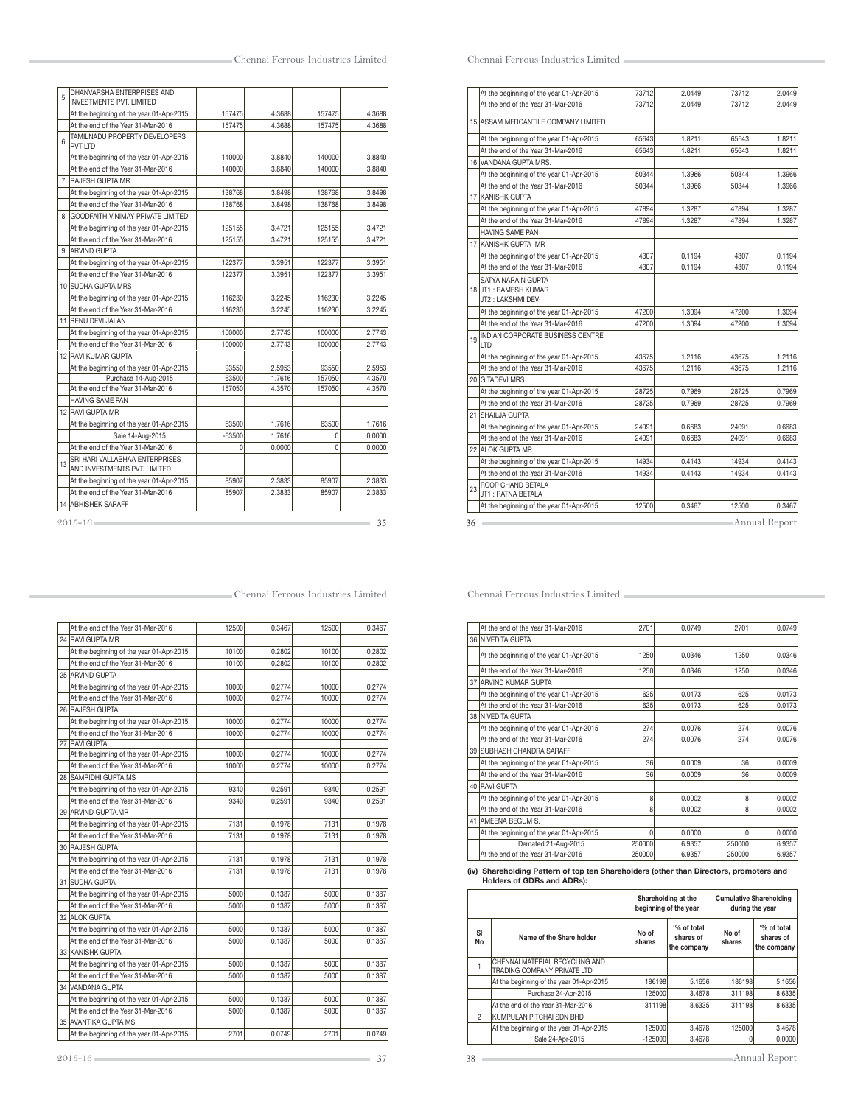| 5  | <b>DHANVARSHA ENTERPRISES AND</b><br><b>INVESTMENTS PVT. LIMITED</b> |          |        |        |        |
|----|----------------------------------------------------------------------|----------|--------|--------|--------|
|    | At the beginning of the year 01-Apr-2015                             | 157475   | 4.3688 | 157475 | 4.3688 |
|    | At the end of the Year 31-Mar-2016                                   | 157475   | 4.3688 | 157475 | 4.3688 |
| 6  | TAMILNADU PROPERTY DEVELOPERS<br><b>PVT LTD</b>                      |          |        |        |        |
|    | At the beginning of the year 01-Apr-2015                             | 140000   | 3.8840 | 140000 | 3.8840 |
|    | At the end of the Year 31-Mar-2016                                   | 140000   | 3.8840 | 140000 | 3.8840 |
| 7  | <b>RAJESH GUPTA MR</b>                                               |          |        |        |        |
|    | At the beginning of the year 01-Apr-2015                             | 138768   | 3.8498 | 138768 | 3.8498 |
|    | At the end of the Year 31-Mar-2016                                   | 138768   | 3.8498 | 138768 | 3.8498 |
| 8  | GOODFAITH VINIMAY PRIVATE LIMITED                                    |          |        |        |        |
|    | At the beginning of the year 01-Apr-2015                             | 125155   | 3.4721 | 125155 | 3.4721 |
|    | At the end of the Year 31-Mar-2016                                   | 125155   | 3.4721 | 125155 | 3.4721 |
| q  | <b>ARVIND GUPTA</b>                                                  |          |        |        |        |
|    | At the beginning of the year 01-Apr-2015                             | 122377   | 3.3951 | 122377 | 3.3951 |
|    | At the end of the Year 31-Mar-2016                                   | 122377   | 3.3951 | 122377 | 3.3951 |
|    | 10 SUDHA GUPTA MRS                                                   |          |        |        |        |
|    | At the beginning of the year 01-Apr-2015                             | 116230   | 3.2245 | 116230 | 3.2245 |
|    | At the end of the Year 31-Mar-2016                                   | 116230   | 3.2245 | 116230 | 3.2245 |
|    | 11 RENU DEVI JALAN                                                   |          |        |        |        |
|    | At the beginning of the year 01-Apr-2015                             | 100000   | 2.7743 | 100000 | 2.7743 |
|    | At the end of the Year 31-Mar-2016                                   | 100000   | 2.7743 | 100000 | 2.7743 |
|    | 12 RAVI KUMAR GUPTA                                                  |          |        |        |        |
|    | At the beginning of the year 01-Apr-2015                             | 93550    | 2.5953 | 93550  | 2.5953 |
|    | Purchase 14-Aug-2015                                                 | 63500    | 1.7616 | 157050 | 4.3570 |
|    | At the end of the Year 31-Mar-2016                                   | 157050   | 4.3570 | 157050 | 4.3570 |
|    | HAVING SAME PAN                                                      |          |        |        |        |
|    | 12 RAVI GUPTA MR                                                     |          |        |        |        |
|    | At the beginning of the year 01-Apr-2015                             | 63500    | 1.7616 | 63500  | 1.7616 |
|    | Sale 14-Aug-2015                                                     | $-63500$ | 1.7616 | 0      | 0.0000 |
|    | At the end of the Year 31-Mar-2016                                   | U        | 0.0000 | 0      | 0.0000 |
| 13 | SRI HARI VALLABHAA ENTERPRISES<br>AND INVESTMENTS PVT. LIMITED       |          |        |        |        |
|    | At the beginning of the year 01-Apr-2015                             | 85907    | 2.3833 | 85907  | 2.3833 |
|    | At the end of the Year 31-Mar-2016                                   | 85907    | 2.3833 | 85907  | 2.3833 |
|    | <b>14 ABHISHEK SARAFF</b>                                            |          |        |        |        |

|    | At the beginning of the year 01-Apr-2015                         | 73712 | 2.0449 | 73712 | 2.0449 |
|----|------------------------------------------------------------------|-------|--------|-------|--------|
|    | At the end of the Year 31-Mar-2016                               | 73712 | 2.0449 | 73712 | 2.0449 |
|    | 15 ASSAM MERCANTILE COMPANY LIMITED                              |       |        |       |        |
|    | At the beginning of the year 01-Apr-2015                         | 65643 | 1.8211 | 65643 | 1.8211 |
|    | At the end of the Year 31-Mar-2016                               | 65643 | 1.8211 | 65643 | 1.8211 |
|    | 16 VANDANA GUPTA MRS.                                            |       |        |       |        |
|    | At the beginning of the year 01-Apr-2015                         | 50344 | 1.3966 | 50344 | 1.3966 |
|    | At the end of the Year 31-Mar-2016                               | 50344 | 1.3966 | 50344 | 1.3966 |
|    | 17 KANISHK GUPTA                                                 |       |        |       |        |
|    | At the beginning of the year 01-Apr-2015                         | 47894 | 1.3287 | 47894 | 1.3287 |
|    | At the end of the Year 31-Mar-2016                               | 47894 | 1.3287 | 47894 | 1.3287 |
|    | <b>HAVING SAME PAN</b>                                           |       |        |       |        |
|    | 17 KANISHK GUPTA MR                                              |       |        |       |        |
|    | At the beginning of the year 01-Apr-2015                         | 4307  | 0.1194 | 4307  | 0.1194 |
|    | At the end of the Year 31-Mar-2016                               | 4307  | 0.1194 | 4307  | 0.1194 |
|    | SATYA NARAIN GUPTA<br>18 JT1 : RAMESH KUMAR<br>JT2: LAKSHMI DEVI |       |        |       |        |
|    | At the beginning of the year 01-Apr-2015                         | 47200 | 1.3094 | 47200 | 1.3094 |
|    | At the end of the Year 31-Mar-2016                               | 47200 | 1.3094 | 47200 | 1.3094 |
|    | 19 HDIAN CORPORATE BUSINESS CENTRE<br>LTD                        |       |        |       |        |
|    | At the beginning of the year 01-Apr-2015                         | 43675 | 1.2116 | 43675 | 1.2116 |
|    | At the end of the Year 31-Mar-2016                               | 43675 | 1.2116 | 43675 | 1.2116 |
|    | 20 GITADEVI MRS                                                  |       |        |       |        |
|    | At the beginning of the year 01-Apr-2015                         | 28725 | 0.7969 | 28725 | 0.7969 |
|    | At the end of the Year 31-Mar-2016                               | 28725 | 0.7969 | 28725 | 0.7969 |
|    | 21 SHAILJA GUPTA                                                 |       |        |       |        |
|    | At the beginning of the year 01-Apr-2015                         | 24091 | 0.6683 | 24091 | 0.6683 |
|    | At the end of the Year 31-Mar-2016                               | 24091 | 0.6683 | 24091 | 0.6683 |
|    | 22 ALOK GUPTA MR                                                 |       |        |       |        |
|    | At the beginning of the year 01-Apr-2015                         | 14934 | 0.4143 | 14934 | 0.4143 |
|    | At the end of the Year 31-Mar-2016                               | 14934 | 0.4143 | 14934 | 0.4143 |
| 23 | <b>ROOP CHAND BETALA</b><br>JT1: RATNA BETALA                    |       |        |       |        |
|    | At the beginning of the year 01-Apr-2015                         | 12500 | 0.3467 | 12500 | 0.3467 |

|  | At the end of the Year 31-Mar-2016       | 2701   | 0.0749 | 2701   | 0.0749 |
|--|------------------------------------------|--------|--------|--------|--------|
|  | 36 NIVEDITA GUPTA                        |        |        |        |        |
|  | At the beginning of the year 01-Apr-2015 | 1250   | 0.0346 | 1250   | 0.0346 |
|  | At the end of the Year 31-Mar-2016       | 1250   | 0.0346 | 1250   | 0.0346 |
|  | 37 ARVIND KUMAR GUPTA                    |        |        |        |        |
|  | At the beginning of the year 01-Apr-2015 | 625    | 0.0173 | 625    | 0.0173 |
|  | At the end of the Year 31-Mar-2016       | 625    | 0.0173 | 625    | 0.0173 |
|  | 38 INIVEDITA GUPTA                       |        |        |        |        |
|  | At the beginning of the year 01-Apr-2015 | 274    | 0.0076 | 274    | 0.0076 |
|  | At the end of the Year 31-Mar-2016       | 274    | 0.0076 | 274    | 0.0076 |
|  | 39 SUBHASH CHANDRA SARAFF                |        |        |        |        |
|  | At the beginning of the year 01-Apr-2015 | 36     | 0.0009 | 36     | 0.0009 |
|  | At the end of the Year 31-Mar-2016       | 36     | 0.0009 | 36     | 0.0009 |
|  | 40 RAVI GUPTA                            |        |        |        |        |
|  | At the beginning of the year 01-Apr-2015 | 8      | 0.0002 | 8      | 0.0002 |
|  | At the end of the Year 31-Mar-2016       | 8      | 0.0002 | 8      | 0.0002 |
|  | 41 AMEENA BEGUM S.                       |        |        |        |        |
|  | At the beginning of the year 01-Apr-2015 | 0      | 0.0000 | 0      | 0.0000 |
|  | Demated 21-Aug-2015                      | 250000 | 6.9357 | 250000 | 6.9357 |
|  | At the end of the Year 31-Mar-2016       | 250000 | 6.9357 | 250000 | 6.9357 |

# (iv) Shareholding Pattern of top ten Shareholders (other than Directors, promoters and Holders of GDRs and ADRs):

|                |                                                               |                 | Shareholding at the<br>beginning of the year         | <b>Cumulative Shareholding</b><br>during the year |                                                     |  |
|----------------|---------------------------------------------------------------|-----------------|------------------------------------------------------|---------------------------------------------------|-----------------------------------------------------|--|
| SI<br>No       | Name of the Share holder                                      | No of<br>shares | <sup>10</sup> % of total<br>shares of<br>the company | No of<br>shares                                   | <sup>1</sup> % of total<br>shares of<br>the company |  |
|                | CHENNAI MATERIAL RECYCLING AND<br>TRADING COMPANY PRIVATE LTD |                 |                                                      |                                                   |                                                     |  |
|                | At the beginning of the year 01-Apr-2015                      | 186198          | 5.1656                                               | 186198                                            | 5.1656                                              |  |
|                | Purchase 24-Apr-2015                                          | 125000          | 3.4678                                               | 311198                                            | 8.6335                                              |  |
|                | At the end of the Year 31-Mar-2016                            | 311198          | 8.6335                                               | 311198                                            | 8.6335                                              |  |
| $\overline{2}$ | KUMPULAN PITCHAI SDN BHD                                      |                 |                                                      |                                                   |                                                     |  |
|                | At the beginning of the year 01-Apr-2015                      | 125000          | 3.4678                                               | 125000                                            | 3.4678                                              |  |
|                | Sale 24-Apr-2015                                              | $-125000$       | 3.4678                                               | 0                                                 | 0.0000                                              |  |

| «Chennai Ferrous Industries Limited |  |  |
|-------------------------------------|--|--|
|-------------------------------------|--|--|

| At the end of the Year 31-Mar-2016       | 12500 | 0.3467 | 12500 | 0.3467 |
|------------------------------------------|-------|--------|-------|--------|
| 24 RAVI GUPTA MR                         |       |        |       |        |
| At the beginning of the year 01-Apr-2015 | 10100 | 0.2802 | 10100 | 0.2802 |
| At the end of the Year 31-Mar-2016       | 10100 | 0.2802 | 10100 | 0.2802 |
| 25 ARVIND GUPTA                          |       |        |       |        |
| At the beginning of the year 01-Apr-2015 | 10000 | 0.2774 | 10000 | 0.2774 |
| At the end of the Year 31-Mar-2016       | 10000 | 0.2774 | 10000 | 0.2774 |
| 26 RAJESH GUPTA                          |       |        |       |        |
| At the beginning of the year 01-Apr-2015 | 10000 | 0.2774 | 10000 | 0.2774 |
| At the end of the Year 31-Mar-2016       | 10000 | 0.2774 | 10000 | 0.2774 |
| 27 RAVI GUPTA                            |       |        |       |        |
| At the beginning of the year 01-Apr-2015 | 10000 | 0.2774 | 10000 | 0.2774 |
| At the end of the Year 31-Mar-2016       | 10000 | 0.2774 | 10000 | 0.2774 |
| 28 SAMRIDHI GUPTA MS                     |       |        |       |        |
| At the beginning of the year 01-Apr-2015 | 9340  | 0.2591 | 9340  | 0.2591 |
| At the end of the Year 31-Mar-2016       | 9340  | 0.2591 | 9340  | 0.2591 |
| 29 ARVIND GUPTA.MR                       |       |        |       |        |
| At the beginning of the year 01-Apr-2015 | 7131  | 0.1978 | 7131  | 0.1978 |
| At the end of the Year 31-Mar-2016       | 7131  | 0.1978 | 7131  | 0.1978 |
| 30 RAJESH GUPTA                          |       |        |       |        |
| At the beginning of the year 01-Apr-2015 | 7131  | 0.1978 | 7131  | 0.1978 |
| At the end of the Year 31-Mar-2016       | 7131  | 0.1978 | 7131  | 0.1978 |
| 31 SUDHA GUPTA                           |       |        |       |        |
| At the beginning of the year 01-Apr-2015 | 5000  | 0.1387 | 5000  | 0.1387 |
| At the end of the Year 31-Mar-2016       | 5000  | 0.1387 | 5000  | 0.1387 |
| 32 ALOK GUPTA                            |       |        |       |        |
| At the beginning of the year 01-Apr-2015 | 5000  | 0.1387 | 5000  | 0.1387 |
| At the end of the Year 31-Mar-2016       | 5000  | 0.1387 | 5000  | 0.1387 |
| 33 KANISHK GUPTA                         |       |        |       |        |
| At the beginning of the year 01-Apr-2015 | 5000  | 0.1387 | 5000  | 0.1387 |
| At the end of the Year 31-Mar-2016       | 5000  | 0.1387 | 5000  | 0.1387 |
| 34 VANDANA GUPTA                         |       |        |       |        |
| At the beginning of the year 01-Apr-2015 | 5000  | 0.1387 | 5000  | 0.1387 |
| At the end of the Year 31-Mar-2016       | 5000  | 0.1387 | 5000  | 0.1387 |
| 35 AVANTIKA GUPTA MS                     |       |        |       |        |
| At the beginning of the year 01-Apr-2015 | 2701  | 0.0749 | 2701  | 0.0749 |
|                                          |       |        |       |        |

## 2015-16 37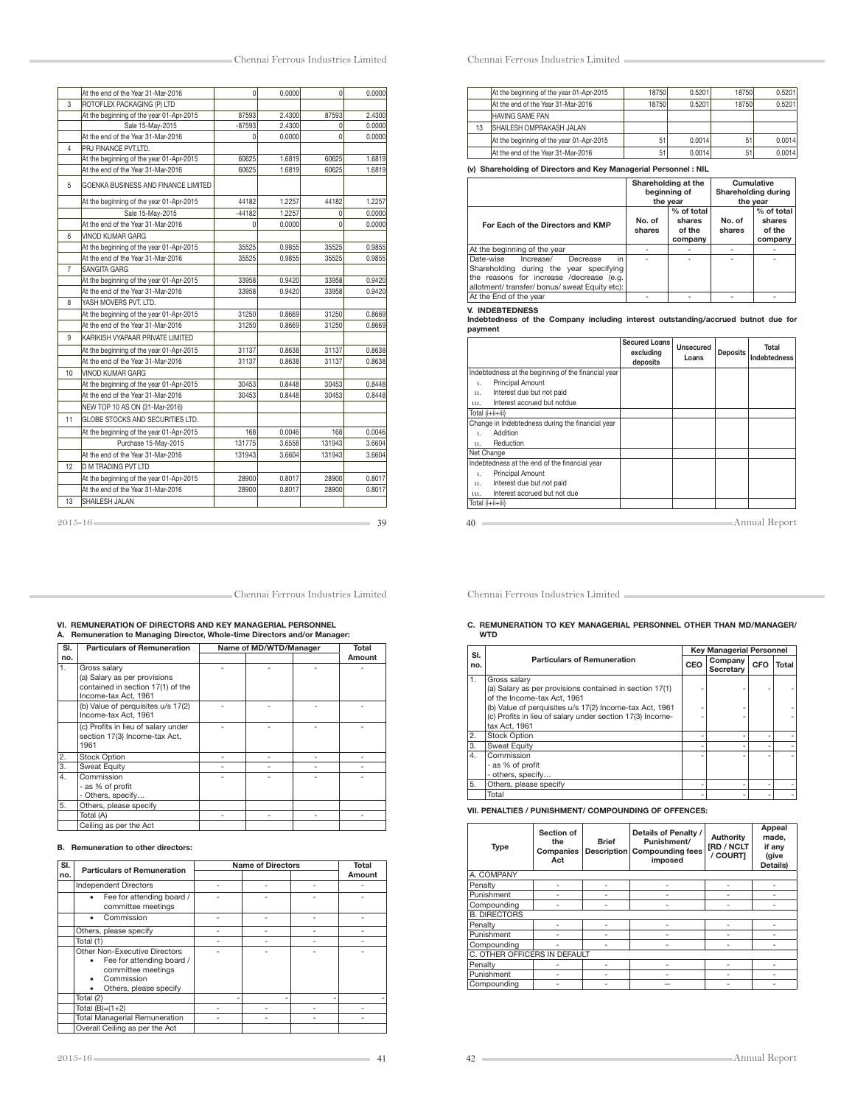|                | At the end of the Year 31-Mar-2016       | $\overline{0}$ | 0.0000 | 0        | 0.0000 |
|----------------|------------------------------------------|----------------|--------|----------|--------|
| 3              | ROTOFLEX PACKAGING (P) LTD               |                |        |          |        |
|                | At the beginning of the year 01-Apr-2015 | 87593          | 2.4300 | 87593    | 2.4300 |
|                | Sale 15-May-2015                         | $-87593$       | 2.4300 | $\Omega$ | 0.0000 |
|                | At the end of the Year 31-Mar-2016       | $\Omega$       | 0.0000 | $\Omega$ | 0.0000 |
| 4              | PRJ FINANCE PVT.LTD.                     |                |        |          |        |
|                | At the beginning of the year 01-Apr-2015 | 60625          | 1.6819 | 60625    | 1.6819 |
|                | At the end of the Year 31-Mar-2016       | 60625          | 1.6819 | 60625    | 1.6819 |
| 5              | GOENKA BUSINESS AND FINANCE LIMITED      |                |        |          |        |
|                | At the beginning of the year 01-Apr-2015 | 44182          | 1.2257 | 44182    | 1.2257 |
|                | Sale 15-May-2015                         | $-44182$       | 1.2257 | $\Omega$ | 0.0000 |
|                | At the end of the Year 31-Mar-2016       | $\Omega$       | 0.0000 | 0        | 0.0000 |
| 6              | <b>VINOD KUMAR GARG</b>                  |                |        |          |        |
|                | At the beginning of the year 01-Apr-2015 | 35525          | 0.9855 | 35525    | 0.9855 |
|                | At the end of the Year 31-Mar-2016       | 35525          | 0.9855 | 35525    | 0.9855 |
| $\overline{7}$ | SANGITA GARG                             |                |        |          |        |
|                | At the beginning of the year 01-Apr-2015 | 33958          | 0.9420 | 33958    | 0.9420 |
|                | At the end of the Year 31-Mar-2016       | 33958          | 0.9420 | 33958    | 0.9420 |
| 8              | YASH MOVERS PVT. LTD.                    |                |        |          |        |
|                | At the beginning of the year 01-Apr-2015 | 31250          | 0.8669 | 31250    | 0.8669 |
|                | At the end of the Year 31-Mar-2016       | 31250          | 0.8669 | 31250    | 0.8669 |
| 9              | KARIKISH VYAPAAR PRIVATE LIMITED         |                |        |          |        |
|                | At the beginning of the year 01-Apr-2015 | 31137          | 0.8638 | 31137    | 0.8638 |
|                | At the end of the Year 31-Mar-2016       | 31137          | 0.8638 | 31137    | 0.8638 |
| 10             | VINOD KUMAR GARG                         |                |        |          |        |
|                | At the beginning of the year 01-Apr-2015 | 30453          | 0.8448 | 30453    | 0.8448 |
|                | At the end of the Year 31-Mar-2016       | 30453          | 0.8448 | 30453    | 0.8448 |
|                | NEW TOP 10 AS ON (31-Mar-2016)           |                |        |          |        |
| 11             | GLOBE STOCKS AND SECURITIES LTD.         |                |        |          |        |
|                | At the beginning of the year 01-Apr-2015 | 168            | 0.0046 | 168      | 0.0046 |
|                | Purchase 15-Mav-2015                     | 131775         | 3.6558 | 131943   | 3.6604 |
|                | At the end of the Year 31-Mar-2016       | 131943         | 3.6604 | 131943   | 3.6604 |
| 12             | <b>D M TRADING PVT LTD</b>               |                |        |          |        |
|                | At the beginning of the year 01-Apr-2015 | 28900          | 0.8017 | 28900    | 0.8017 |
|                | At the end of the Year 31-Mar-2016       | 28900          | 0.8017 | 28900    | 0.8017 |
| 13             | SHAILESH JALAN                           |                |        |          |        |

|    | At the beginning of the year 01-Apr-2015 | 18750 | 0.5201 | 18750 | 0.5201 |
|----|------------------------------------------|-------|--------|-------|--------|
|    | At the end of the Year 31-Mar-2016       | 18750 | 0.5201 | 18750 | 0.5201 |
|    | HAVING SAME PAN                          |       |        |       |        |
| 13 | <b>ISHAILESH OMPRAKASH JALAN</b>         |       |        |       |        |
|    | At the beginning of the year 01-Apr-2015 | 51    | 0.0014 | 51    | 0.0014 |
|    | At the end of the Year 31-Mar-2016       | 51    | 0.0014 | 51    | 0.0014 |

### (v) Shareholding of Directors and Key Managerial Personnel : NIL

|                                                                                                                                                                                    |                  | Shareholding at the<br>beginning of<br>the year |                  | Cumulative<br>Shareholding during<br>the year |
|------------------------------------------------------------------------------------------------------------------------------------------------------------------------------------|------------------|-------------------------------------------------|------------------|-----------------------------------------------|
| For Each of the Directors and KMP                                                                                                                                                  | No. of<br>shares | % of total<br>shares<br>of the<br>company       | No. of<br>shares | % of total<br>shares<br>of the<br>company     |
| At the beginning of the year                                                                                                                                                       |                  |                                                 |                  |                                               |
| in.<br>Date-wise<br>Increase/<br>Decrease<br>Shareholding during the year specifying<br>the reasons for increase /decrease (e.g.<br>allotment/ transfer/ bonus/ sweat Equity etc): |                  |                                                 |                  |                                               |
| At the End of the year                                                                                                                                                             |                  |                                                 |                  |                                               |

### V. INDEBTEDNESS

Indebtedness of the Company including interest outstanding/accrued butnot due for payment

|                  |                                                     | <b>Secured Loans</b><br>excluding<br>deposits | <b>Unsecured</b><br>Loans | <b>Deposits</b> | Total<br><b>Indebtedness</b> |
|------------------|-----------------------------------------------------|-----------------------------------------------|---------------------------|-----------------|------------------------------|
|                  | Indebtedness at the beginning of the financial year |                                               |                           |                 |                              |
| 1.               | <b>Principal Amount</b>                             |                                               |                           |                 |                              |
| 11.              | Interest due but not paid                           |                                               |                           |                 |                              |
| 111.             | Interest accrued but notdue                         |                                               |                           |                 |                              |
| Total (i+ii+iii) |                                                     |                                               |                           |                 |                              |
|                  | Change in Indebtedness during the financial year    |                                               |                           |                 |                              |
| ι.               | Addition                                            |                                               |                           |                 |                              |
| 11.              | Reduction                                           |                                               |                           |                 |                              |
| Net Change       |                                                     |                                               |                           |                 |                              |
|                  | Indebtedness at the end of the financial year       |                                               |                           |                 |                              |
| 1.               | <b>Principal Amount</b>                             |                                               |                           |                 |                              |
| u.               | Interest due but not paid                           |                                               |                           |                 |                              |
| 111.             | Interest accrued but not due                        |                                               |                           |                 |                              |
| Total (i+ii+iii) |                                                     |                                               |                           |                 |                              |
| 40               |                                                     |                                               |                           |                 | Annual Report                |

Chennai Ferrous Industries Limited

# C. REMUNERATION TO KEY MANAGERIAL PERSONNEL OTHER THAN MD/MANAGER/ WTD

| SI. |                                                                                                                                                                                                                                                 |     | <b>Key Managerial Personnel</b> |     |       |
|-----|-------------------------------------------------------------------------------------------------------------------------------------------------------------------------------------------------------------------------------------------------|-----|---------------------------------|-----|-------|
| no. | <b>Particulars of Remuneration</b>                                                                                                                                                                                                              | CEO | Company<br>Secretary            | CFO | Total |
| 1.  | Gross salary<br>(a) Salary as per provisions contained in section 17(1)<br>of the Income-tax Act, 1961<br>(b) Value of perquisites u/s 17(2) Income-tax Act, 1961<br>(c) Profits in lieu of salary under section 17(3) Income-<br>tax Act. 1961 |     |                                 |     |       |
| 2.  | <b>Stock Option</b>                                                                                                                                                                                                                             |     |                                 |     |       |
| 3.  | <b>Sweat Equity</b>                                                                                                                                                                                                                             |     |                                 |     |       |
| 4.  | Commission<br>- as % of profit<br>- others, specify                                                                                                                                                                                             |     |                                 |     |       |
| 5.  | Others, please specify                                                                                                                                                                                                                          |     |                                 |     |       |
|     | Total                                                                                                                                                                                                                                           |     |                                 |     |       |

### VII. PENALTIES / PUNISHMENT/ COMPOUNDING OF OFFENCES:

| <b>Type</b>                  | Section of<br>the<br>Companies<br>Act | <b>Brief</b><br><b>Description</b> | Details of Penalty /<br>Punishment/<br><b>Compounding fees</b><br>imposed | Authority<br><b>[RD / NCLT</b><br>/ COURTI | Appeal<br>made.<br>if any<br>(give<br>Details) |  |
|------------------------------|---------------------------------------|------------------------------------|---------------------------------------------------------------------------|--------------------------------------------|------------------------------------------------|--|
| A. COMPANY                   |                                       |                                    |                                                                           |                                            |                                                |  |
| Penalty                      |                                       |                                    |                                                                           |                                            |                                                |  |
| Punishment                   |                                       |                                    |                                                                           |                                            |                                                |  |
| Compounding                  |                                       |                                    |                                                                           |                                            |                                                |  |
| <b>B. DIRECTORS</b>          |                                       |                                    |                                                                           |                                            |                                                |  |
| Penalty                      |                                       |                                    |                                                                           |                                            |                                                |  |
| Punishment                   |                                       |                                    |                                                                           |                                            |                                                |  |
| Compounding                  |                                       |                                    |                                                                           |                                            |                                                |  |
| C. OTHER OFFICERS IN DEFAULT |                                       |                                    |                                                                           |                                            |                                                |  |
| Penalty                      |                                       |                                    |                                                                           |                                            |                                                |  |
| Punishment                   |                                       |                                    |                                                                           |                                            |                                                |  |
| Compounding                  |                                       |                                    |                                                                           |                                            |                                                |  |

### Chennai Ferrous Industries Limited

# VI. REMUNERATION OF DIRECTORS AND KEY MANAGERIAL PERSONNEL A. Remuneration to Managing Director, Whole-time Directors and/or Manager:

| SI. | <b>Particulars of Remuneration</b>                                                                        | Name of MD/WTD/Manager | Total  |
|-----|-----------------------------------------------------------------------------------------------------------|------------------------|--------|
| no. |                                                                                                           |                        | Amount |
| 1.  | Gross salary<br>(a) Salary as per provisions<br>contained in section 17(1) of the<br>Income-tax Act, 1961 |                        |        |
|     | (b) Value of perquisites u/s 17(2)<br>Income-tax Act. 1961                                                |                        |        |
|     | (c) Profits in lieu of salary under<br>section 17(3) Income-tax Act,<br>1961                              |                        |        |
| 2.  | <b>Stock Option</b>                                                                                       |                        |        |
| 3.  | <b>Sweat Equity</b>                                                                                       |                        |        |
| 4.  | Commission<br>- as % of profit<br>- Others, specify                                                       |                        |        |
| 5.  | Others, please specify                                                                                    |                        |        |
|     | Total (A)                                                                                                 |                        |        |
|     | Ceiling as per the Act                                                                                    |                        |        |

### B. Remuneration to other directors:

| SI. | <b>Particulars of Remuneration</b>                                                                                                 | <b>Name of Directors</b> | Total  |
|-----|------------------------------------------------------------------------------------------------------------------------------------|--------------------------|--------|
| no. |                                                                                                                                    |                          | Amount |
|     | <b>Independent Directors</b>                                                                                                       |                          |        |
|     | Fee for attending board /<br>٠<br>committee meetings                                                                               |                          |        |
|     | Commission<br>٠                                                                                                                    |                          |        |
|     | Others, please specify                                                                                                             |                          |        |
|     | Total (1)                                                                                                                          |                          |        |
|     | Other Non-Executive Directors<br>Fee for attending board /<br>٠<br>committee meetings<br>Commission<br>Others, please specify<br>٠ |                          |        |
|     | Total (2)                                                                                                                          |                          |        |
|     | Total $(B)=(1+2)$                                                                                                                  |                          |        |
|     | <b>Total Managerial Remuneration</b>                                                                                               |                          |        |
|     | Overall Ceiling as per the Act                                                                                                     |                          |        |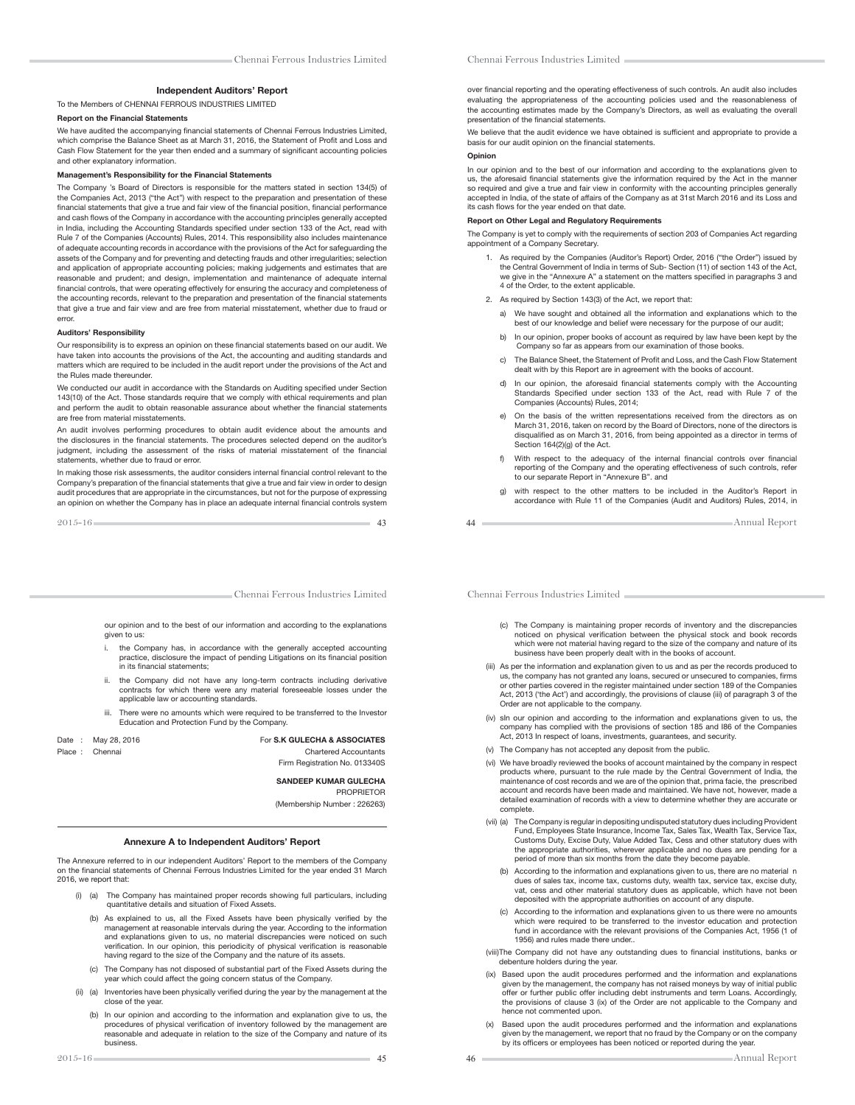#### Independent Auditors' Report

#### To the Members of CHENNAI FERROUS INDUSTRIES LIMITED

#### Report on the Financial Statements

We have audited the accompanying financial statements of Chennai Ferrous Industries Limited. which comprise the Balance Sheet as at March 31, 2016, the Statement of Profit and Loss and Cash Flow Statement for the year then ended and a summary of significant accounting policies and other explanatory information.

#### nagement's Responsibility for the Financial Statements

The Company 's Board of Directors is responsible for the matters stated in section 134(5) of the Companies Act, 2013 ("the Act") with respect to the preparation and presentation of these financial statements that give a true and fair view of the financial position, financial performance and cash flows of the Company in accordance with the accounting principles generally accepted in India, including the Accounting Standards specified under section 133 of the Act, read with Rule 7 of the Companies (Accounts) Rules, 2014. This responsibility also includes maintenance of adequate accounting records in accordance with the provisions of the Act for safeguarding the assets of the Company and for preventing and detecting frauds and other irregularities; selection and application of appropriate accounting policies; making judgements and estimates that are reasonable and prudent; and design, implementation and maintenance of adequate internal "nancial controls, that were operating effectively for ensuring the accuracy and completeness of the accounting records, relevant to the preparation and presentation of the financial statements that give a true and fair view and are free from material misstatement, whether due to fraud or error.

#### Auditors' Responsibility

Our responsibility is to express an opinion on these financial statements based on our audit. We have taken into accounts the provisions of the Act, the accounting and auditing standards and matters which are required to be included in the audit report under the provisions of the Act and the Rules made thereunder.

We conducted our audit in accordance with the Standards on Auditing specified under Section 143(10) of the Act. Those standards require that we comply with ethical requirements and plan and perform the audit to obtain reasonable assurance about whether the financial statements are free from material misstatements.

An audit involves performing procedures to obtain audit evidence about the amounts and the disclosures in the financial statements. The procedures selected depend on the auditor's judgment, including the assessment of the risks of material misstatement of the financial statements, whether due to fraud or error.

In making those risk assessments, the auditor considers internal financial control relevant to the Company's preparation of the financial statements that give a true and fair view in order to design audit procedures that are appropriate in the circumstances, but not for the purpose of expressing an opinion on whether the Company has in place an adequate internal financial controls system

2015-16 43

Chennai Ferrous Industries Limited

our opinion and to the best of our information and according to the explanations given to us:

- i. the Company has, in accordance with the generally accepted accounting practice, disclosure the impact of pending Litigations on its financial position in its financial statements:
- ii. the Company did not have any long-term contracts including derivative contracts for which there were any material foreseeable losses under the applicable law or accounting standards.
- iii. There were no amounts which were required to be transferred to the Investor Education and Protection Fund by the Company.

| Date   | May 28, 2016 |
|--------|--------------|
| Place: | Chennai      |

For S.K GULECHA & ASSOCIATES Chartered Accountants Firm Registration No. 013340S

> SANDEEP KUMAR GULECHA PROPRIETOR

> (Membership Number : 226263)

### Annexure A to Independent Auditors' Report

The Annexure referred to in our independent Auditors' Report to the members of the Company on the "nancial statements of Chennai Ferrous Industries Limited for the year ended 31 March 2016, we report that:

- (i) (a) The Company has maintained proper records showing full particulars, including quantitative details and situation of Fixed Assets.
	- (b) As explained to us, all the Fixed Assets have been physically verified by the management at reasonable intervals during the year. According to the information management at reasonable intervals during the year. According to the information and explanations given to us, no material discrepancies were noticed on such verification. In our opinion, this periodicity of physical verification is reasonable having regard to the size of the Company and the nature of its assets.
	- (c) The Company has not disposed of substantial part of the Fixed Assets during the year which could affect the going concern status of the Company.
- (ii) (a) Inventories have been physically verified during the year by the management at the close of the year.
	- (b) In our opinion and according to the information and explanation give to us, the procedures of physical verification of inventory followed by the management are reasonable and adequate in relation to the size of the Company and nature of its business.

over financial reporting and the operating effectiveness of such controls. An audit also includes evaluating the appropriateness of the accounting policies used and the reasonableness of the accounting estimates made by the Company's Directors, as well as evaluating the overall presentation of the financial statements.

We believe that the audit evidence we have obtained is sufficient and appropriate to provide a basis for our audit opinion on the financial statements.

#### **Opinion**

In our opinion and to the best of our information and according to the explanations given to us, the aforesaid financial statements give the information required by the Act in the manner<br>so required and give a true and fair view in conformity with the accounting principles generally accepted in India, of the state of affairs of the Company as at 31st March 2016 and its Loss and<br>its cash flows for the year ended on that date.

### Report on Other Legal and Regulatory Requirements

The Company is yet to comply with the requirements of section 203 of Companies Act regarding appointment of a Company Secretary.

- 1. As required by the Companies (Auditor's Report) Order, 2016 ("the Order") issued by the Central Government of India in terms of Sub- Section (11) of section 143 of the Act, we give in the "Annexure A" a statement on the matters specified in paragraphs 3 and 4 of the Order, to the extent applicable.
- 2. As required by Section 143(3) of the Act, we report that:
	- a) We have sought and obtained all the information and explanations which to the best of our knowledge and belief were necessary for the purpose of our audit;
	- b) In our opinion, proper books of account as required by law have been kept by the Company so far as appears from our examination of those books.
	- c) The Balance Sheet, the Statement of Profit and Loss, and the Cash Flow Statement dealt with by this Report are in agreement with the books of account.
	- d) In our opinion, the aforesaid financial statements comply with the Accounting Standards Specified under section 133 of the Act, read with Rule 7 of the Companies (Accounts) Rules, 2014;
	- On the basis of the written representations received from the directors as on March 31, 2016, taken on record by the Board of Directors, none of the directors is disqualified as on March 31, 2016, from being appointed as a director in terms of Section 164(2)(g) of the Act.
- f) With respect to the adequacy of the internal financial controls over financial<br>reporting of the Company and the operating effectiveness of such controls, refer to our separate Report in "Annexure B". and
	- g) with respect to the other matters to be included in the Auditor's Report in accordance with Rule 11 of the Companies (Audit and Auditors) Rules, 2014, in

44 Annual Report

- (c) The Company is maintaining proper records of inventory and the discrepancies noticed on physical verification between the physical stock and book records which were not material having regard to the size of the company and nature of its business have been properly dealt with in the books of account.
- (iii) As per the information and explanation given to us and as per the records produced to us, the company has not granted any loans, secured or unsecured to companies, firms<br>or other parties covered in the register maintained under section 189 of the Companies Act, 2013 ('the Act') and accordingly, the provisions of clause (iii) of paragraph 3 of the Order are not applicable to the company.
- (iv) sIn our opinion and according to the information and explanations given to us, the company has complied with the provisions of section 185 and I86 of the Companies Act, 2013 In respect of loans, investments, guarantees, and security.
	- (v) The Company has not accepted any deposit from the public.
	- (vi) We have broadly reviewed the books of account maintained by the company in respect products where, pursuant to the rule made by the Central Government of India, the maintenance of cost records and we are of the opinion that, prima facie, the prescribed account and records have been made and maintained. We have not, however, made a detailed examination of records with a view to determine whether they are accurate or complete.
	- (vii) (a) The Company is regular in depositing undisputed statutory dues including Provident Fund, Employees State Insurance, Income Tax, Sales Tax, Wealth Tax, Service Tax, Customs Duty, Excise Duty, Value Added Tax, Cess and other statutory dues with the appropriate authorities, wherever applicable and no dues are pending for a period of more than six months from the date they become payable.
- (b) According to the information and explanations given to us, there are no material n dues of sales tax, income tax, customs duty, wealth tax, service tax, excise duty, vat, cess and other material statutory dues as applicable, which have not been deposited with the appropriate authorities on account of any dispute.
	- (c) According to the information and explanations given to us there were no amounts which were required to be transferred to the investor education and protection fund in accordance with the relevant provisions of the Companies Act, 1956 (1 of 1956) and rules made there under..
	- (viii) The Company did not have any outstanding dues to financial institutions, banks or debenture holders during the year.
	- (ix) Based upon the audit procedures performed and the information and explanations given by the management, the company has not raised moneys by way of initial public offer or further public offer including debt instruments and term Loans. Accordingly, the provisions of clause 3 (ix) of the Order are not applicable to the Company and hence not commented upon.
	- (x) Based upon the audit procedures performed and the information and explanations given by the management, we report that no fraud by the Company or on the company by its officers or employees has been noticed or reported during the year.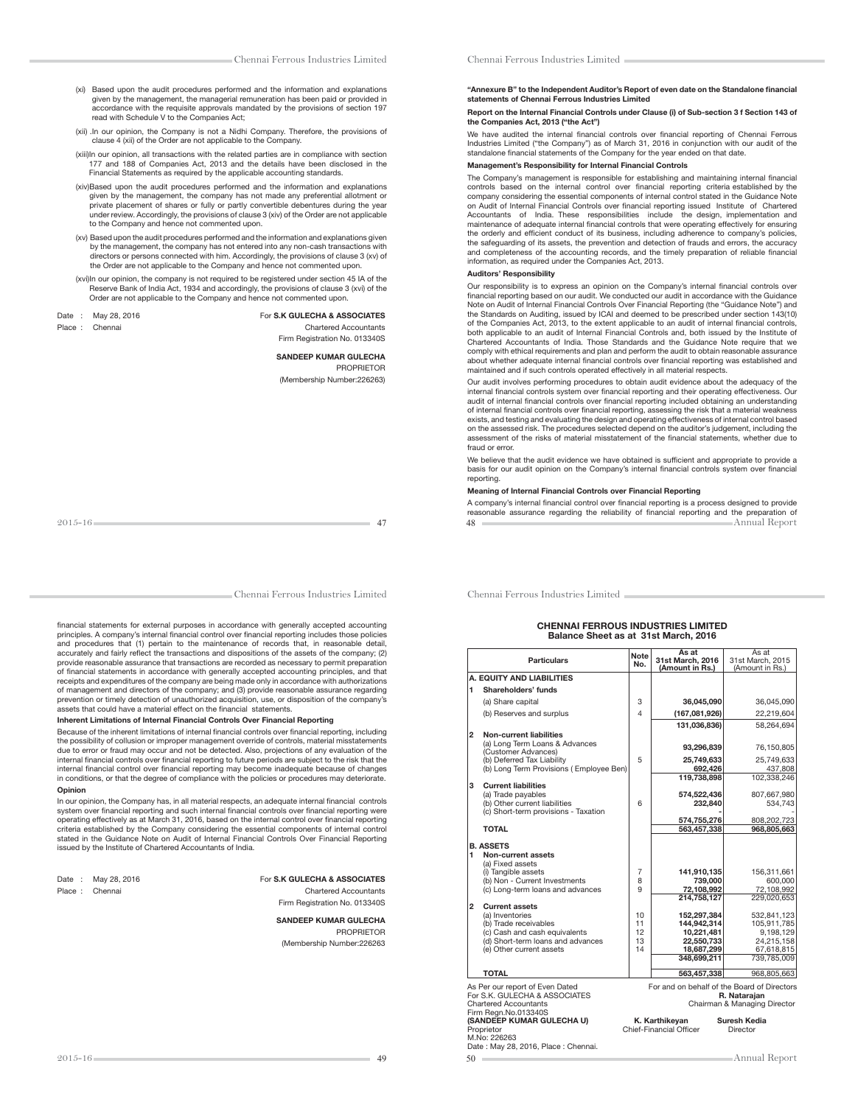- (xii) . In our opinion, the Company is not a Nidhi Company. Therefore, the provisions of clause 4 (xii) of the Order are not applicable to the Company.
- (xiii) In our opinion, all transactions with the related parties are in compliance with section 177 and 188 of Companies Act, 2013 and the details have been disclosed in the Financial Statements as required by the applicable accounting standards.
- (xiv) Based upon the audit procedures performed and the information and explanations given by the management, the company has not made any preferential allotment or private placement of shares or fully or partly convertible debentures during the year under review. Accordingly, the provisions of clause 3 (xiv) of the Order are not applicable to the Company and hence not commented upon.
- (xv) Based upon the audit procedures performed and the information and explanations given by the management, the company has not entered into any non-cash transactions with<br>directors or persons connected with him. Accordingly, the provisions of clause 3 (xv) of<br>the Order are not applicable to the Company and he
- (xvi) In our opinion, the company is not required to be registered under section 45 IA of the Reserve Bank of India Act, 1934 and accordingly, the provisions of clause 3 (xvi) of the Order are not applicable to the Company and hence not commented upon.

| )ate   | May 28, 2016 |
|--------|--------------|
| lace : | Chennai      |

#### Date : May 28, 2016 **For S.K GULECHA & ASSOCIATES** Chartered Accountants

Firm Registration No. 013340S

## SANDEEP KUMAR GULECHA

 PROPRIETOR (Membership Number:226263)

Chennai Ferrous Industries Limited

financial statements for external purposes in accordance with generally accepted accounting principles. A company's internal financial control over financial reporting includes those policies and procedures that (1) pertain to the maintenance of records that, in reasonable detail, accurately and fairly reflect the transactions and dispositions of the assets of the company; (2) provide reasonable assurance that transactions are recorded as necessary to permit preparations of financial statements in accordance with generally accepted accounting principles, and that<br>receipts and expenditures of the company are being made only in accordance with authorizations of management and directors of the company; and (3) provide reasonable assurance regarding prevention or timely detection of unauthorized acquisition, use, or disposition of the company's assets that could have a material effect on the financial statements.

#### Inherent Limitations of Internal Financial Controls Over Financial Reporting

Because of the inherent limitations of internal financial controls over financial reporting, including the possibility of collusion or improper management override of controls, material misstatements due to error or fraud may occur and not be detected. Also, projections of any evaluation of the internal financial controls over financial reporting to future periods are subject to the risk that the internal financial control over financial reporting may become inadequate because of changes in conditions, or that the degree of compliance with the policies or procedures may deteriorate. Opinion

### In our opinion, the Company has, in all material respects, an adequate internal financial controls<br>system over financial reporting and such internal financial controls over financial reporting were operating effectively as at March 31, 2016, based on the internal control over "nancial reporting criteria established by the Company considering the essential components of internal control stated in the Guidance Note on Audit of Internal Financial Controls Over Financial Reporting issued by the Institute of Chartered Accountants of India.

#### Date : May 28, 2016 **For S.K GULECHA & ASSOCIATES**<br>Place : Chennai **Charles Charles Charles Charles Charles Charles Charles Charles Charles Charles Charles Charles Charles Charles Charles Charles Charles Charles Charles Ch** Chartered Accountants

Firm Registration No. 013340S

#### SANDEEP KUMAR GULECHA PROPRIETOR (Membership Number:226263

#### "Annexure B" to the Independent Auditor's Report of even date on the Standalone financial statements of Chennai Ferrous Industries Limited

#### Report on the Internal Financial Controls under Clause (i) of Sub-section 3 f Section 143 of the Companies Act, 2013 ("the Act")

We have audited the internal financial controls over financial reporting of Chennai Ferrous Industries Limited ("the Company") as of March 31, 2016 in conjunction with our audit of the standalone financial statements of the Company for the year ended on that date.

### Management's Responsibility for Internal Financial Controls

The Company's management is responsible for establishing and maintaining internal financial controls based on the internal control over "nancial reporting criteria established by the company considering the essential components of internal control stated in the Guidance Note on Audit of Internal Financial Controls over "nancial reporting issued Institute of Chartered Accountants of India. These responsibilities include the design, implementation and maintenance of adequate internal financial controls that were operating effectively for ensuring the orderly and efficient conduct of its business, including adherence to company's policies, the safeguarding of its assets, the prevention and detection of frauds and errors, the accuracy and completeness of the accounting records, and the timely preparation of reliable financial<br>information, as required under the Companies Act, 2013.

### Auditors' Responsibility

Our responsibility is to express an opinion on the Company's internal financial controls over<br>financial reporting based on our audit. We conducted our audit in accordance with the Guidance Note on Audit of Internal Financial Controls Over Financial Reporting (the "Guidance Note") and the Standards on Auditing, issued by ICAI and deemed to be prescribed under section 143(10) of the Companies Act, 2013, to the extent applicable to an audit of internal financial controls, both applicable to an audit of Internal Financial Controls and, both issued by the Institute of Chartered Accountants of India. Those Standards and the Guidance Note require that we comply with ethical requirements and plan and perform the audit to obtain reasonable assurance about whether adequate internal "nancial controls over "nancial reporting was established and maintained and if such controls operated effectively in all material respects.

Our audit involves performing procedures to obtain audit evidence about the adequacy of the internal financial controls system over financial reporting and their operating effectiveness. Our audit of internal financial controls over financial reporting included obtaining an understanding of internal financial controls over financial reporting, assessing the risk that a material weakness<br>exists, and testing and evaluating the design and operating effectiveness of internal control based on the assessed risk. The procedures selected depend on the auditor's judgement, including the assessment of the risks of material misstatement of the "nancial statements, whether due to fraud or error.

We believe that the audit evidence we have obtained is sufficient and appropriate to provide a basis for our audit opinion on the Company's internal financial controls system over financial reporting.

#### Meaning of Internal Financial Controls over Financial Reporting

48 Annual Report A company's internal financial control over financial reporting is a process designed to provide<br>reasonable assurance regarding the reliability of financial reporting and the preparation of

Chennai Ferrous Industries Limited

#### CHENNAI FERROUS INDUSTRIES LIMITED Balance Sheet as at 31st March, 2016

|                                                                                                                                                                                                                                                                                        | <b>Particulars</b>                                                                                                                         | Note<br>No.                       | As at<br>31st March, 2016<br>(Amount in Rs.)                                        | As at<br>31st March, 2015<br>(Amount in Rs.)                                       |
|----------------------------------------------------------------------------------------------------------------------------------------------------------------------------------------------------------------------------------------------------------------------------------------|--------------------------------------------------------------------------------------------------------------------------------------------|-----------------------------------|-------------------------------------------------------------------------------------|------------------------------------------------------------------------------------|
|                                                                                                                                                                                                                                                                                        | A. EQUITY AND LIABILITIES                                                                                                                  |                                   |                                                                                     |                                                                                    |
| $\mathbf{1}$                                                                                                                                                                                                                                                                           | Shareholders' funds                                                                                                                        |                                   |                                                                                     |                                                                                    |
|                                                                                                                                                                                                                                                                                        | (a) Share capital                                                                                                                          | 3                                 | 36,045,090                                                                          | 36,045,090                                                                         |
|                                                                                                                                                                                                                                                                                        | (b) Reserves and surplus                                                                                                                   | 4                                 | (167,081,926)                                                                       | 22,219,604                                                                         |
|                                                                                                                                                                                                                                                                                        |                                                                                                                                            |                                   | 131.036.836)                                                                        | 58.264.694                                                                         |
| 2                                                                                                                                                                                                                                                                                      | Non-current liabilities                                                                                                                    |                                   |                                                                                     |                                                                                    |
|                                                                                                                                                                                                                                                                                        | (a) Long Term Loans & Advances<br>(Customer Advances)                                                                                      |                                   | 93,296,839                                                                          | 76,150,805                                                                         |
|                                                                                                                                                                                                                                                                                        | (b) Deferred Tax Liability                                                                                                                 | 5                                 | 25,749,633                                                                          | 25,749,633                                                                         |
|                                                                                                                                                                                                                                                                                        | (b) Long Term Provisions (Employee Ben)                                                                                                    |                                   | 692.426                                                                             | 437.808                                                                            |
|                                                                                                                                                                                                                                                                                        |                                                                                                                                            |                                   | 119,738,898                                                                         | 102,338,246                                                                        |
| 3                                                                                                                                                                                                                                                                                      | <b>Current liabilities</b><br>(a) Trade payables                                                                                           |                                   | 574,522,436                                                                         | 807,667,980                                                                        |
|                                                                                                                                                                                                                                                                                        | (b) Other current liabilities                                                                                                              | 6                                 | 232.840                                                                             | 534.743                                                                            |
|                                                                                                                                                                                                                                                                                        | (c) Short-term provisions - Taxation                                                                                                       |                                   |                                                                                     |                                                                                    |
|                                                                                                                                                                                                                                                                                        | <b>TOTAL</b>                                                                                                                               |                                   | 574,755,276<br>563.457.338                                                          | 808,202,723<br>968,805,663                                                         |
|                                                                                                                                                                                                                                                                                        |                                                                                                                                            |                                   |                                                                                     |                                                                                    |
| 1                                                                                                                                                                                                                                                                                      | <b>B. ASSETS</b><br>Non-current assets<br>(a) Fixed assets<br>(i) Tangible assets                                                          | 7                                 | 141.910.135                                                                         | 156.311.661                                                                        |
|                                                                                                                                                                                                                                                                                        | (b) Non - Current Investments                                                                                                              | 8                                 | 739,000                                                                             | 600.000                                                                            |
|                                                                                                                                                                                                                                                                                        | (c) Long-term loans and advances                                                                                                           | 9                                 | 72.108.992                                                                          | 72,108,992                                                                         |
| $\overline{2}$                                                                                                                                                                                                                                                                         | <b>Current assets</b>                                                                                                                      |                                   | 214.758.127                                                                         | 229.020.653                                                                        |
|                                                                                                                                                                                                                                                                                        | (a) Inventories<br>(b) Trade receivables<br>(c) Cash and cash equivalents<br>(d) Short-term loans and advances<br>(e) Other current assets | $10^{-1}$<br>11<br>12<br>13<br>14 | 152.297.384<br>144.942.314<br>10.221.481<br>22,550,733<br>18,687,299<br>348.699.211 | 532.841.123<br>105,911,785<br>9,198,129<br>24,215,158<br>67,618,815<br>739.785.009 |
|                                                                                                                                                                                                                                                                                        |                                                                                                                                            |                                   |                                                                                     |                                                                                    |
|                                                                                                                                                                                                                                                                                        | <b>TOTAL</b>                                                                                                                               |                                   | 563,457,338                                                                         | 968,805,663                                                                        |
| As Per our report of Even Dated<br>For and on behalf of the Board of Directors<br>For S.K. GULECHA & ASSOCIATES<br>R. Nataraian<br><b>Chartered Accountants</b><br>Chairman & Managing Director<br>Firm Regn.No.013340S<br>K. Karthikevan<br>(SANDEEP KUMAR GULECHA U)<br>Suresh Kedia |                                                                                                                                            |                                   |                                                                                     |                                                                                    |

Proprietor Chief-Financial Officer Director

M.No: 226263

Date : May 28, 2016, Place : Chennai.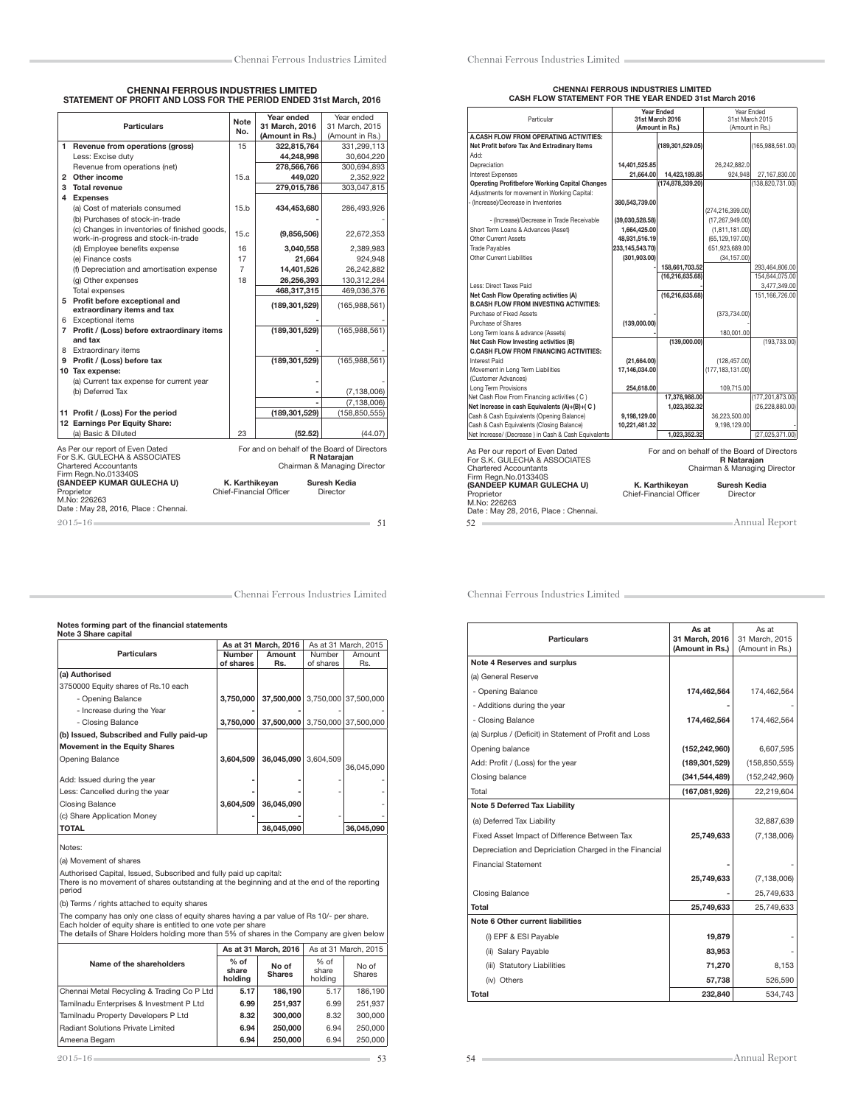# CHENNAI FERROUS INDUSTRIES LIMITED STATEMENT OF PROFIT AND LOSS FOR THE PERIOD ENDED 31st March, 2016

| <b>Particulars</b>                                                                                                                                                                                                                                                                                                                                                                                |                                                                                      | <b>Note</b>    | Year ended<br>Year ended |                 |  |  |  |  |
|---------------------------------------------------------------------------------------------------------------------------------------------------------------------------------------------------------------------------------------------------------------------------------------------------------------------------------------------------------------------------------------------------|--------------------------------------------------------------------------------------|----------------|--------------------------|-----------------|--|--|--|--|
|                                                                                                                                                                                                                                                                                                                                                                                                   |                                                                                      | No.            | 31 March, 2016           | 31 March, 2015  |  |  |  |  |
|                                                                                                                                                                                                                                                                                                                                                                                                   |                                                                                      |                | (Amount in Rs.)          | (Amount in Rs.) |  |  |  |  |
|                                                                                                                                                                                                                                                                                                                                                                                                   | 1 Revenue from operations (gross)                                                    | 15             | 322,815,764              | 331,299,113     |  |  |  |  |
|                                                                                                                                                                                                                                                                                                                                                                                                   | Less: Excise duty                                                                    |                | 44.248.998               | 30,604,220      |  |  |  |  |
|                                                                                                                                                                                                                                                                                                                                                                                                   | Revenue from operations (net)                                                        |                | 278,566,766              | 300,694,893     |  |  |  |  |
|                                                                                                                                                                                                                                                                                                                                                                                                   | 2 Other income                                                                       | 15.a           | 449,020                  | 2,352,922       |  |  |  |  |
|                                                                                                                                                                                                                                                                                                                                                                                                   | 3 Total revenue                                                                      | 279,015,786    | 303,047,815              |                 |  |  |  |  |
|                                                                                                                                                                                                                                                                                                                                                                                                   | 4 Expenses                                                                           |                |                          |                 |  |  |  |  |
|                                                                                                                                                                                                                                                                                                                                                                                                   | (a) Cost of materials consumed                                                       | 15.h           | 434,453,680              | 286,493,926     |  |  |  |  |
|                                                                                                                                                                                                                                                                                                                                                                                                   | (b) Purchases of stock-in-trade                                                      |                |                          |                 |  |  |  |  |
|                                                                                                                                                                                                                                                                                                                                                                                                   | (c) Changes in inventories of finished goods,<br>work-in-progress and stock-in-trade | 15.c.          | (9,856,506)              | 22,672,353      |  |  |  |  |
|                                                                                                                                                                                                                                                                                                                                                                                                   | (d) Employee benefits expense                                                        | 16             | 3.040.558                | 2.389.983       |  |  |  |  |
|                                                                                                                                                                                                                                                                                                                                                                                                   | (e) Finance costs                                                                    | 17             | 21.664                   | 924.948         |  |  |  |  |
|                                                                                                                                                                                                                                                                                                                                                                                                   | (f) Depreciation and amortisation expense                                            | $\overline{7}$ | 14,401,526               | 26,242,882      |  |  |  |  |
|                                                                                                                                                                                                                                                                                                                                                                                                   | (g) Other expenses                                                                   | 18             | 26,256,393               | 130,312,284     |  |  |  |  |
|                                                                                                                                                                                                                                                                                                                                                                                                   | Total expenses                                                                       |                | 468,317,315              | 469,036,376     |  |  |  |  |
|                                                                                                                                                                                                                                                                                                                                                                                                   | 5 Profit before exceptional and                                                      |                |                          |                 |  |  |  |  |
|                                                                                                                                                                                                                                                                                                                                                                                                   | extraordinary items and tax                                                          |                | (189, 301, 529)          | (165,988,561)   |  |  |  |  |
|                                                                                                                                                                                                                                                                                                                                                                                                   | 6 Exceptional items                                                                  |                |                          |                 |  |  |  |  |
|                                                                                                                                                                                                                                                                                                                                                                                                   | 7 Profit / (Loss) before extraordinary items                                         |                | (189, 301, 529)          | (165, 988, 561) |  |  |  |  |
|                                                                                                                                                                                                                                                                                                                                                                                                   | and tax                                                                              |                |                          |                 |  |  |  |  |
|                                                                                                                                                                                                                                                                                                                                                                                                   | 8 Extraordinary items                                                                |                |                          |                 |  |  |  |  |
|                                                                                                                                                                                                                                                                                                                                                                                                   | 9 Profit / (Loss) before tax                                                         |                | (189,301,529)            | (165, 988, 561) |  |  |  |  |
|                                                                                                                                                                                                                                                                                                                                                                                                   | 10 Tax expense:                                                                      |                |                          |                 |  |  |  |  |
|                                                                                                                                                                                                                                                                                                                                                                                                   | (a) Current tax expense for current year                                             |                |                          |                 |  |  |  |  |
|                                                                                                                                                                                                                                                                                                                                                                                                   | (b) Deferred Tax                                                                     |                |                          | (7, 138, 006)   |  |  |  |  |
|                                                                                                                                                                                                                                                                                                                                                                                                   |                                                                                      |                |                          | (7, 138, 006)   |  |  |  |  |
|                                                                                                                                                                                                                                                                                                                                                                                                   | 11 Profit / (Loss) For the period                                                    |                | (189,301,529)            | (158, 850, 555) |  |  |  |  |
|                                                                                                                                                                                                                                                                                                                                                                                                   | 12 Earnings Per Equity Share:                                                        |                |                          |                 |  |  |  |  |
|                                                                                                                                                                                                                                                                                                                                                                                                   | (a) Basic & Diluted                                                                  | 23             | (52.52)                  | (44.07)         |  |  |  |  |
| For and on behalf of the Board of Directors<br>As Per our report of Even Dated<br>For S.K. GULECHA & ASSOCIATES<br>R Nataraian<br><b>Chartered Accountants</b><br>Chairman & Managing Director<br>Firm Regn.No.013340S<br>(SANDEEP KUMAR GULECHA U)<br>K. Karthikevan<br>Suresh Kedia<br>Chief-Financial Officer<br>Proprietor<br>Director<br>M.No: 226263<br>Date: May 28, 2016, Place: Chennai. |                                                                                      |                |                          |                 |  |  |  |  |
|                                                                                                                                                                                                                                                                                                                                                                                                   | $2015 - 16$<br>51                                                                    |                |                          |                 |  |  |  |  |

# CHENNAI FERROUS INDUSTRIES LIMITED CASH FLOW STATEMENT FOR THE YEAR ENDED 31st March 2016

| Particular                                            |                 | <b>Year Ended</b><br>31st March 2016 |                                             | Year Ended<br>31st March 2015 |
|-------------------------------------------------------|-----------------|--------------------------------------|---------------------------------------------|-------------------------------|
|                                                       |                 | (Amount in Rs.)                      |                                             | (Amount in Rs.)               |
| A.CASH FLOW FROM OPERATING ACTIVITIES:                |                 |                                      |                                             |                               |
| Net Profit before Tax And Extradinary Items           |                 | (189,301,529.05)                     |                                             | (165,988,561.00)              |
| Add:                                                  |                 |                                      |                                             |                               |
| Depreciation                                          | 14,401,525.85   |                                      | 26,242,882.0                                |                               |
| Interest Expenses                                     | 21.664.00       | 14,423,189.85                        | 924.948                                     | 27.167.830.00                 |
| <b>Operating Profitbefore Working Capital Changes</b> |                 | (174,878,339.20)                     |                                             | (138,820,731.00)              |
| Adjustments for movement in Working Capital:          |                 |                                      |                                             |                               |
| - (Increase)/Decrease in Inventories                  | 380,543,739.00  |                                      |                                             |                               |
|                                                       |                 |                                      | (274,216,399.00)                            |                               |
| - (Increase)/Decrease in Trade Receivable             | (39,030,528.58) |                                      | (17, 267, 949.00)                           |                               |
| Short Term Loans & Advances (Asset)                   | 1,664,425.00    |                                      | (1,811,181.00)                              |                               |
| Other Current Assets                                  | 48,931,516.19   |                                      | (65, 129, 197.00)                           |                               |
| <b>Trade Payables</b>                                 | 233,145,543.70) |                                      | 651,923,689.00                              |                               |
| Other Current Liabilities                             | (301, 903.00)   |                                      | (34, 157.00)                                |                               |
|                                                       |                 | 158,661,703.52                       |                                             | 293,464,806.00                |
|                                                       |                 | (16, 216, 635.68)                    |                                             | 154,644,075.00                |
| Less: Direct Taxes Paid                               |                 |                                      |                                             | 3,477,349.00                  |
| Net Cash Flow Operating activities (A)                |                 | (16, 216, 635.68)                    |                                             | 151,166,726.00                |
| <b>B.CASH FLOW FROM INVESTING ACTIVITIES:</b>         |                 |                                      |                                             |                               |
| Purchase of Fixed Assets                              |                 |                                      | (373, 734.00)                               |                               |
| Purchase of Shares                                    | (139,000.00)    |                                      |                                             |                               |
| Long Term Ioans & advance (Assets)                    |                 |                                      | 180,001.00                                  |                               |
| Net Cash Flow Investing activities (B)                |                 | (139,000.00)                         | (193, 733.00)                               |                               |
| <b>C.CASH FLOW FROM FINANCING ACTIVITIES:</b>         |                 |                                      |                                             |                               |
| Interest Paid                                         | (21.664.00)     |                                      | (128, 457.00)                               |                               |
| Movement in Long Term Liabilities                     | 17,146,034.00   |                                      | (177, 183, 131.00)                          |                               |
| (Customer Advances)                                   |                 |                                      |                                             |                               |
| Long Term Provisions                                  | 254,618.00      |                                      | 109.715.00                                  |                               |
| Net Cash Flow From Financing activities (C)           |                 | 17,378,988.00                        |                                             | (177,201,873.00)              |
| Net Increase in cash Equivalents (A)+(B)+(C)          |                 | 1.023.352.32                         |                                             | (26, 228, 880.00)             |
| Cash & Cash Equivalents (Opening Balance)             | 9,198,129.00    |                                      | 36,223,500.00                               |                               |
| Cash & Cash Equivalents (Closing Balance)             | 10.221.481.32   |                                      | 9.198.129.00                                |                               |
| Net Increase/ (Decrease) in Cash & Cash Equivalents   |                 | 1,023,352.32                         |                                             | (27,025,371.00)               |
| As Per our report of Even Dated                       |                 |                                      | For and on behalf of the Board of Directors |                               |
| For S.K. GULECHA & ASSOCIATES                         |                 |                                      | <b>R</b> Nataraian                          |                               |
| <b>Chartered Accountants</b>                          |                 |                                      | Chairman & Managing Director                |                               |
| Firm Regn.No.013340S                                  |                 |                                      |                                             |                               |
| (SANDEEP KUMAR GULECHA U)                             |                 | K. Karthikevan                       | <b>Suresh Kedia</b>                         |                               |
| Proprietor                                            |                 | Chief-Financial Officer              | Director                                    |                               |
| M.No: 226263                                          |                 |                                      |                                             |                               |
| Date: May 28, 2016, Place: Chennai.                   |                 |                                      |                                             |                               |
| 52                                                    |                 |                                      |                                             | Annual Report                 |

Chennai Ferrous Industries Limited

# Notes forming part of the financial statements Note 3 Share capital

|                                                                                       |                            | As at 31 March, 2016            |                     | As at 31 March, 2015 |
|---------------------------------------------------------------------------------------|----------------------------|---------------------------------|---------------------|----------------------|
| <b>Particulars</b>                                                                    | <b>Number</b><br>of shares | Amount<br>Rs.                   | Number<br>of shares | Amount<br>Rs.        |
| (a) Authorised                                                                        |                            |                                 |                     |                      |
| 3750000 Equity shares of Rs.10 each                                                   |                            |                                 |                     |                      |
| - Opening Balance                                                                     | 3,750,000                  | 37,500,000 3,750,000 37,500,000 |                     |                      |
| - Increase during the Year                                                            |                            |                                 |                     |                      |
| - Closing Balance                                                                     | 3,750,000                  | 37,500,000 3,750,000 37,500,000 |                     |                      |
| (b) Issued, Subscribed and Fully paid-up                                              |                            |                                 |                     |                      |
| <b>Movement in the Equity Shares</b>                                                  |                            |                                 |                     |                      |
| Opening Balance                                                                       | 3,604,509                  | 36,045,090                      | 3,604,509           |                      |
|                                                                                       |                            |                                 |                     | 36,045,090           |
| Add: Issued during the year                                                           |                            |                                 |                     |                      |
| Less: Cancelled during the year                                                       |                            |                                 |                     |                      |
| <b>Closing Balance</b>                                                                | 3,604,509                  | 36,045,090                      |                     |                      |
| (c) Share Application Money                                                           |                            |                                 |                     |                      |
| <b>TOTAL</b>                                                                          |                            | 36,045,090                      |                     | 36,045,090           |
|                                                                                       |                            |                                 |                     |                      |
| Notes:                                                                                |                            |                                 |                     |                      |
| (a) Movement of shares                                                                |                            |                                 |                     |                      |
| A calculational Characters House and Charles and and and Arthur and all comparatively |                            |                                 |                     |                      |

Authorised Capital, Issued, Subscribed and fully paid up capital: There is no movement of shares outstanding at the beginning and at the end of the reporting period

(b) Terms / rights attached to equity shares

The company has only one class of equity shares having a par value of Rs 10/- per share.<br>Each holder of equity share is entitled to one vote per share<br>The details of Share Holders holding more than 5% of shares in the Comp

|                                            | As at 31 March, 2016       |                        |                          | As at 31 March, 2015 |  |
|--------------------------------------------|----------------------------|------------------------|--------------------------|----------------------|--|
| Name of the shareholders                   | $%$ of<br>share<br>holdina | No of<br><b>Shares</b> | % of<br>share<br>holdina | No of<br>Shares      |  |
| Chennai Metal Recycling & Trading Co P Ltd | 5.17                       | 186.190                | 5.17                     | 186.190              |  |
| Tamilnadu Enterprises & Investment P Ltd   | 6.99                       | 251.937                | 6.99                     | 251.937              |  |
| Tamilnadu Property Developers P Ltd        | 8.32                       | 300,000                | 8.32                     | 300,000              |  |
| Radiant Solutions Private Limited          | 6.94                       | 250,000                | 6.94                     | 250,000              |  |
| Ameena Begam                               | 6.94                       | 250,000                | 6.94                     | 250,000              |  |

| <b>Particulars</b>                                      | As at<br>31 March. 2016<br>(Amount in Rs.) | As at<br>31 March, 2015<br>(Amount in Rs.) |
|---------------------------------------------------------|--------------------------------------------|--------------------------------------------|
| <b>Note 4 Reserves and surplus</b>                      |                                            |                                            |
| (a) General Reserve                                     |                                            |                                            |
| - Opening Balance                                       | 174,462,564                                | 174,462,564                                |
| - Additions during the year                             |                                            |                                            |
| - Closing Balance                                       | 174,462,564                                | 174,462,564                                |
| (a) Surplus / (Deficit) in Statement of Profit and Loss |                                            |                                            |
| Opening balance                                         | (152, 242, 960)                            | 6,607,595                                  |
| Add: Profit / (Loss) for the year                       | (189, 301, 529)                            | (158, 850, 555)                            |
| Closing balance                                         | (341, 544, 489)                            | (152, 242, 960)                            |
| Total                                                   | (167,081,926)                              | 22,219,604                                 |
| Note 5 Deferred Tax Liability                           |                                            |                                            |
| (a) Deferred Tax Liability                              |                                            | 32,887,639                                 |
| Fixed Asset Impact of Difference Between Tax            | 25,749,633                                 | (7, 138, 006)                              |
| Depreciation and Depriciation Charged in the Financial  |                                            |                                            |
| <b>Financial Statement</b>                              |                                            |                                            |
|                                                         | 25,749,633                                 | (7, 138, 006)                              |
| <b>Closing Balance</b>                                  |                                            | 25,749,633                                 |
| Total                                                   | 25,749,633                                 | 25,749,633                                 |
| Note 6 Other current liabilities                        |                                            |                                            |
| (i) EPF & ESI Payable                                   | 19,879                                     |                                            |
| (ii) Salary Payable                                     | 83,953                                     |                                            |
| (iii) Statutory Liabilities                             | 71,270                                     | 8,153                                      |
| (iv) Others                                             | 57,738                                     | 526,590                                    |
| Total                                                   | 232,840                                    | 534,743                                    |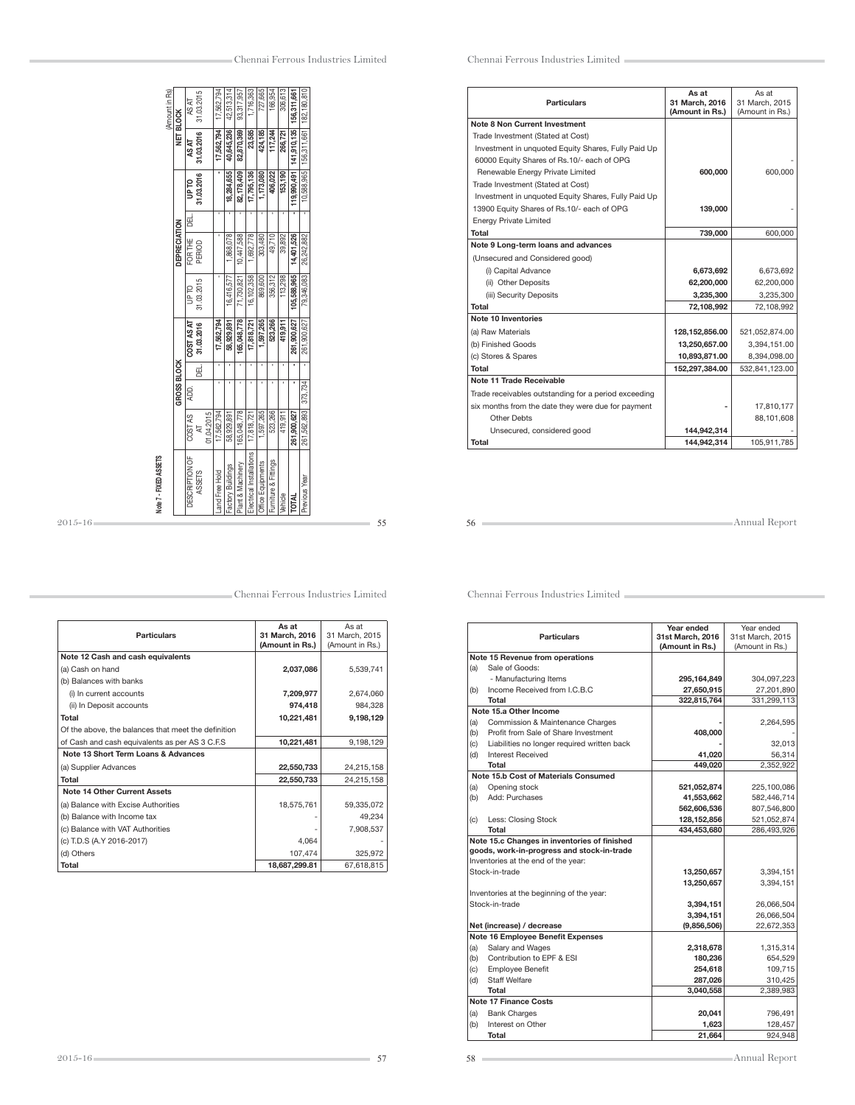| 523,266<br>1,597,265<br>419.911<br>01.04.2015<br>₹ | (Amount in Rs) | <b>NET BLOCK</b><br>DEPRECIATION<br>GROSS BLOCK | AS AT<br>AS AT<br><b>DL dn</b><br>팂<br>FOR THE<br>UP <sub>TO</sub><br>COST AS AT<br>ĄD. | 31.03.2015<br>31.03.2016<br>31.03.2016<br>PERIOD<br>31.03.2015<br>31.03.2016<br>급 | 17,562,794<br>17,562,794<br>ï<br>17,562,794<br>ı | 42,513,314<br>40,645,236<br>18,284,655<br>1,868,078<br>16,416,577<br>58,929,891 | 93,317,957<br>82,870,369<br>82,178,409<br>10,447,588<br>71.730.821<br>165,048,778 | 1,716,363<br>23,585<br>17,795,136<br>1,692,778<br>16,102,358<br>17,818,721 | 727,665<br>424,185<br>1,173,080<br>303,480<br>869,600<br>1,597,265 | 166,954<br>117,244<br>406,022<br>49,710<br>356,312<br>523,266 | 306,613<br>266,721<br>153,190<br>39,892<br>113,298<br>419,911 | 156,311,661<br>141,910,135<br>119,990,491<br>14,401,526<br>105,588,965<br>261,900,627 | 156,311,661   182,180,810<br>10,588,965<br>ī<br>26,242,882<br>79,346,083<br>261,900,627<br>ī<br>373.734 |  |
|----------------------------------------------------|----------------|-------------------------------------------------|-----------------------------------------------------------------------------------------|-----------------------------------------------------------------------------------|--------------------------------------------------|---------------------------------------------------------------------------------|-----------------------------------------------------------------------------------|----------------------------------------------------------------------------|--------------------------------------------------------------------|---------------------------------------------------------------|---------------------------------------------------------------|---------------------------------------------------------------------------------------|---------------------------------------------------------------------------------------------------------|--|
|                                                    |                |                                                 | COST <sub>AS</sub>                                                                      |                                                                                   | 17,562,794                                       | 58,929,891                                                                      | 165.048.778                                                                       | 17,818,721                                                                 |                                                                    |                                                               |                                                               | 261,900,627                                                                           | 261,562,893                                                                                             |  |

| <b>Particulars</b>                                  | As at<br>31 March, 2016<br>(Amount in Rs.) | As at<br>31 March, 2015<br>(Amount in Rs.) |
|-----------------------------------------------------|--------------------------------------------|--------------------------------------------|
| Note 12 Cash and cash equivalents                   |                                            |                                            |
| (a) Cash on hand                                    | 2,037,086                                  | 5,539,741                                  |
| (b) Balances with banks                             |                                            |                                            |
| (i) In current accounts                             | 7,209,977                                  | 2.674.060                                  |
| (ii) In Deposit accounts                            | 974,418                                    | 984,328                                    |
| Total                                               | 10,221,481                                 | 9,198,129                                  |
| Of the above, the balances that meet the definition |                                            |                                            |
| of Cash and cash equivalents as per AS 3 C.F.S      | 10,221,481                                 | 9,198,129                                  |
| Note 13 Short Term Loans & Advances                 |                                            |                                            |
| (a) Supplier Advances                               | 22,550,733                                 | 24,215,158                                 |
| Total                                               | 22,550,733                                 | 24.215.158                                 |
| <b>Note 14 Other Current Assets</b>                 |                                            |                                            |
| (a) Balance with Excise Authorities                 | 18,575,761                                 | 59,335,072                                 |
| (b) Balance with Income tax                         |                                            | 49,234                                     |
| (c) Balance with VAT Authorities                    |                                            | 7,908,537                                  |
| (c) T.D.S (A.Y 2016-2017)                           | 4,064                                      |                                            |
| (d) Others                                          | 107,474                                    | 325,972                                    |
| Total                                               | 18,687,299.81                              | 67,618,815                                 |

Chennai Ferrous Industries Limited

| <b>Particulars</b>                                   | As at<br>31 March, 2016<br>(Amount in Rs.) | As at<br>31 March, 2015<br>(Amount in Rs.) |
|------------------------------------------------------|--------------------------------------------|--------------------------------------------|
| <b>Note 8 Non Current Investment</b>                 |                                            |                                            |
| Trade Investment (Stated at Cost)                    |                                            |                                            |
| Investment in unquoted Equity Shares, Fully Paid Up  |                                            |                                            |
| 60000 Equity Shares of Rs.10/- each of OPG           |                                            |                                            |
| Renewable Energy Private Limited                     | 600,000                                    | 600,000                                    |
| Trade Investment (Stated at Cost)                    |                                            |                                            |
| Investment in unquoted Equity Shares, Fully Paid Up  |                                            |                                            |
| 13900 Equity Shares of Rs.10/- each of OPG           | 139,000                                    |                                            |
| <b>Energy Private Limited</b>                        |                                            |                                            |
| Total                                                | 739,000                                    | 600,000                                    |
| Note 9 Long-term loans and advances                  |                                            |                                            |
| (Unsecured and Considered good)                      |                                            |                                            |
| (i) Capital Advance                                  | 6,673,692                                  | 6.673.692                                  |
| (ii) Other Deposits                                  | 62,200,000                                 | 62,200,000                                 |
| (iii) Security Deposits                              | 3,235,300                                  | 3,235,300                                  |
| Total                                                | 72,108,992                                 | 72,108,992                                 |
| Note 10 Inventories                                  |                                            |                                            |
| (a) Raw Materials                                    | 128,152,856.00                             | 521,052,874.00                             |
| (b) Finished Goods                                   | 13,250,657.00                              | 3,394,151.00                               |
| (c) Stores & Spares                                  | 10,893,871.00                              | 8,394,098.00                               |
| Total                                                | 152,297,384.00                             | 532,841,123.00                             |
| Note 11 Trade Receivable                             |                                            |                                            |
| Trade receivables outstanding for a period exceeding |                                            |                                            |
| six months from the date they were due for payment   |                                            | 17.810.177                                 |
| Other Debts                                          |                                            | 88,101,608                                 |
| Unsecured, considered good                           | 144.942.314                                |                                            |
| Total                                                | 144,942,314                                | 105,911,785                                |

56 Annual Report

|     |                                              | Year ended       | Year ended       |
|-----|----------------------------------------------|------------------|------------------|
|     | <b>Particulars</b>                           | 31st March, 2016 | 31st March, 2015 |
|     |                                              | (Amount in Rs.)  | (Amount in Rs.)  |
|     | Note 15 Revenue from operations              |                  |                  |
| (a) | Sale of Goods:                               |                  |                  |
|     | - Manufacturing Items                        | 295,164,849      | 304,097,223      |
| (b) | Income Received from LC.B.C.                 | 27,650,915       | 27,201,890       |
|     | Total                                        | 322,815,764      | 331,299,113      |
|     | Note 15.a Other Income                       |                  |                  |
| (a) | Commission & Maintenance Charges             |                  | 2,264,595        |
| (b) | Profit from Sale of Share Investment         | 408.000          |                  |
| (c) | Liabilities no longer required written back  |                  | 32,013           |
| (d) | Interest Received                            | 41,020           | 56,314           |
|     | Total                                        | 449,020          | 2,352,922        |
|     | Note 15.b Cost of Materials Consumed         |                  |                  |
| (a) | Opening stock                                | 521,052,874      | 225,100,086      |
| (b) | Add: Purchases                               | 41,553,662       | 582,446,714      |
|     |                                              | 562,606,536      | 807,546,800      |
| (c) | Less: Closing Stock                          | 128,152,856      | 521,052,874      |
|     | Total                                        | 434,453,680      | 286,493,926      |
|     | Note 15.c Changes in inventories of finished |                  |                  |
|     | goods, work-in-progress and stock-in-trade   |                  |                  |
|     | Inventories at the end of the year:          |                  |                  |
|     | Stock-in-trade                               | 13,250,657       | 3,394,151        |
|     |                                              | 13,250,657       | 3,394,151        |
|     | Inventories at the beginning of the year:    |                  |                  |
|     | Stock-in-trade                               | 3,394,151        | 26,066,504       |
|     |                                              | 3,394,151        | 26,066,504       |
|     | Net (increase) / decrease                    | (9,856,506)      | 22,672,353       |
|     | Note 16 Employee Benefit Expenses            |                  |                  |
| (a) | Salary and Wages                             | 2,318,678        | 1,315,314        |
| (b) | Contribution to EPF & ESI                    | 180,236          | 654,529          |
| (c) | <b>Employee Benefit</b>                      | 254,618          | 109,715          |
| (d) | <b>Staff Welfare</b>                         | 287,026          | 310,425          |
|     | Total                                        | 3,040,558        | 2,389,983        |
|     | <b>Note 17 Finance Costs</b>                 |                  |                  |
| (a) | <b>Bank Charges</b>                          | 20,041           | 796,491          |
| (b) | Interest on Other                            | 1,623            | 128,457          |
|     | Total                                        | 21,664           | 924,948          |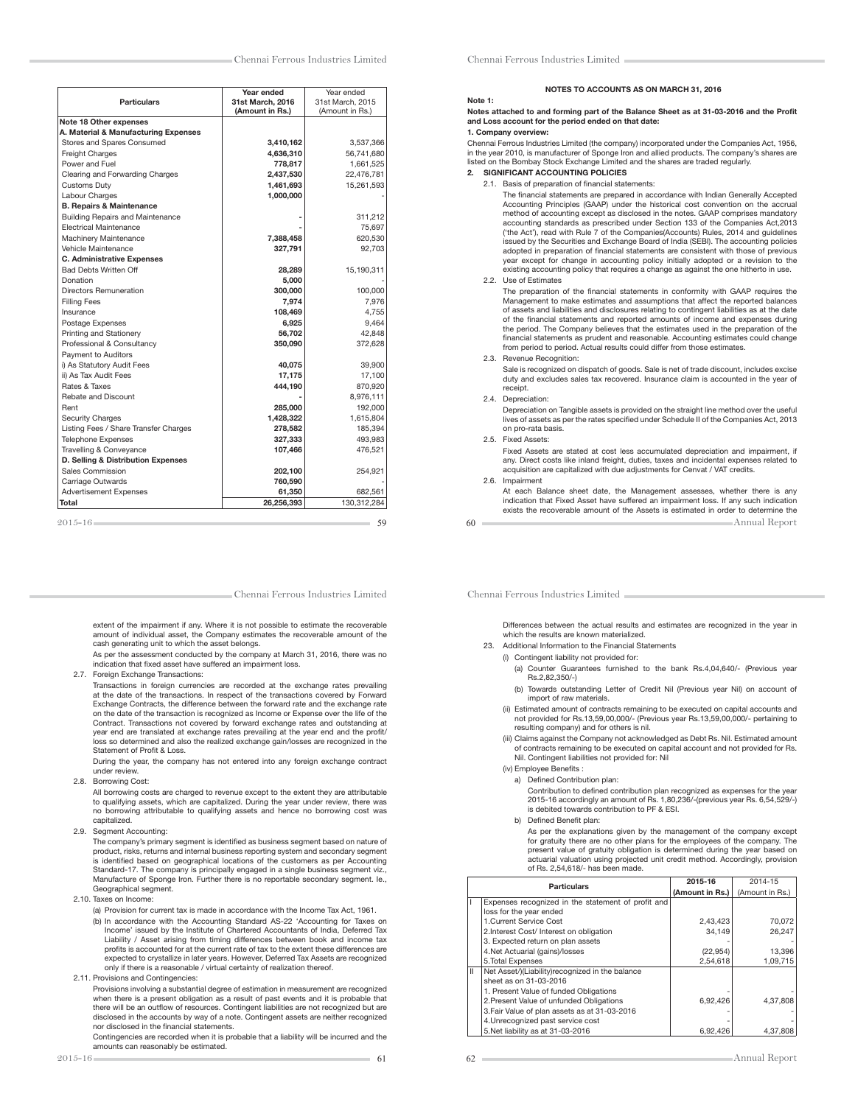| <b>Particulars</b>                    | Year ended<br>31st March, 2016 | Year ended<br>31st March, 2015 |
|---------------------------------------|--------------------------------|--------------------------------|
|                                       | (Amount in Rs.)                | (Amount in Rs.)                |
| Note 18 Other expenses                |                                |                                |
| A. Material & Manufacturing Expenses  |                                |                                |
| Stores and Spares Consumed            | 3,410,162                      | 3,537,366                      |
| <b>Freight Charges</b>                | 4,636,310                      | 56,741,680                     |
| Power and Fuel                        | 778,817                        | 1,661,525                      |
| Clearing and Forwarding Charges       | 2,437,530                      | 22,476,781                     |
| <b>Customs Duty</b>                   | 1,461,693                      | 15,261,593                     |
| Labour Charges                        | 1,000,000                      |                                |
| <b>B. Repairs &amp; Maintenance</b>   |                                |                                |
| Building Repairs and Maintenance      |                                | 311,212                        |
| <b>Electrical Maintenance</b>         |                                | 75,697                         |
| Machinery Maintenance                 | 7,388,458                      | 620,530                        |
| Vehicle Maintenance                   | 327,791                        | 92.703                         |
| <b>C. Administrative Expenses</b>     |                                |                                |
| <b>Bad Debts Written Off</b>          | 28,289                         | 15,190,311                     |
| Donation                              | 5,000                          |                                |
| <b>Directors Remuneration</b>         | 300,000                        | 100.000                        |
| <b>Filling Fees</b>                   | 7.974                          | 7.976                          |
| Insurance                             | 108,469                        | 4,755                          |
| Postage Expenses                      | 6,925                          | 9,464                          |
| Printing and Stationery               | 56.702                         | 42.848                         |
| Professional & Consultancy            | 350,090                        | 372.628                        |
| Payment to Auditors                   |                                |                                |
| i) As Statutory Audit Fees            | 40,075                         | 39,900                         |
| ii) As Tax Audit Fees                 | 17,175                         | 17,100                         |
| Rates & Taxes                         | 444,190                        | 870,920                        |
| Rebate and Discount                   |                                | 8,976,111                      |
| Rent                                  | 285,000                        | 192,000                        |
| <b>Security Charges</b>               | 1,428,322                      | 1,615,804                      |
| Listing Fees / Share Transfer Charges | 278,582                        | 185,394                        |
| <b>Telephone Expenses</b>             | 327,333                        | 493,983                        |
| Travelling & Conveyance               | 107,466                        | 476,521                        |
| D. Selling & Distribution Expenses    |                                |                                |
| Sales Commission                      | 202,100                        | 254,921                        |
| Carriage Outwards                     | 760,590                        |                                |
| <b>Advertisement Expenses</b>         | 61.350                         | 682.561                        |
| Total                                 | 26,256,393                     | 130,312,284                    |

extent of the impairment if any. Where it is not possible to estimate the recoverable amount of individual asset, the Company estimates the recoverable amount of the cash generating unit to which the asset belongs.

 As per the assessment conducted by the company at March 31, 2016, there was no indication that fixed asset have suffered an impairment loss.

2.7. Foreign Exchange Transactions:

 Transactions in foreign currencies are recorded at the exchange rates prevailing at the date of the transactions. In respect of the transactions covered by Forward Exchange Contracts, the difference between the forward rate and the exchange rate on the date of the transaction is recognized as Income or Expense over the life of the Contract. Transactions not covered by forward exchange rates and outstanding at year end are translated at exchange rates prevailing at the year end and the profit/ loss so determined and also the realized exchange gain/losses are recognized in the Statement of Profit & Loss.

 During the year, the company has not entered into any foreign exchange contract under review.

2.8. Borrowing Cost:

 All borrowing costs are charged to revenue except to the extent they are attributable to qualifying assets, which are capitalized. During the year under review, there was no borrowing attributable to qualifying assets and hence no borrowing cost was capitalized.

2.9. Segment Accounting:

The company's primary segment is identified as business segment based on nature of product, risks, returns and internal business reporting system and secondary segment is identified based on geographical locations of the customers as per Accounting<br>Standard-17. The company is principally engaged in a single business segment viz., Manufacture of Sponge Iron. Further there is no reportable secondary segment. Ie., Geographical segment.

2.10. Taxes on Income:

 (a) Provision for current tax is made in accordance with the Income Tax Act, 1961. (b) In accordance with the Accounting Standard AS-22 'Accounting for Taxes on Income' issued by the Institute of Chartered Accountants of India, Deferred Tax Liability / Asset arising from timing differences between book and income tax profits is accounted for at the current rate of tax to the extent these differences are<br>expected to crystallize in later years. However, Deferred Tax Assets are recognized only if there is a reasonable / virtual certainty of realization thereof.

2.11. Provisions and Contingencies:

 Provisions involving a substantial degree of estimation in measurement are recognized when there is a present obligation as a result of past events and it is probable that there will be an outflow of resources. Contingent liabilities are not recognized but are<br>disclosed in the accounts by way of a note. Contingent assets are neither recognized nor disclosed in the financial statements.

 Contingencies are recorded when it is probable that a liability will be incurred and the amounts can reasonably be estimated.<br>
2015-16

#### NOTES TO ACCOUNTS AS ON MARCH 31, 2016

#### Notes attached to and forming part of the Balance Sheet as at 31-03-2016 and the Profit and Loss account for the period ended on that date:

### 1. Company overview:

Note 1:

Chennai Ferrous Industries Limited (the company) incorporated under the Companies Act, 1956, in the year 2010, is manufacturer of Sponge Iron and allied products. The company's shares are listed on the Bombay Stock Exchange Limited and the shares are traded regularly. 2. SIGNIFICANT ACCOUNTING POLICIES

2.1. Basis of preparation of financial statements:

The financial statements are prepared in accordance with Indian Generally Accepted Accounting Principles (GAAP) under the historical cost convention on the accrual method of accounting except as disclosed in the notes. GAAP comprises mandatory accounting standards as prescribed under Section 133 of the Companies Act,2013 ('the Act'), read with Rule 7 of the Companies(Accounts) Rules, 2014 and guidelines issued by the Securities and Exchange Board of India (SEBI). The accounting policies<br>adopted in preparation of financial statements are consistent with those of previous year except for change in accounting policy initially adopted or a revision to the existing accounting policy that requires a change as against the one hitherto in use.

#### 2.2. Use of Estimates

The preparation of the financial statements in conformity with GAAP requires the Management to make estimates and assumptions that affect the reported balances of assets and liabilities and disclosures relating to contingent liabilities as at the date of the financial statements and reported amounts of income and expenses during<br>the period. The Company believes that the estimates used in the preparation of the financial statements as prudent and reasonable. Accounting estimates could change from period to period. Actual results could differ from those estimates.

#### 2.3. Revenue Recognition:

 Sale is recognized on dispatch of goods. Sale is net of trade discount, includes excise duty and excludes sales tax recovered. Insurance claim is accounted in the year of receipt.

2.4. Depreciation:

 Depreciation on Tangible assets is provided on the straight line method over the useful lives of assets as per the rates specified under Schedule II of the Companies Act, 2013 on pro-rata basis.

2.5. Fixed Assets:

 Fixed Assets are stated at cost less accumulated depreciation and impairment, if any. Direct costs like inland freight, duties, taxes and incidental expenses related to acquisition are capitalized with due adjustments for Cenvat / VAT credits. 2.6. Impairment

At each Balance sheet date, the Management assesses, whether there is any

60 Annual Report indication that Fixed Asset have suffered an impairment loss. If any such indication exists the recoverable amount of the Assets is estimated in order to determine the

Chennai Ferrous Industries Limited

 Differences between the actual results and estimates are recognized in the year in which the results are known materialized.

- 23. Additional Information to the Financial Statements
	- (i) Contingent liability not provided for:
		- (a) Counter Guarantees furnished to the bank Rs.4,04,640/- (Previous year Rs.2,82,350/-)
		- (b) Towards outstanding Letter of Credit Nil (Previous year Nil) on account of import of raw materials.
- (ii) Estimated amount of contracts remaining to be executed on capital accounts and not provided for Rs.13,59,00,000/- (Previous year Rs.13,59,00,000/- pertaining to resulting company) and for others is nil.
- (iii) Claims against the Company not acknowledged as Debt Rs. Nil. Estimated amount of contracts remaining to be executed on capital account and not provided for Rs. Nil. Contingent liabilities not provided for: Nil
	- (iv) Employee Benefits :

a) Defined Contribution plan: Contribution to defined contribution plan recognized as expenses for the year<br>2015-16 accordingly an amount of Rs. 1,80,236/-(previous year Rs. 6,54,529/-) is debited towards contribution to PF & ESI.

b) Defined Benefit plan:

 As per the explanations given by the management of the company except for gratuity there are no other plans for the employees of the company. The present value of gratuity obligation is determined during the year based on actuarial valuation using projected unit credit method. Accordingly, provision of Rs. 2,54,618/- has been made.

|               | <b>Particulars</b>                                 | 2015-16         | 2014-15         |
|---------------|----------------------------------------------------|-----------------|-----------------|
|               |                                                    | (Amount in Rs.) | (Amount in Rs.) |
|               | Expenses recognized in the statement of profit and |                 |                 |
|               | loss for the year ended                            |                 |                 |
|               | 1. Current Service Cost                            | 2.43.423        | 70.072          |
|               | 2. Interest Cost/ Interest on obligation           | 34.149          | 26.247          |
|               | 3. Expected return on plan assets                  |                 |                 |
|               | 4. Net Actuarial (gains)/losses                    | (22, 954)       | 13.396          |
|               | 5. Total Expenses                                  | 2.54.618        | 1.09.715        |
| $\mathbf{II}$ | Net Asset/)(Liability)recognized in the balance    |                 |                 |
|               | sheet as on 31-03-2016                             |                 |                 |
|               | 1. Present Value of funded Obligations             |                 |                 |
|               | 2. Present Value of unfunded Obligations           | 6.92.426        | 4.37.808        |
|               | 3. Fair Value of plan assets as at 31-03-2016      |                 |                 |
|               | 4. Unrecognized past service cost                  |                 |                 |
|               | 5. Net liability as at 31-03-2016                  | 6.92.426        | 4.37.808        |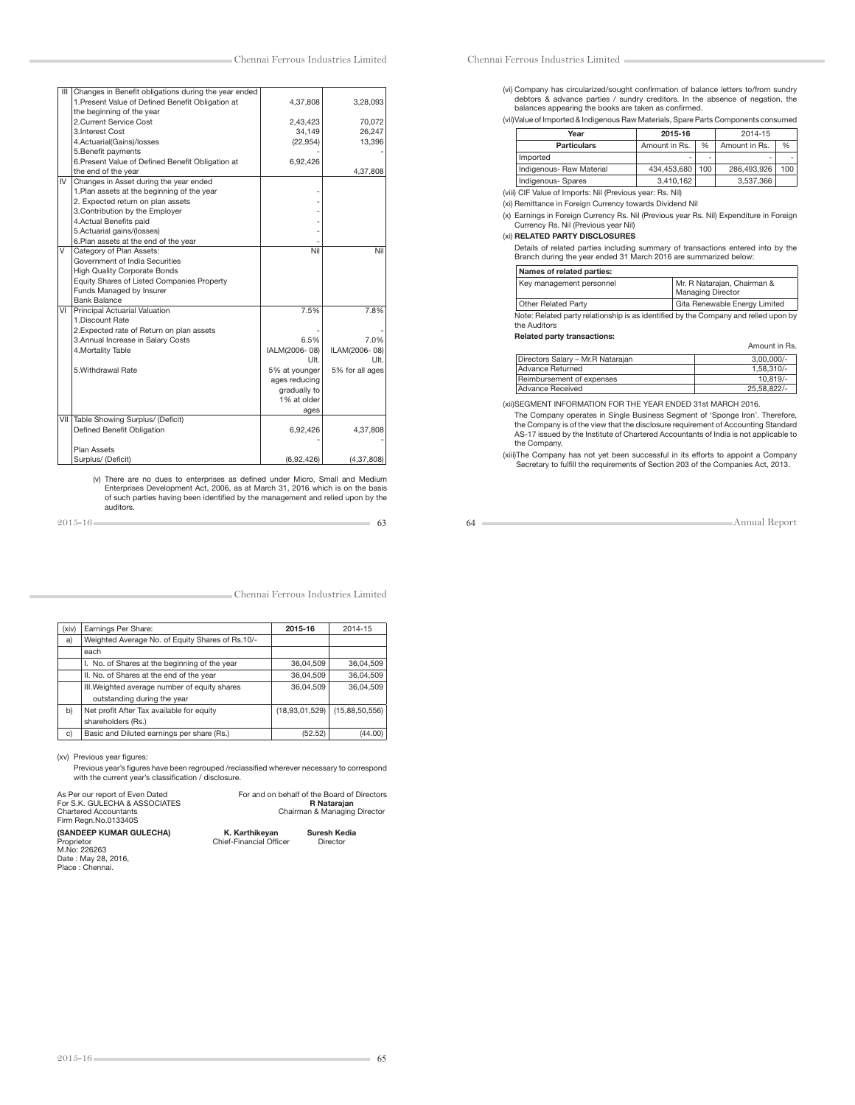| Ш   | Changes in Benefit obligations during the year ended |               |                 |
|-----|------------------------------------------------------|---------------|-----------------|
|     | 1. Present Value of Defined Benefit Obligation at    | 4,37,808      | 3,28,093        |
|     | the beginning of the year                            |               |                 |
|     | 2.Current Service Cost                               | 2,43,423      | 70,072          |
|     | 3. Interest Cost                                     | 34,149        | 26,247          |
|     | 4.Actuarial(Gains)/losses                            | (22, 954)     | 13,396          |
|     | 5. Benefit payments                                  |               |                 |
|     | 6. Present Value of Defined Benefit Obligation at    | 6,92,426      |                 |
|     | the end of the year                                  |               | 4,37,808        |
| IV  | Changes in Asset during the year ended               |               |                 |
|     | 1. Plan assets at the beginning of the year          |               |                 |
|     | 2. Expected return on plan assets                    |               |                 |
|     | 3. Contribution by the Employer                      |               |                 |
|     | 4. Actual Benefits paid                              |               |                 |
|     | 5.Actuarial gains/(losses)                           |               |                 |
|     | 6.Plan assets at the end of the year                 |               |                 |
| V   | Category of Plan Assets:                             | Nil           | Nil             |
|     | Government of India Securities                       |               |                 |
|     | <b>High Quality Corporate Bonds</b>                  |               |                 |
|     | Equity Shares of Listed Companies Property           |               |                 |
|     | Funds Managed by Insurer                             |               |                 |
|     | <b>Bank Balance</b>                                  |               |                 |
| VI  | Principal Actuarial Valuation                        | 7.5%          | 7.8%            |
|     | 1. Discount Rate                                     |               |                 |
|     | 2. Expected rate of Return on plan assets            |               |                 |
|     | 3. Annual Increase in Salary Costs                   | 6.5%          | 7.0%            |
|     | 4. Mortality Table                                   | IALM(2006-08) | ILAM(2006-08)   |
|     |                                                      | Ult.          | Ult.            |
|     | 5. Withdrawal Rate                                   | 5% at younger | 5% for all ages |
|     |                                                      | ages reducing |                 |
|     |                                                      | gradually to  |                 |
|     |                                                      | 1% at older   |                 |
|     |                                                      | ages          |                 |
| VII | Table Showing Surplus/ (Deficit)                     |               |                 |
|     | Defined Benefit Obligation                           | 6,92,426      | 4,37,808        |
|     |                                                      |               |                 |
|     | Plan Assets                                          |               |                 |
|     | Surplus/ (Deficit)                                   | (6,92,426)    | (4, 37, 808)    |
|     |                                                      |               |                 |

(v) There are no dues to enterprises as defined under Micro, Small and Medium)<br>Enterprises Development Act, 2006, as at March 31, 2016 which is on the basis<br>of such parties having been identified by the management and reli auditors.

 $2015-16$  63

Chennai Ferrous Industries Limited

| (xiv) | Earnings Per Share:                              | 2015-16        | 2014-15        |
|-------|--------------------------------------------------|----------------|----------------|
| a)    | Weighted Average No. of Equity Shares of Rs.10/- |                |                |
|       | each                                             |                |                |
|       | I. No. of Shares at the beginning of the year    | 36,04,509      | 36.04.509      |
|       | II. No. of Shares at the end of the year         | 36,04,509      | 36,04,509      |
|       | III. Weighted average number of equity shares    | 36.04.509      | 36.04.509      |
|       | outstanding during the year                      |                |                |
| b)    | Net profit After Tax available for equity        | (18,93,01,529) | (15,88,50,556) |
|       | shareholders (Rs.)                               |                |                |
| C)    | Basic and Diluted earnings per share (Rs.)       | (52.52)        | (44.00         |

(xv) Previous year figures:

Previous year's figures have been regrouped /reclassified wherever necessary to correspond<br>with the current year's classification / disclosure.

| As Per our report of Even Dated<br>For S.K. GULECHA & ASSOCIATES<br><b>Chartered Accountants</b><br>Firm Regn.No.013340S |                                                  | For and on behalf of the Board of Directors<br><b>R</b> Nataraian<br>Chairman & Managing Director |  |  |
|--------------------------------------------------------------------------------------------------------------------------|--------------------------------------------------|---------------------------------------------------------------------------------------------------|--|--|
| (SANDEEP KUMAR GULECHA)<br>Proprietor<br>M.No: 226263<br>Date: May 28, 2016,<br>Place : Chennai                          | K. Karthikevan<br><b>Chief-Financial Officer</b> | <b>Suresh Kedia</b><br>Director                                                                   |  |  |

### Chennai Ferrous Industries Limited

(vi) Company has circularized/sought confirmation of balance letters to/from sundry<br>debtors & advance parties / sundry creditors. In the absence of negation, the<br>balances appearing the books are taken as confirmed.

(vii) Value of Imported & Indigenous Raw Materials, Spare Parts Components consumed

| Year                     | 2015-16       |     | 2014-15       |     |
|--------------------------|---------------|-----|---------------|-----|
| <b>Particulars</b>       | Amount in Rs. | %   | Amount in Rs. | %   |
| Imported                 | -             | -   |               |     |
| Indigenous- Raw Material | 434.453.680   | 100 | 286.493.926   | 100 |
| Indigenous-Spares        | 3,410,162     |     | 3,537,366     |     |

(viii) CIF Value of Imports: Nil (Previous year: Rs. Nil)

(xi) Remittance in Foreign Currency towards Dividend Nil

(x) Earnings in Foreign Currency Rs. Nil (Previous year Rs. Nil) Expenditure in Foreign Currency Rs. Nil (Previous year Nil)

### (xi) RELATED PARTY DISCLOSURES

Details of related parties including summary of transactions entered into by the Branch during the year ended 31 March 2016 are summarized below:

| Mr. R Natarajan, Chairman &<br><b>Managing Director</b>                             |
|-------------------------------------------------------------------------------------|
| Gita Renewable Energy Limited                                                       |
| Note: Related party relationship is as identified by the Company and relied upon by |
|                                                                                     |

Related party transactions:

| Related party transactions:       |               |  |  |  |
|-----------------------------------|---------------|--|--|--|
|                                   | Amount in Rs. |  |  |  |
| Directors Salary - Mr.R Natarajan | $3.00.000/-$  |  |  |  |
| <b>Advance Returned</b>           | 1.58.310/-    |  |  |  |
| Reimbursement of expenses         | $10.819/-$    |  |  |  |
| <b>Advance Received</b>           | 25.58.822/-   |  |  |  |

(xii) SEGMENT INFORMATION FOR THE YEAR ENDED 31st MARCH 2016.

 The Company operates in Single Business Segment of 'Sponge Iron'. Therefore, the Company is of the view that the disclosure requirement of Accounting Standard AS-17 issued by the Institute of Chartered Accountants of India is not applicable to the Company.

 (xiii) The Company has not yet been successful in its efforts to appoint a Company Secretary to fulfill the requirements of Section 203 of the Companies Act, 2013.

64 Annual Report